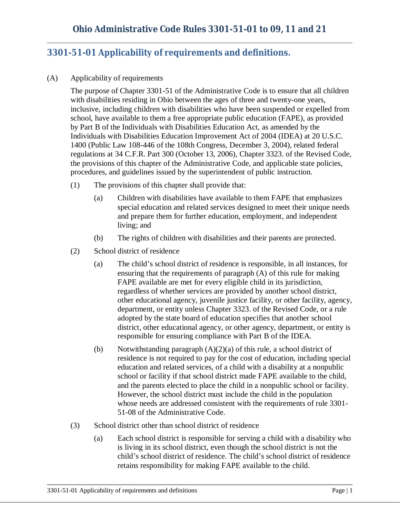### **3301-51-01 Applicability of requirements and definitions.**

(A) Applicability of requirements

The purpose of Chapter 3301-51 of the Administrative Code is to ensure that all children with disabilities residing in Ohio between the ages of three and twenty-one years, inclusive, including children with disabilities who have been suspended or expelled from school, have available to them a free appropriate public education (FAPE), as provided by Part B of the Individuals with Disabilities Education Act, as amended by the Individuals with Disabilities Education Improvement Act of 2004 (IDEA) at 20 U.S.C. 1400 (Public Law 108-446 of the 108th Congress, December 3, 2004), related federal regulations at 34 C.F.R. Part 300 (October 13, 2006), Chapter 3323. of the Revised Code, the provisions of this chapter of the Administrative Code, and applicable state policies, procedures, and guidelines issued by the superintendent of public instruction.

- (1) The provisions of this chapter shall provide that:
	- (a) Children with disabilities have available to them FAPE that emphasizes special education and related services designed to meet their unique needs and prepare them for further education, employment, and independent living; and
	- (b) The rights of children with disabilities and their parents are protected.
- (2) School district of residence
	- (a) The child's school district of residence is responsible, in all instances, for ensuring that the requirements of paragraph (A) of this rule for making FAPE available are met for every eligible child in its jurisdiction, regardless of whether services are provided by another school district, other educational agency, juvenile justice facility, or other facility, agency, department, or entity unless Chapter 3323. of the Revised Code, or a rule adopted by the state board of education specifies that another school district, other educational agency, or other agency, department, or entity is responsible for ensuring compliance with Part B of the IDEA.
	- (b) Notwithstanding paragraph (A)(2)(a) of this rule, a school district of residence is not required to pay for the cost of education, including special education and related services, of a child with a disability at a nonpublic school or facility if that school district made FAPE available to the child, and the parents elected to place the child in a nonpublic school or facility. However, the school district must include the child in the population whose needs are addressed consistent with the requirements of rule 3301- 51-08 of the Administrative Code.
- (3) School district other than school district of residence
	- (a) Each school district is responsible for serving a child with a disability who is living in its school district, even though the school district is not the child's school district of residence. The child's school district of residence retains responsibility for making FAPE available to the child.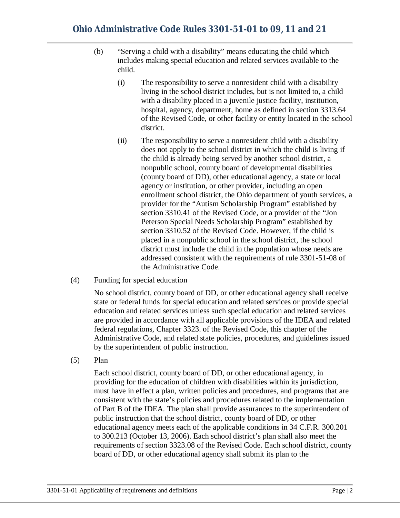- (b) "Serving a child with a disability" means educating the child which includes making special education and related services available to the child.
	- (i) The responsibility to serve a nonresident child with a disability living in the school district includes, but is not limited to, a child with a disability placed in a juvenile justice facility, institution, hospital, agency, department, home as defined in section 3313.64 of the Revised Code, or other facility or entity located in the school district.
	- (ii) The responsibility to serve a nonresident child with a disability does not apply to the school district in which the child is living if the child is already being served by another school district, a nonpublic school, county board of developmental disabilities (county board of DD), other educational agency, a state or local agency or institution, or other provider, including an open enrollment school district, the Ohio department of youth services, a provider for the "Autism Scholarship Program" established by section 3310.41 of the Revised Code, or a provider of the "Jon Peterson Special Needs Scholarship Program" established by section 3310.52 of the Revised Code. However, if the child is placed in a nonpublic school in the school district, the school district must include the child in the population whose needs are addressed consistent with the requirements of rule 3301-51-08 of the Administrative Code.
- (4) Funding for special education

No school district, county board of DD, or other educational agency shall receive state or federal funds for special education and related services or provide special education and related services unless such special education and related services are provided in accordance with all applicable provisions of the IDEA and related federal regulations, Chapter 3323. of the Revised Code, this chapter of the Administrative Code, and related state policies, procedures, and guidelines issued by the superintendent of public instruction.

(5) Plan

Each school district, county board of DD, or other educational agency, in providing for the education of children with disabilities within its jurisdiction, must have in effect a plan, written policies and procedures, and programs that are consistent with the state's policies and procedures related to the implementation of Part B of the IDEA. The plan shall provide assurances to the superintendent of public instruction that the school district, county board of DD, or other educational agency meets each of the applicable conditions in 34 C.F.R. 300.201 to 300.213 (October 13, 2006). Each school district's plan shall also meet the requirements of section 3323.08 of the Revised Code. Each school district, county board of DD, or other educational agency shall submit its plan to the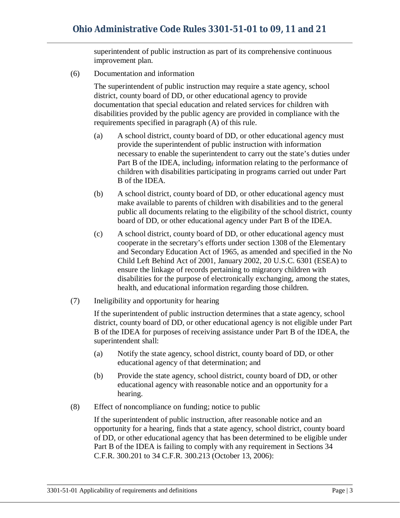superintendent of public instruction as part of its comprehensive continuous improvement plan.

(6) Documentation and information

The superintendent of public instruction may require a state agency, school district, county board of DD, or other educational agency to provide documentation that special education and related services for children with disabilities provided by the public agency are provided in compliance with the requirements specified in paragraph (A) of this rule.

- (a) A school district, county board of DD, or other educational agency must provide the superintendent of public instruction with information necessary to enable the superintendent to carry out the state's duties under Part B of the IDEA, including, information relating to the performance of children with disabilities participating in programs carried out under Part B of the IDEA.
- (b) A school district, county board of DD, or other educational agency must make available to parents of children with disabilities and to the general public all documents relating to the eligibility of the school district, county board of DD, or other educational agency under Part B of the IDEA.
- (c) A school district, county board of DD, or other educational agency must cooperate in the secretary's efforts under section 1308 of the Elementary and Secondary Education Act of 1965, as amended and specified in the No Child Left Behind Act of 2001, January 2002, 20 U.S.C. 6301 (ESEA) to ensure the linkage of records pertaining to migratory children with disabilities for the purpose of electronically exchanging, among the states, health, and educational information regarding those children.
- (7) Ineligibility and opportunity for hearing

If the superintendent of public instruction determines that a state agency, school district, county board of DD, or other educational agency is not eligible under Part B of the IDEA for purposes of receiving assistance under Part B of the IDEA, the superintendent shall:

- (a) Notify the state agency, school district, county board of DD, or other educational agency of that determination; and
- (b) Provide the state agency, school district, county board of DD, or other educational agency with reasonable notice and an opportunity for a hearing.
- (8) Effect of noncompliance on funding; notice to public

If the superintendent of public instruction, after reasonable notice and an opportunity for a hearing, finds that a state agency, school district, county board of DD, or other educational agency that has been determined to be eligible under Part B of the IDEA is failing to comply with any requirement in Sections 34 C.F.R. 300.201 to 34 C.F.R. 300.213 (October 13, 2006):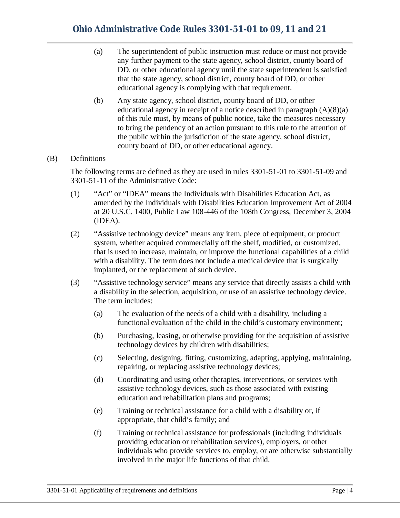- (a) The superintendent of public instruction must reduce or must not provide any further payment to the state agency, school district, county board of DD, or other educational agency until the state superintendent is satisfied that the state agency, school district, county board of DD, or other educational agency is complying with that requirement.
- (b) Any state agency, school district, county board of DD, or other educational agency in receipt of a notice described in paragraph (A)(8)(a) of this rule must, by means of public notice, take the measures necessary to bring the pendency of an action pursuant to this rule to the attention of the public within the jurisdiction of the state agency, school district, county board of DD, or other educational agency.

#### (B) Definitions

The following terms are defined as they are used in rules 3301-51-01 to 3301-51-09 and 3301-51-11 of the Administrative Code:

- (1) "Act" or "IDEA" means the Individuals with Disabilities Education Act, as amended by the Individuals with Disabilities Education Improvement Act of 2004 at 20 U.S.C. 1400, Public Law 108-446 of the 108th Congress, December 3, 2004 (IDEA).
- (2) "Assistive technology device" means any item, piece of equipment, or product system, whether acquired commercially off the shelf, modified, or customized, that is used to increase, maintain, or improve the functional capabilities of a child with a disability. The term does not include a medical device that is surgically implanted, or the replacement of such device.
- (3) "Assistive technology service" means any service that directly assists a child with a disability in the selection, acquisition, or use of an assistive technology device. The term includes:
	- (a) The evaluation of the needs of a child with a disability, including a functional evaluation of the child in the child's customary environment;
	- (b) Purchasing, leasing, or otherwise providing for the acquisition of assistive technology devices by children with disabilities;
	- (c) Selecting, designing, fitting, customizing, adapting, applying, maintaining, repairing, or replacing assistive technology devices;
	- (d) Coordinating and using other therapies, interventions, or services with assistive technology devices, such as those associated with existing education and rehabilitation plans and programs;
	- (e) Training or technical assistance for a child with a disability or, if appropriate, that child's family; and
	- (f) Training or technical assistance for professionals (including individuals providing education or rehabilitation services), employers, or other individuals who provide services to, employ, or are otherwise substantially involved in the major life functions of that child.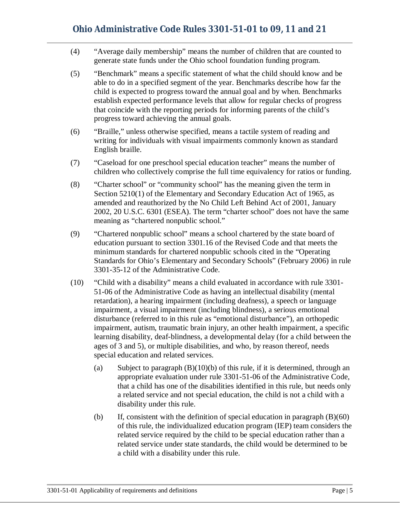- (4) "Average daily membership" means the number of children that are counted to generate state funds under the Ohio school foundation funding program.
- (5) "Benchmark" means a specific statement of what the child should know and be able to do in a specified segment of the year. Benchmarks describe how far the child is expected to progress toward the annual goal and by when. Benchmarks establish expected performance levels that allow for regular checks of progress that coincide with the reporting periods for informing parents of the child's progress toward achieving the annual goals.
- (6) "Braille," unless otherwise specified, means a tactile system of reading and writing for individuals with visual impairments commonly known as standard English braille.
- (7) "Caseload for one preschool special education teacher" means the number of children who collectively comprise the full time equivalency for ratios or funding.
- (8) "Charter school" or "community school" has the meaning given the term in Section 5210(1) of the Elementary and Secondary Education Act of 1965, as amended and reauthorized by the No Child Left Behind Act of 2001, January 2002, 20 U.S.C. 6301 (ESEA). The term "charter school" does not have the same meaning as "chartered nonpublic school."
- (9) "Chartered nonpublic school" means a school chartered by the state board of education pursuant to section 3301.16 of the Revised Code and that meets the minimum standards for chartered nonpublic schools cited in the "Operating Standards for Ohio's Elementary and Secondary Schools" (February 2006) in rule 3301-35-12 of the Administrative Code.
- (10) "Child with a disability" means a child evaluated in accordance with rule 3301- 51-06 of the Administrative Code as having an intellectual disability (mental retardation), a hearing impairment (including deafness), a speech or language impairment, a visual impairment (including blindness), a serious emotional disturbance (referred to in this rule as "emotional disturbance"), an orthopedic impairment, autism, traumatic brain injury, an other health impairment, a specific learning disability, deaf-blindness, a developmental delay (for a child between the ages of 3 and 5), or multiple disabilities, and who, by reason thereof, needs special education and related services.
	- (a) Subject to paragraph  $(B)(10)(b)$  of this rule, if it is determined, through an appropriate evaluation under rule 3301-51-06 of the Administrative Code, that a child has one of the disabilities identified in this rule, but needs only a related service and not special education, the child is not a child with a disability under this rule.
	- (b) If, consistent with the definition of special education in paragraph (B)(60) of this rule, the individualized education program (IEP) team considers the related service required by the child to be special education rather than a related service under state standards, the child would be determined to be a child with a disability under this rule.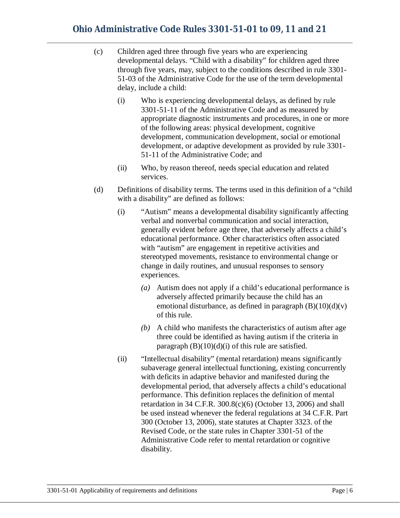- (c) Children aged three through five years who are experiencing developmental delays. "Child with a disability" for children aged three through five years, may, subject to the conditions described in rule 3301- 51-03 of the Administrative Code for the use of the term developmental delay, include a child:
	- (i) Who is experiencing developmental delays, as defined by rule 3301-51-11 of the Administrative Code and as measured by appropriate diagnostic instruments and procedures, in one or more of the following areas: physical development, cognitive development, communication development, social or emotional development, or adaptive development as provided by rule 3301- 51-11 of the Administrative Code; and
	- (ii) Who, by reason thereof, needs special education and related services.
- (d) Definitions of disability terms. The terms used in this definition of a "child with a disability" are defined as follows:
	- (i) "Autism" means a developmental disability significantly affecting verbal and nonverbal communication and social interaction, generally evident before age three, that adversely affects a child's educational performance. Other characteristics often associated with "autism" are engagement in repetitive activities and stereotyped movements, resistance to environmental change or change in daily routines, and unusual responses to sensory experiences.
		- *(a)* Autism does not apply if a child's educational performance is adversely affected primarily because the child has an emotional disturbance, as defined in paragraph  $(B)(10)(d)(v)$ of this rule.
		- *(b)* A child who manifests the characteristics of autism after age three could be identified as having autism if the criteria in paragraph  $(B)(10)(d)(i)$  of this rule are satisfied.
	- (ii) "Intellectual disability" (mental retardation) means significantly subaverage general intellectual functioning, existing concurrently with deficits in adaptive behavior and manifested during the developmental period, that adversely affects a child's educational performance. This definition replaces the definition of mental retardation in  $34$  C.F.R.  $300.8(c)(6)$  (October 13, 2006) and shall be used instead whenever the federal regulations at 34 C.F.R. Part 300 (October 13, 2006), state statutes at Chapter 3323. of the Revised Code, or the state rules in Chapter 3301-51 of the Administrative Code refer to mental retardation or cognitive disability.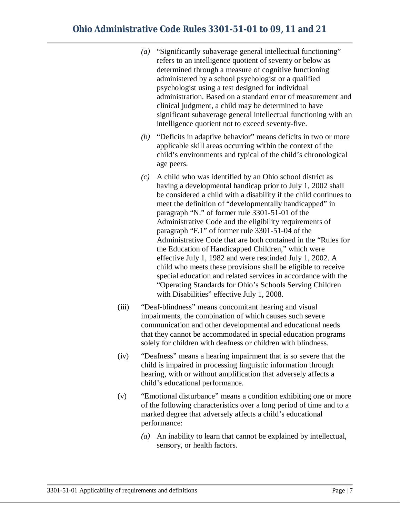- *(a)* "Significantly subaverage general intellectual functioning" refers to an intelligence quotient of seventy or below as determined through a measure of cognitive functioning administered by a school psychologist or a qualified psychologist using a test designed for individual administration. Based on a standard error of measurement and clinical judgment, a child may be determined to have significant subaverage general intellectual functioning with an intelligence quotient not to exceed seventy-five.
- *(b)* "Deficits in adaptive behavior" means deficits in two or more applicable skill areas occurring within the context of the child's environments and typical of the child's chronological age peers.
- *(c)* A child who was identified by an Ohio school district as having a developmental handicap prior to July 1, 2002 shall be considered a child with a disability if the child continues to meet the definition of "developmentally handicapped" in paragraph "N." of former rule 3301-51-01 of the Administrative Code and the eligibility requirements of paragraph "F.1" of former rule 3301-51-04 of the Administrative Code that are both contained in the "Rules for the Education of Handicapped Children," which were effective July 1, 1982 and were rescinded July 1, 2002. A child who meets these provisions shall be eligible to receive special education and related services in accordance with the "Operating Standards for Ohio's Schools Serving Children with Disabilities" effective July 1, 2008.
- (iii) "Deaf-blindness" means concomitant hearing and visual impairments, the combination of which causes such severe communication and other developmental and educational needs that they cannot be accommodated in special education programs solely for children with deafness or children with blindness.
- (iv) "Deafness" means a hearing impairment that is so severe that the child is impaired in processing linguistic information through hearing, with or without amplification that adversely affects a child's educational performance.
- (v) "Emotional disturbance" means a condition exhibiting one or more of the following characteristics over a long period of time and to a marked degree that adversely affects a child's educational performance:
	- *(a)* An inability to learn that cannot be explained by intellectual, sensory, or health factors.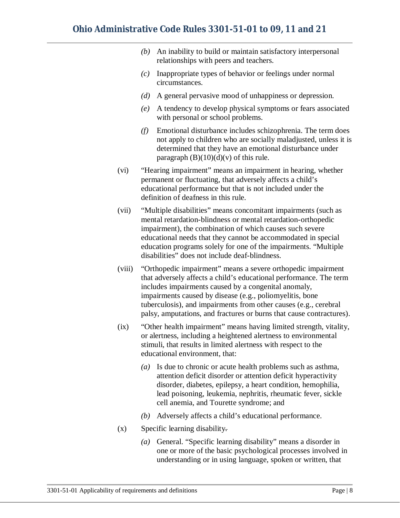- *(b)* An inability to build or maintain satisfactory interpersonal relationships with peers and teachers.
- *(c)* Inappropriate types of behavior or feelings under normal circumstances.
- *(d)* A general pervasive mood of unhappiness or depression.
- *(e)* A tendency to develop physical symptoms or fears associated with personal or school problems.
- *(f)* Emotional disturbance includes schizophrenia. The term does not apply to children who are socially maladjusted, unless it is determined that they have an emotional disturbance under paragraph  $(B)(10)(d)(v)$  of this rule.
- (vi) "Hearing impairment" means an impairment in hearing, whether permanent or fluctuating, that adversely affects a child's educational performance but that is not included under the definition of deafness in this rule.
- (vii) "Multiple disabilities" means concomitant impairments (such as mental retardation-blindness or mental retardation-orthopedic impairment), the combination of which causes such severe educational needs that they cannot be accommodated in special education programs solely for one of the impairments. "Multiple disabilities" does not include deaf-blindness.
- (viii) "Orthopedic impairment" means a severe orthopedic impairment that adversely affects a child's educational performance. The term includes impairments caused by a congenital anomaly, impairments caused by disease (e.g., poliomyelitis, bone tuberculosis), and impairments from other causes (e.g., cerebral palsy, amputations, and fractures or burns that cause contractures).
- (ix) "Other health impairment" means having limited strength, vitality, or alertness, including a heightened alertness to environmental stimuli, that results in limited alertness with respect to the educational environment, that:
	- *(a)* Is due to chronic or acute health problems such as asthma, attention deficit disorder or attention deficit hyperactivity disorder, diabetes, epilepsy, a heart condition, hemophilia, lead poisoning, leukemia, nephritis, rheumatic fever, sickle cell anemia, and Tourette syndrome; and
	- *(b)* Adversely affects a child's educational performance.
- (x) Specific learning disability.
	- *(a)* General. "Specific learning disability" means a disorder in one or more of the basic psychological processes involved in understanding or in using language, spoken or written, that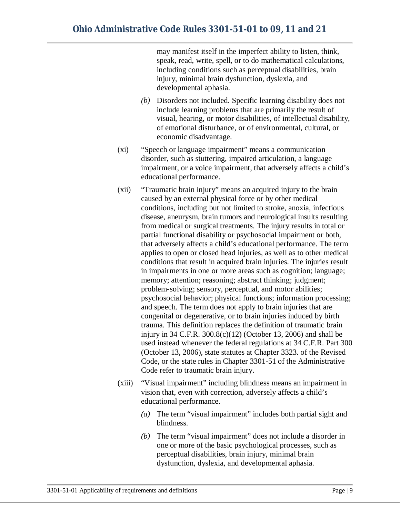may manifest itself in the imperfect ability to listen, think, speak, read, write, spell, or to do mathematical calculations, including conditions such as perceptual disabilities, brain injury, minimal brain dysfunction, dyslexia, and developmental aphasia.

- *(b)* Disorders not included. Specific learning disability does not include learning problems that are primarily the result of visual, hearing, or motor disabilities, of intellectual disability, of emotional disturbance, or of environmental, cultural, or economic disadvantage.
- (xi) "Speech or language impairment" means a communication disorder, such as stuttering, impaired articulation, a language impairment, or a voice impairment, that adversely affects a child's educational performance.
- (xii) "Traumatic brain injury" means an acquired injury to the brain caused by an external physical force or by other medical conditions, including but not limited to stroke, anoxia, infectious disease, aneurysm, brain tumors and neurological insults resulting from medical or surgical treatments. The injury results in total or partial functional disability or psychosocial impairment or both, that adversely affects a child's educational performance. The term applies to open or closed head injuries, as well as to other medical conditions that result in acquired brain injuries. The injuries result in impairments in one or more areas such as cognition; language; memory; attention; reasoning; abstract thinking; judgment; problem-solving; sensory, perceptual, and motor abilities; psychosocial behavior; physical functions; information processing; and speech. The term does not apply to brain injuries that are congenital or degenerative, or to brain injuries induced by birth trauma. This definition replaces the definition of traumatic brain injury in 34 C.F.R. 300.8(c)(12) (October 13, 2006) and shall be used instead whenever the federal regulations at 34 C.F.R. Part 300 (October 13, 2006), state statutes at Chapter 3323. of the Revised Code, or the state rules in Chapter 3301-51 of the Administrative Code refer to traumatic brain injury.
- (xiii) "Visual impairment" including blindness means an impairment in vision that, even with correction, adversely affects a child's educational performance.
	- *(a)* The term "visual impairment" includes both partial sight and blindness.
	- *(b)* The term "visual impairment" does not include a disorder in one or more of the basic psychological processes, such as perceptual disabilities, brain injury, minimal brain dysfunction, dyslexia, and developmental aphasia.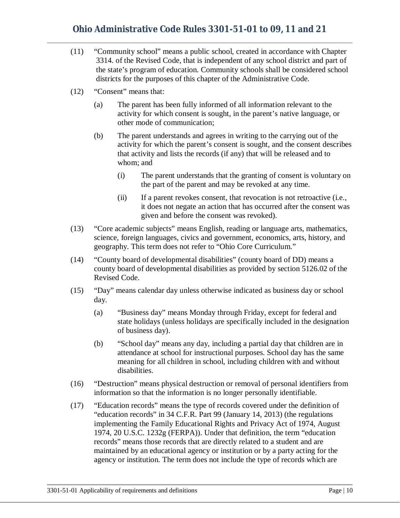- (11) "Community school" means a public school, created in accordance with Chapter 3314. of the Revised Code, that is independent of any school district and part of the state's program of education. Community schools shall be considered school districts for the purposes of this chapter of the Administrative Code.
- (12) "Consent" means that:
	- (a) The parent has been fully informed of all information relevant to the activity for which consent is sought, in the parent's native language, or other mode of communication;
	- (b) The parent understands and agrees in writing to the carrying out of the activity for which the parent's consent is sought, and the consent describes that activity and lists the records (if any) that will be released and to whom; and
		- (i) The parent understands that the granting of consent is voluntary on the part of the parent and may be revoked at any time.
		- (ii) If a parent revokes consent, that revocation is not retroactive (i.e., it does not negate an action that has occurred after the consent was given and before the consent was revoked).
- (13) "Core academic subjects" means English, reading or language arts, mathematics, science, foreign languages, civics and government, economics, arts, history, and geography. This term does not refer to "Ohio Core Curriculum."
- (14) "County board of developmental disabilities" (county board of DD) means a county board of developmental disabilities as provided by section 5126.02 of the Revised Code.
- (15) "Day" means calendar day unless otherwise indicated as business day or school day.
	- (a) "Business day" means Monday through Friday, except for federal and state holidays (unless holidays are specifically included in the designation of business day).
	- (b) "School day" means any day, including a partial day that children are in attendance at school for instructional purposes. School day has the same meaning for all children in school, including children with and without disabilities.
- (16) "Destruction" means physical destruction or removal of personal identifiers from information so that the information is no longer personally identifiable.
- (17) "Education records" means the type of records covered under the definition of "education records" in 34 C.F.R. Part 99 (January 14, 2013) (the regulations implementing the Family Educational Rights and Privacy Act of 1974, August 1974, 20 U.S.C. 1232g (FERPA)). Under that definition, the term "education records" means those records that are directly related to a student and are maintained by an educational agency or institution or by a party acting for the agency or institution. The term does not include the type of records which are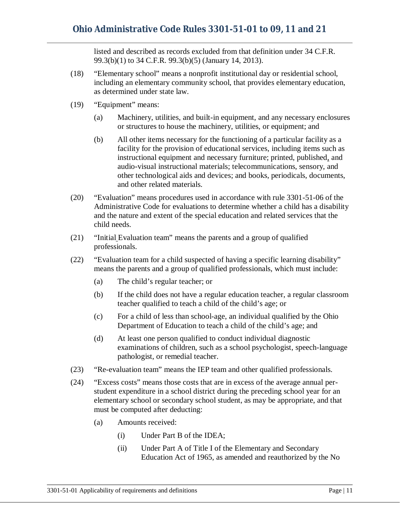listed and described as records excluded from that definition under 34 C.F.R. 99.3(b)(1) to 34 C.F.R. 99.3(b)(5) (January 14, 2013).

- (18) "Elementary school" means a nonprofit institutional day or residential school, including an elementary community school, that provides elementary education, as determined under state law.
- (19) "Equipment" means:
	- (a) Machinery, utilities, and built-in equipment, and any necessary enclosures or structures to house the machinery, utilities, or equipment; and
	- (b) All other items necessary for the functioning of a particular facility as a facility for the provision of educational services, including items such as instructional equipment and necessary furniture; printed, published, and audio-visual instructional materials; telecommunications, sensory, and other technological aids and devices; and books, periodicals, documents, and other related materials.
- (20) "Evaluation" means procedures used in accordance with rule 3301-51-06 of the Administrative Code for evaluations to determine whether a child has a disability and the nature and extent of the special education and related services that the child needs.
- (21) "Initial Evaluation team" means the parents and a group of qualified professionals.
- (22) "Evaluation team for a child suspected of having a specific learning disability" means the parents and a group of qualified professionals, which must include:
	- (a) The child's regular teacher; or
	- (b) If the child does not have a regular education teacher, a regular classroom teacher qualified to teach a child of the child's age; or
	- (c) For a child of less than school-age, an individual qualified by the Ohio Department of Education to teach a child of the child's age; and
	- (d) At least one person qualified to conduct individual diagnostic examinations of children, such as a school psychologist, speech-language pathologist, or remedial teacher.
- (23) "Re-evaluation team" means the IEP team and other qualified professionals.
- (24) "Excess costs" means those costs that are in excess of the average annual perstudent expenditure in a school district during the preceding school year for an elementary school or secondary school student, as may be appropriate, and that must be computed after deducting:
	- (a) Amounts received:
		- (i) Under Part B of the IDEA;
		- (ii) Under Part A of Title I of the Elementary and Secondary Education Act of 1965, as amended and reauthorized by the No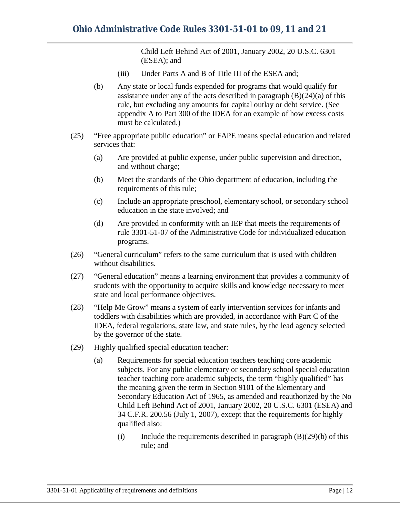Child Left Behind Act of 2001, January 2002, 20 U.S.C. 6301 (ESEA); and

- (iii) Under Parts A and B of Title III of the ESEA and;
- (b) Any state or local funds expended for programs that would qualify for assistance under any of the acts described in paragraph  $(B)(24)(a)$  of this rule, but excluding any amounts for capital outlay or debt service. (See appendix A to Part 300 of the IDEA for an example of how excess costs must be calculated.)
- (25) "Free appropriate public education" or FAPE means special education and related services that:
	- (a) Are provided at public expense, under public supervision and direction, and without charge;
	- (b) Meet the standards of the Ohio department of education, including the requirements of this rule;
	- (c) Include an appropriate preschool, elementary school, or secondary school education in the state involved; and
	- (d) Are provided in conformity with an IEP that meets the requirements of rule 3301-51-07 of the Administrative Code for individualized education programs.
- (26) "General curriculum" refers to the same curriculum that is used with children without disabilities.
- (27) "General education" means a learning environment that provides a community of students with the opportunity to acquire skills and knowledge necessary to meet state and local performance objectives.
- (28) "Help Me Grow" means a system of early intervention services for infants and toddlers with disabilities which are provided, in accordance with Part C of the IDEA, federal regulations, state law, and state rules, by the lead agency selected by the governor of the state.
- (29) Highly qualified special education teacher:
	- (a) Requirements for special education teachers teaching core academic subjects. For any public elementary or secondary school special education teacher teaching core academic subjects, the term "highly qualified" has the meaning given the term in Section 9101 of the Elementary and Secondary Education Act of 1965, as amended and reauthorized by the No Child Left Behind Act of 2001, January 2002, 20 U.S.C. 6301 (ESEA) and 34 C.F.R. 200.56 (July 1, 2007), except that the requirements for highly qualified also:
		- (i) Include the requirements described in paragraph  $(B)(29)(b)$  of this rule; and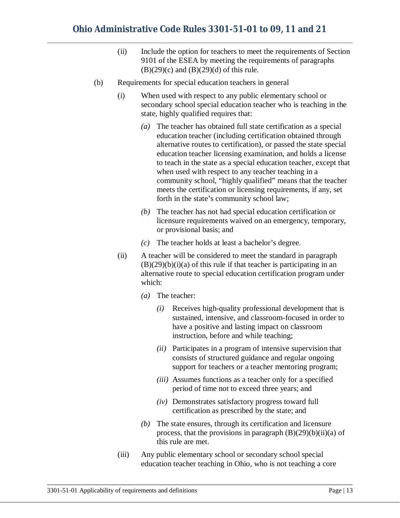- (ii) Include the option for teachers to meet the requirements of Section 9101 of the ESEA by meeting the requirements of paragraphs  $(B)(29)(c)$  and  $(B)(29)(d)$  of this rule.
- (b) Requirements for special education teachers in general
	- (i) When used with respect to any public elementary school or secondary school special education teacher who is teaching in the state, highly qualified requires that:
		- *(a)* The teacher has obtained full state certification as a special education teacher (including certification obtained through alternative routes to certification), or passed the state special education teacher licensing examination, and holds a license to teach in the state as a special education teacher, except that when used with respect to any teacher teaching in a community school, "highly qualified" means that the teacher meets the certification or licensing requirements, if any, set forth in the state's community school law;
		- *(b)* The teacher has not had special education certification or licensure requirements waived on an emergency, temporary, or provisional basis; and
		- *(c)* The teacher holds at least a bachelor's degree.
	- (ii) A teacher will be considered to meet the standard in paragraph  $(B)(29)(b)(i)(a)$  of this rule if that teacher is participating in an alternative route to special education certification program under which:
		- *(a)* The teacher:
			- *(i)* Receives high-quality professional development that is sustained, intensive, and classroom-focused in order to have a positive and lasting impact on classroom instruction, before and while teaching;
			- *(ii)* Participates in a program of intensive supervision that consists of structured guidance and regular ongoing support for teachers or a teacher mentoring program;
			- *(iii)* Assumes functions as a teacher only for a specified period of time not to exceed three years; and
			- *(iv)* Demonstrates satisfactory progress toward full certification as prescribed by the state; and
		- *(b)* The state ensures, through its certification and licensure process, that the provisions in paragraph  $(B)(29)(b)(ii)(a)$  of this rule are met.
	- (iii) Any public elementary school or secondary school special education teacher teaching in Ohio, who is not teaching a core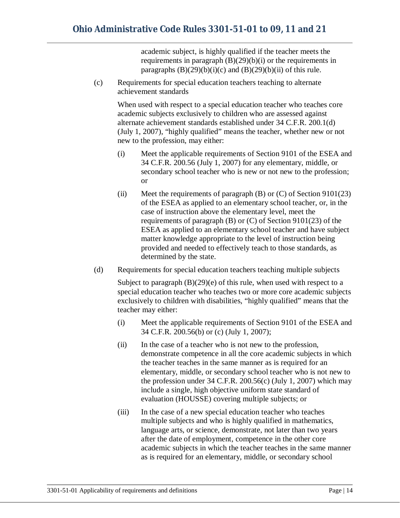academic subject, is highly qualified if the teacher meets the requirements in paragraph  $(B)(29)(b)(i)$  or the requirements in paragraphs  $(B)(29)(b)(i)(c)$  and  $(B)(29)(b)(ii)$  of this rule.

(c) Requirements for special education teachers teaching to alternate achievement standards

> When used with respect to a special education teacher who teaches core academic subjects exclusively to children who are assessed against alternate achievement standards established under 34 C.F.R. 200.1(d) (July 1, 2007), "highly qualified" means the teacher, whether new or not new to the profession, may either:

- (i) Meet the applicable requirements of Section 9101 of the ESEA and 34 C.F.R. 200.56 (July 1, 2007) for any elementary, middle, or secondary school teacher who is new or not new to the profession; or
- (ii) Meet the requirements of paragraph  $(B)$  or  $(C)$  of Section 9101(23) of the ESEA as applied to an elementary school teacher, or, in the case of instruction above the elementary level, meet the requirements of paragraph (B) or (C) of Section 9101(23) of the ESEA as applied to an elementary school teacher and have subject matter knowledge appropriate to the level of instruction being provided and needed to effectively teach to those standards, as determined by the state.
- (d) Requirements for special education teachers teaching multiple subjects

Subject to paragraph (B)(29)(e) of this rule, when used with respect to a special education teacher who teaches two or more core academic subjects exclusively to children with disabilities, "highly qualified" means that the teacher may either:

- (i) Meet the applicable requirements of Section 9101 of the ESEA and 34 C.F.R. 200.56(b) or (c) (July 1, 2007);
- (ii) In the case of a teacher who is not new to the profession, demonstrate competence in all the core academic subjects in which the teacher teaches in the same manner as is required for an elementary, middle, or secondary school teacher who is not new to the profession under 34 C.F.R. 200.56(c) (July 1, 2007) which may include a single, high objective uniform state standard of evaluation (HOUSSE) covering multiple subjects; or
- (iii) In the case of a new special education teacher who teaches multiple subjects and who is highly qualified in mathematics, language arts, or science, demonstrate, not later than two years after the date of employment, competence in the other core academic subjects in which the teacher teaches in the same manner as is required for an elementary, middle, or secondary school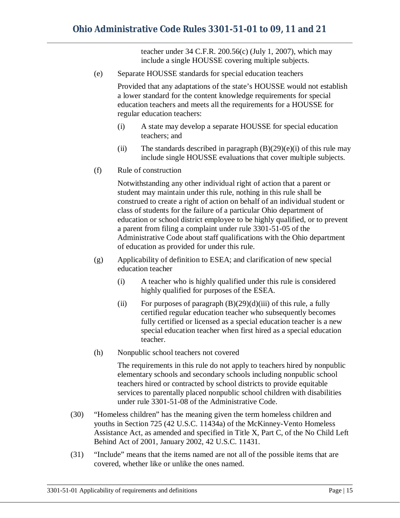teacher under  $34$  C.F.R. 200.56(c) (July 1, 2007), which may include a single HOUSSE covering multiple subjects.

(e) Separate HOUSSE standards for special education teachers

Provided that any adaptations of the state's HOUSSE would not establish a lower standard for the content knowledge requirements for special education teachers and meets all the requirements for a HOUSSE for regular education teachers:

- (i) A state may develop a separate HOUSSE for special education teachers; and
- (ii) The standards described in paragraph  $(B)(29)(e)(i)$  of this rule may include single HOUSSE evaluations that cover multiple subjects.
- (f) Rule of construction

Notwithstanding any other individual right of action that a parent or student may maintain under this rule, nothing in this rule shall be construed to create a right of action on behalf of an individual student or class of students for the failure of a particular Ohio department of education or school district employee to be highly qualified, or to prevent a parent from filing a complaint under rule 3301-51-05 of the Administrative Code about staff qualifications with the Ohio department of education as provided for under this rule.

- (g) Applicability of definition to ESEA; and clarification of new special education teacher
	- (i) A teacher who is highly qualified under this rule is considered highly qualified for purposes of the ESEA.
	- (ii) For purposes of paragraph  $(B)(29)(d)(iii)$  of this rule, a fully certified regular education teacher who subsequently becomes fully certified or licensed as a special education teacher is a new special education teacher when first hired as a special education teacher.
- (h) Nonpublic school teachers not covered

The requirements in this rule do not apply to teachers hired by nonpublic elementary schools and secondary schools including nonpublic school teachers hired or contracted by school districts to provide equitable services to parentally placed nonpublic school children with disabilities under rule 3301-51-08 of the Administrative Code.

- (30) "Homeless children" has the meaning given the term homeless children and youths in Section 725 (42 U.S.C. 11434a) of the McKinney-Vento Homeless Assistance Act, as amended and specified in Title X, Part C, of the No Child Left Behind Act of 2001, January 2002, 42 U.S.C. 11431.
- (31) "Include" means that the items named are not all of the possible items that are covered, whether like or unlike the ones named.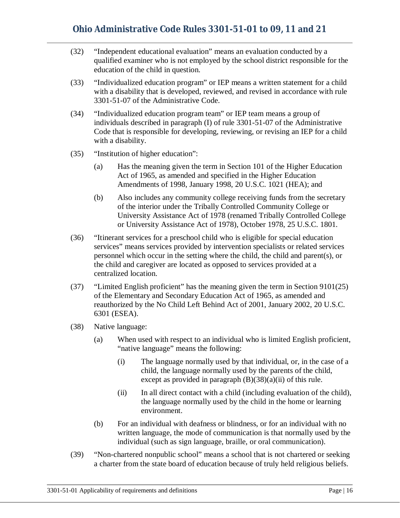- (32) "Independent educational evaluation" means an evaluation conducted by a qualified examiner who is not employed by the school district responsible for the education of the child in question.
- (33) "Individualized education program" or IEP means a written statement for a child with a disability that is developed, reviewed, and revised in accordance with rule 3301-51-07 of the Administrative Code.
- (34) "Individualized education program team" or IEP team means a group of individuals described in paragraph (I) of rule 3301-51-07 of the Administrative Code that is responsible for developing, reviewing, or revising an IEP for a child with a disability.
- (35) "Institution of higher education":
	- (a) Has the meaning given the term in Section 101 of the Higher Education Act of 1965, as amended and specified in the Higher Education Amendments of 1998, January 1998, 20 U.S.C. 1021 (HEA); and
	- (b) Also includes any community college receiving funds from the secretary of the interior under the Tribally Controlled Community College or University Assistance Act of 1978 (renamed Tribally Controlled College or University Assistance Act of 1978), October 1978, 25 U.S.C. 1801.
- (36) "Itinerant services for a preschool child who is eligible for special education services" means services provided by intervention specialists or related services personnel which occur in the setting where the child, the child and parent(s), or the child and caregiver are located as opposed to services provided at a centralized location.
- (37) "Limited English proficient" has the meaning given the term in Section 9101(25) of the Elementary and Secondary Education Act of 1965, as amended and reauthorized by the No Child Left Behind Act of 2001, January 2002, 20 U.S.C. 6301 (ESEA).
- (38) Native language:
	- (a) When used with respect to an individual who is limited English proficient, "native language" means the following:
		- (i) The language normally used by that individual, or, in the case of a child, the language normally used by the parents of the child, except as provided in paragraph  $(B)(38)(a)(ii)$  of this rule.
		- (ii) In all direct contact with a child (including evaluation of the child), the language normally used by the child in the home or learning environment.
	- (b) For an individual with deafness or blindness, or for an individual with no written language, the mode of communication is that normally used by the individual (such as sign language, braille, or oral communication).
- (39) "Non-chartered nonpublic school" means a school that is not chartered or seeking a charter from the state board of education because of truly held religious beliefs.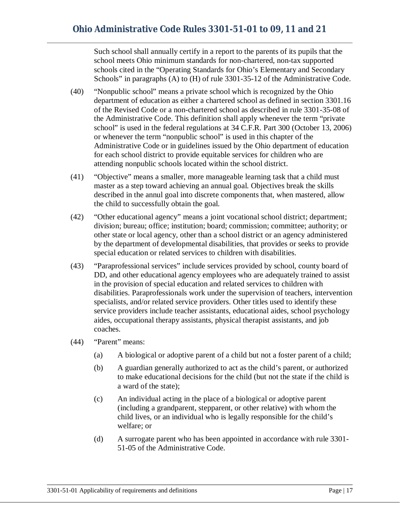Such school shall annually certify in a report to the parents of its pupils that the school meets Ohio minimum standards for non-chartered, non-tax supported schools cited in the "Operating Standards for Ohio's Elementary and Secondary Schools" in paragraphs (A) to (H) of rule 3301-35-12 of the Administrative Code.

- (40) "Nonpublic school" means a private school which is recognized by the Ohio department of education as either a chartered school as defined in section 3301.16 of the Revised Code or a non-chartered school as described in rule 3301-35-08 of the Administrative Code. This definition shall apply whenever the term "private school" is used in the federal regulations at 34 C.F.R. Part 300 (October 13, 2006) or whenever the term "nonpublic school" is used in this chapter of the Administrative Code or in guidelines issued by the Ohio department of education for each school district to provide equitable services for children who are attending nonpublic schools located within the school district.
- (41) "Objective" means a smaller, more manageable learning task that a child must master as a step toward achieving an annual goal. Objectives break the skills described in the annul goal into discrete components that, when mastered, allow the child to successfully obtain the goal.
- (42) "Other educational agency" means a joint vocational school district; department; division; bureau; office; institution; board; commission; committee; authority; or other state or local agency, other than a school district or an agency administered by the department of developmental disabilities, that provides or seeks to provide special education or related services to children with disabilities.
- (43) "Paraprofessional services" include services provided by school, county board of DD, and other educational agency employees who are adequately trained to assist in the provision of special education and related services to children with disabilities. Paraprofessionals work under the supervision of teachers, intervention specialists, and/or related service providers. Other titles used to identify these service providers include teacher assistants, educational aides, school psychology aides, occupational therapy assistants, physical therapist assistants, and job coaches.
- (44) "Parent" means:
	- (a) A biological or adoptive parent of a child but not a foster parent of a child;
	- (b) A guardian generally authorized to act as the child's parent, or authorized to make educational decisions for the child (but not the state if the child is a ward of the state);
	- (c) An individual acting in the place of a biological or adoptive parent (including a grandparent, stepparent, or other relative) with whom the child lives, or an individual who is legally responsible for the child's welfare; or
	- (d) A surrogate parent who has been appointed in accordance with rule 3301- 51-05 of the Administrative Code.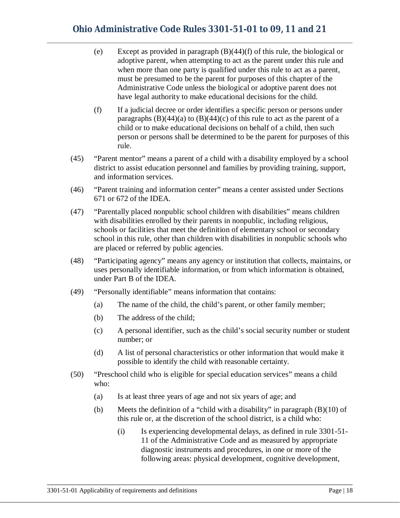- (e) Except as provided in paragraph (B)(44)(f) of this rule, the biological or adoptive parent, when attempting to act as the parent under this rule and when more than one party is qualified under this rule to act as a parent, must be presumed to be the parent for purposes of this chapter of the Administrative Code unless the biological or adoptive parent does not have legal authority to make educational decisions for the child.
- (f) If a judicial decree or order identifies a specific person or persons under paragraphs  $(B)(44)(a)$  to  $(B)(44)(c)$  of this rule to act as the parent of a child or to make educational decisions on behalf of a child, then such person or persons shall be determined to be the parent for purposes of this rule.
- (45) "Parent mentor" means a parent of a child with a disability employed by a school district to assist education personnel and families by providing training, support, and information services.
- (46) "Parent training and information center" means a center assisted under Sections 671 or 672 of the IDEA.
- (47) "Parentally placed nonpublic school children with disabilities" means children with disabilities enrolled by their parents in nonpublic, including religious, schools or facilities that meet the definition of elementary school or secondary school in this rule, other than children with disabilities in nonpublic schools who are placed or referred by public agencies.
- (48) "Participating agency" means any agency or institution that collects, maintains, or uses personally identifiable information, or from which information is obtained, under Part B of the IDEA.
- (49) "Personally identifiable" means information that contains:
	- (a) The name of the child, the child's parent, or other family member;
	- (b) The address of the child;
	- (c) A personal identifier, such as the child's social security number or student number; or
	- (d) A list of personal characteristics or other information that would make it possible to identify the child with reasonable certainty.
- (50) "Preschool child who is eligible for special education services" means a child who:
	- (a) Is at least three years of age and not six years of age; and
	- (b) Meets the definition of a "child with a disability" in paragraph (B)(10) of this rule or, at the discretion of the school district, is a child who:
		- (i) Is experiencing developmental delays, as defined in rule 3301-51- 11 of the Administrative Code and as measured by appropriate diagnostic instruments and procedures, in one or more of the following areas: physical development, cognitive development,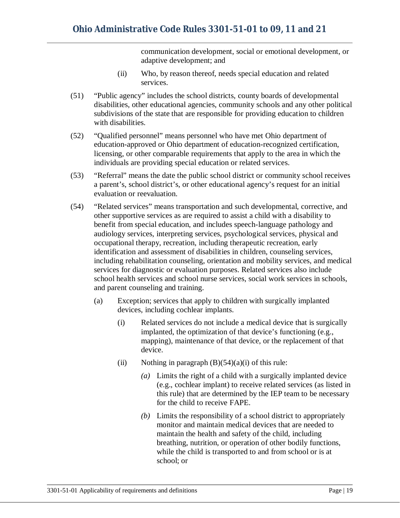communication development, social or emotional development, or adaptive development; and

- (ii) Who, by reason thereof, needs special education and related services.
- (51) "Public agency" includes the school districts, county boards of developmental disabilities, other educational agencies, community schools and any other political subdivisions of the state that are responsible for providing education to children with disabilities.
- (52) "Qualified personnel" means personnel who have met Ohio department of education-approved or Ohio department of education-recognized certification, licensing, or other comparable requirements that apply to the area in which the individuals are providing special education or related services.
- (53) "Referral" means the date the public school district or community school receives a parent's, school district's, or other educational agency's request for an initial evaluation or reevaluation.
- (54) "Related services" means transportation and such developmental, corrective, and other supportive services as are required to assist a child with a disability to benefit from special education, and includes speech-language pathology and audiology services, interpreting services, psychological services, physical and occupational therapy, recreation, including therapeutic recreation, early identification and assessment of disabilities in children, counseling services, including rehabilitation counseling, orientation and mobility services, and medical services for diagnostic or evaluation purposes. Related services also include school health services and school nurse services, social work services in schools, and parent counseling and training.
	- (a) Exception; services that apply to children with surgically implanted devices, including cochlear implants.
		- (i) Related services do not include a medical device that is surgically implanted, the optimization of that device's functioning (e.g., mapping), maintenance of that device, or the replacement of that device.
		- (ii) Nothing in paragraph  $(B)(54)(a)(i)$  of this rule:
			- *(a)* Limits the right of a child with a surgically implanted device (e.g., cochlear implant) to receive related services (as listed in this rule) that are determined by the IEP team to be necessary for the child to receive FAPE.
			- *(b)* Limits the responsibility of a school district to appropriately monitor and maintain medical devices that are needed to maintain the health and safety of the child, including breathing, nutrition, or operation of other bodily functions, while the child is transported to and from school or is at school; or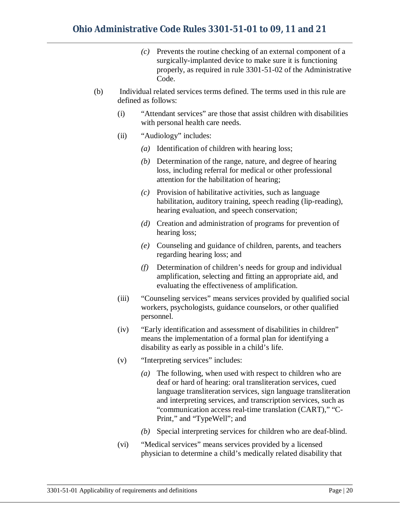- *(c)* Prevents the routine checking of an external component of a surgically-implanted device to make sure it is functioning properly, as required in rule 3301-51-02 of the Administrative Code.
- (b) Individual related services terms defined. The terms used in this rule are defined as follows:
	- (i) "Attendant services" are those that assist children with disabilities with personal health care needs.
	- (ii) "Audiology" includes:
		- *(a)* Identification of children with hearing loss;
		- *(b)* Determination of the range, nature, and degree of hearing loss, including referral for medical or other professional attention for the habilitation of hearing;
		- *(c)* Provision of habilitative activities, such as language habilitation, auditory training, speech reading (lip-reading), hearing evaluation, and speech conservation;
		- *(d)* Creation and administration of programs for prevention of hearing loss;
		- *(e)* Counseling and guidance of children, parents, and teachers regarding hearing loss; and
		- *(f)* Determination of children's needs for group and individual amplification, selecting and fitting an appropriate aid, and evaluating the effectiveness of amplification.
	- (iii) "Counseling services" means services provided by qualified social workers, psychologists, guidance counselors, or other qualified personnel.
	- (iv) "Early identification and assessment of disabilities in children" means the implementation of a formal plan for identifying a disability as early as possible in a child's life.
	- (v) "Interpreting services" includes:
		- *(a)* The following, when used with respect to children who are deaf or hard of hearing: oral transliteration services, cued language transliteration services, sign language transliteration and interpreting services, and transcription services, such as "communication access real-time translation (CART)," "C-Print," and "TypeWell"; and
		- *(b)* Special interpreting services for children who are deaf-blind.
	- (vi) "Medical services" means services provided by a licensed physician to determine a child's medically related disability that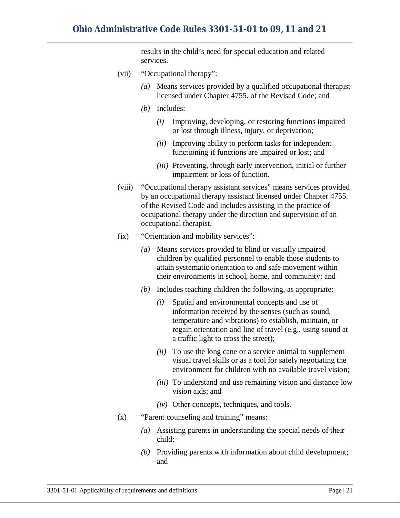results in the child's need for special education and related services.

- (vii) "Occupational therapy":
	- *(a)* Means services provided by a qualified occupational therapist licensed under Chapter 4755. of the Revised Code; and
	- *(b)* Includes:
		- *(i)* Improving, developing, or restoring functions impaired or lost through illness, injury, or deprivation;
		- *(ii)* Improving ability to perform tasks for independent functioning if functions are impaired or lost; and
		- *(iii)* Preventing, through early intervention, initial or further impairment or loss of function.
- (viii) "Occupational therapy assistant services" means services provided by an occupational therapy assistant licensed under Chapter 4755. of the Revised Code and includes assisting in the practice of occupational therapy under the direction and supervision of an occupational therapist.
- (ix) "Orientation and mobility services":
	- *(a)* Means services provided to blind or visually impaired children by qualified personnel to enable those students to attain systematic orientation to and safe movement within their environments in school, home, and community; and
	- *(b)* Includes teaching children the following, as appropriate:
		- *(i)* Spatial and environmental concepts and use of information received by the senses (such as sound, temperature and vibrations) to establish, maintain, or regain orientation and line of travel (e.g., using sound at a traffic light to cross the street);
		- *(ii)* To use the long cane or a service animal to supplement visual travel skills or as a tool for safely negotiating the environment for children with no available travel vision;
		- *(iii)* To understand and use remaining vision and distance low vision aids; and
		- *(iv)* Other concepts, techniques, and tools.
- (x) "Parent counseling and training" means:
	- *(a)* Assisting parents in understanding the special needs of their child;
	- *(b)* Providing parents with information about child development; and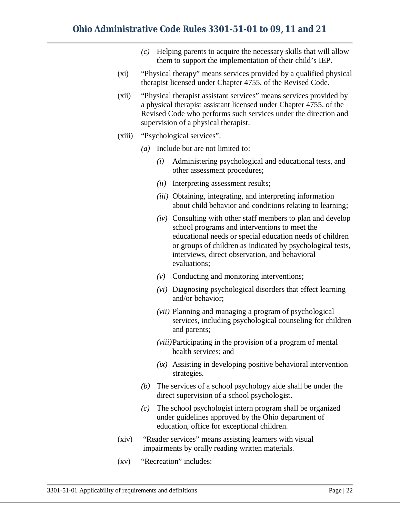- *(c)* Helping parents to acquire the necessary skills that will allow them to support the implementation of their child's IEP.
- (xi) "Physical therapy" means services provided by a qualified physical therapist licensed under Chapter 4755. of the Revised Code.
- (xii) "Physical therapist assistant services" means services provided by a physical therapist assistant licensed under Chapter 4755. of the Revised Code who performs such services under the direction and supervision of a physical therapist.
- (xiii) "Psychological services":
	- *(a)* Include but are not limited to:
		- *(i)* Administering psychological and educational tests, and other assessment procedures;
		- *(ii)* Interpreting assessment results;
		- *(iii)* Obtaining, integrating, and interpreting information about child behavior and conditions relating to learning;
		- *(iv)* Consulting with other staff members to plan and develop school programs and interventions to meet the educational needs or special education needs of children or groups of children as indicated by psychological tests, interviews, direct observation, and behavioral evaluations;
		- *(v)* Conducting and monitoring interventions;
		- *(vi)* Diagnosing psychological disorders that effect learning and/or behavior;
		- *(vii)* Planning and managing a program of psychological services, including psychological counseling for children and parents;
		- *(viii)*Participating in the provision of a program of mental health services; and
		- *(ix)* Assisting in developing positive behavioral intervention strategies.
	- *(b)* The services of a school psychology aide shall be under the direct supervision of a school psychologist.
	- *(c)* The school psychologist intern program shall be organized under guidelines approved by the Ohio department of education, office for exceptional children.
- (xiv) "Reader services" means assisting learners with visual impairments by orally reading written materials.
- (xv) "Recreation" includes: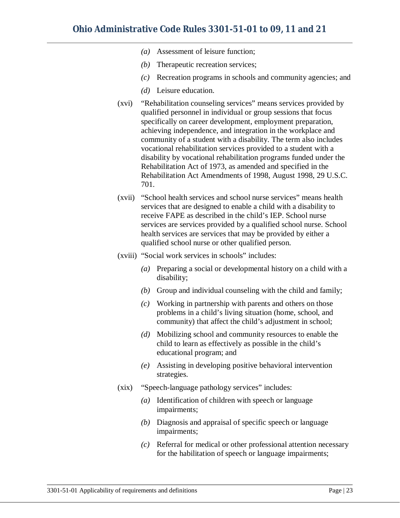- *(a)* Assessment of leisure function;
- *(b)* Therapeutic recreation services;
- *(c)* Recreation programs in schools and community agencies; and
- *(d)* Leisure education.
- (xvi) "Rehabilitation counseling services" means services provided by qualified personnel in individual or group sessions that focus specifically on career development, employment preparation, achieving independence, and integration in the workplace and community of a student with a disability. The term also includes vocational rehabilitation services provided to a student with a disability by vocational rehabilitation programs funded under the Rehabilitation Act of 1973, as amended and specified in the Rehabilitation Act Amendments of 1998, August 1998, 29 U.S.C. 701.
- (xvii) "School health services and school nurse services" means health services that are designed to enable a child with a disability to receive FAPE as described in the child's IEP. School nurse services are services provided by a qualified school nurse. School health services are services that may be provided by either a qualified school nurse or other qualified person.
- (xviii) "Social work services in schools" includes:
	- *(a)* Preparing a social or developmental history on a child with a disability;
	- *(b)* Group and individual counseling with the child and family;
	- *(c)* Working in partnership with parents and others on those problems in a child's living situation (home, school, and community) that affect the child's adjustment in school;
	- *(d)* Mobilizing school and community resources to enable the child to learn as effectively as possible in the child's educational program; and
	- *(e)* Assisting in developing positive behavioral intervention strategies.
- (xix) "Speech-language pathology services" includes:
	- *(a)* Identification of children with speech or language impairments;
	- *(b)* Diagnosis and appraisal of specific speech or language impairments;
	- *(c)* Referral for medical or other professional attention necessary for the habilitation of speech or language impairments;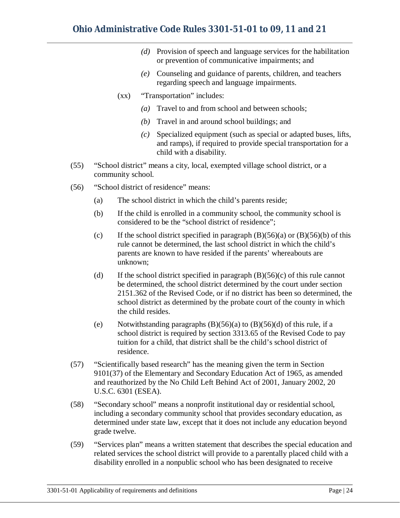- *(d)* Provision of speech and language services for the habilitation or prevention of communicative impairments; and
- *(e)* Counseling and guidance of parents, children, and teachers regarding speech and language impairments.
- (xx) "Transportation" includes:
	- *(a)* Travel to and from school and between schools;
	- *(b)* Travel in and around school buildings; and
	- *(c)* Specialized equipment (such as special or adapted buses, lifts, and ramps), if required to provide special transportation for a child with a disability.
- (55) "School district" means a city, local, exempted village school district, or a community school.
- (56) "School district of residence" means:
	- (a) The school district in which the child's parents reside;
	- (b) If the child is enrolled in a community school, the community school is considered to be the "school district of residence";
	- (c) If the school district specified in paragraph  $(B)(56)(a)$  or  $(B)(56)(b)$  of this rule cannot be determined, the last school district in which the child's parents are known to have resided if the parents' whereabouts are unknown;
	- (d) If the school district specified in paragraph  $(B)(56)(c)$  of this rule cannot be determined, the school district determined by the court under section 2151.362 of the Revised Code, or if no district has been so determined, the school district as determined by the probate court of the county in which the child resides.
	- (e) Notwithstanding paragraphs  $(B)(56)(a)$  to  $(B)(56)(d)$  of this rule, if a school district is required by section 3313.65 of the Revised Code to pay tuition for a child, that district shall be the child's school district of residence.
- (57) "Scientifically based research" has the meaning given the term in Section 9101(37) of the Elementary and Secondary Education Act of 1965, as amended and reauthorized by the No Child Left Behind Act of 2001, January 2002, 20 U.S.C. 6301 (ESEA).
- (58) "Secondary school" means a nonprofit institutional day or residential school, including a secondary community school that provides secondary education, as determined under state law, except that it does not include any education beyond grade twelve.
- (59) "Services plan" means a written statement that describes the special education and related services the school district will provide to a parentally placed child with a disability enrolled in a nonpublic school who has been designated to receive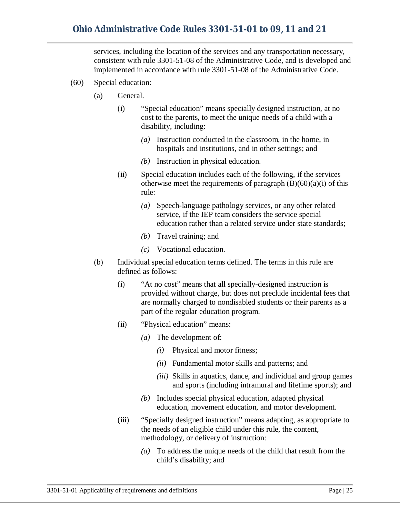services, including the location of the services and any transportation necessary, consistent with rule 3301-51-08 of the Administrative Code, and is developed and implemented in accordance with rule 3301-51-08 of the Administrative Code.

- (60) Special education:
	- (a) General.
		- (i) "Special education" means specially designed instruction, at no cost to the parents, to meet the unique needs of a child with a disability, including:
			- *(a)* Instruction conducted in the classroom, in the home, in hospitals and institutions, and in other settings; and
			- *(b)* Instruction in physical education.
		- (ii) Special education includes each of the following, if the services otherwise meet the requirements of paragraph  $(B)(60)(a)(i)$  of this rule:
			- *(a)* Speech-language pathology services, or any other related service, if the IEP team considers the service special education rather than a related service under state standards;
			- *(b)* Travel training; and
			- *(c)* Vocational education.
	- (b) Individual special education terms defined. The terms in this rule are defined as follows:
		- (i) "At no cost" means that all specially-designed instruction is provided without charge, but does not preclude incidental fees that are normally charged to nondisabled students or their parents as a part of the regular education program.
		- (ii) "Physical education" means:
			- *(a)* The development of:
				- *(i)* Physical and motor fitness;
				- *(ii)* Fundamental motor skills and patterns; and
				- *(iii)* Skills in aquatics, dance, and individual and group games and sports (including intramural and lifetime sports); and
			- *(b)* Includes special physical education, adapted physical education, movement education, and motor development.
		- (iii) "Specially designed instruction" means adapting, as appropriate to the needs of an eligible child under this rule, the content, methodology, or delivery of instruction:
			- *(a)* To address the unique needs of the child that result from the child's disability; and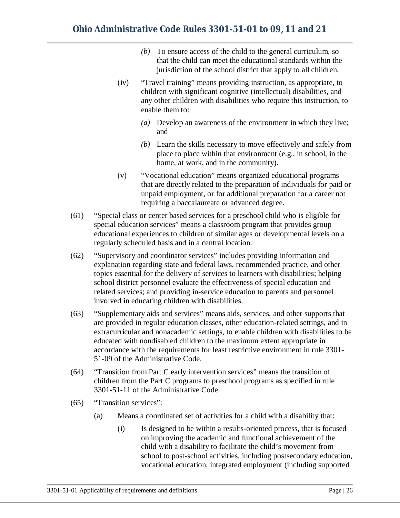- *(b)* To ensure access of the child to the general curriculum, so that the child can meet the educational standards within the jurisdiction of the school district that apply to all children.
- (iv) "Travel training" means providing instruction, as appropriate, to children with significant cognitive (intellectual) disabilities, and any other children with disabilities who require this instruction, to enable them to:
	- *(a)* Develop an awareness of the environment in which they live; and
	- *(b)* Learn the skills necessary to move effectively and safely from place to place within that environment (e.g., in school, in the home, at work, and in the community).
- (v) "Vocational education" means organized educational programs that are directly related to the preparation of individuals for paid or unpaid employment, or for additional preparation for a career not requiring a baccalaureate or advanced degree.
- (61) "Special class or center based services for a preschool child who is eligible for special education services" means a classroom program that provides group educational experiences to children of similar ages or developmental levels on a regularly scheduled basis and in a central location.
- (62) "Supervisory and coordinator services" includes providing information and explanation regarding state and federal laws, recommended practice, and other topics essential for the delivery of services to learners with disabilities; helping school district personnel evaluate the effectiveness of special education and related services; and providing in-service education to parents and personnel involved in educating children with disabilities.
- (63) "Supplementary aids and services" means aids, services, and other supports that are provided in regular education classes, other education-related settings, and in extracurricular and nonacademic settings, to enable children with disabilities to be educated with nondisabled children to the maximum extent appropriate in accordance with the requirements for least restrictive environment in rule 3301- 51-09 of the Administrative Code.
- (64) "Transition from Part C early intervention services" means the transition of children from the Part C programs to preschool programs as specified in rule 3301-51-11 of the Administrative Code.
- (65) "Transition services":
	- (a) Means a coordinated set of activities for a child with a disability that:
		- (i) Is designed to be within a results-oriented process, that is focused on improving the academic and functional achievement of the child with a disability to facilitate the child's movement from school to post-school activities, including postsecondary education, vocational education, integrated employment (including supported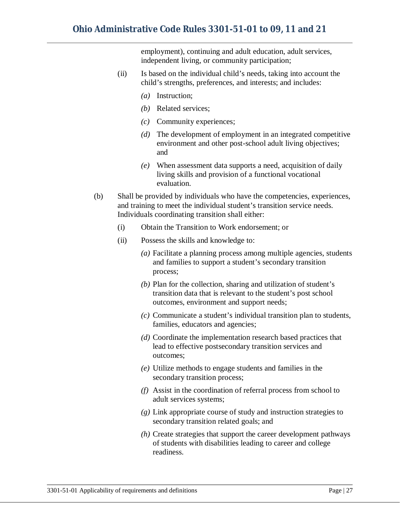employment), continuing and adult education, adult services, independent living, or community participation;

- (ii) Is based on the individual child's needs, taking into account the child's strengths, preferences, and interests; and includes:
	- *(a)* Instruction;
	- *(b)* Related services;
	- *(c)* Community experiences;
	- *(d)* The development of employment in an integrated competitive environment and other post-school adult living objectives; and
	- *(e)* When assessment data supports a need, acquisition of daily living skills and provision of a functional vocational evaluation.
- (b) Shall be provided by individuals who have the competencies, experiences, and training to meet the individual student's transition service needs. Individuals coordinating transition shall either:
	- (i) Obtain the Transition to Work endorsement; or
	- (ii) Possess the skills and knowledge to:
		- *(a)* Facilitate a planning process among multiple agencies, students and families to support a student's secondary transition process;
		- *(b)* Plan for the collection, sharing and utilization of student's transition data that is relevant to the student's post school outcomes, environment and support needs;
		- *(c)* Communicate a student's individual transition plan to students, families, educators and agencies;
		- *(d)* Coordinate the implementation research based practices that lead to effective postsecondary transition services and outcomes;
		- *(e)* Utilize methods to engage students and families in the secondary transition process;
		- *(f)* Assist in the coordination of referral process from school to adult services systems;
		- *(g)* Link appropriate course of study and instruction strategies to secondary transition related goals; and
		- *(h)* Create strategies that support the career development pathways of students with disabilities leading to career and college readiness.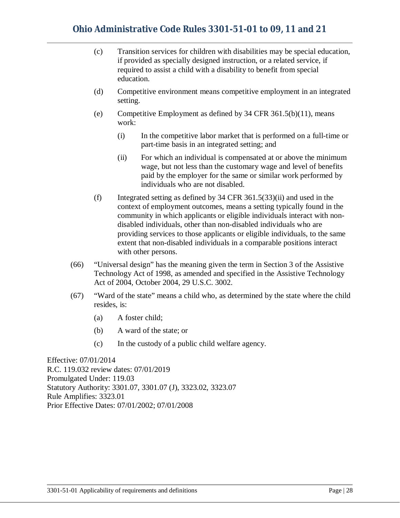- (c) Transition services for children with disabilities may be special education, if provided as specially designed instruction, or a related service, if required to assist a child with a disability to benefit from special education.
- (d) Competitive environment means competitive employment in an integrated setting.
- (e) Competitive Employment as defined by  $34$  CFR  $361.5(b)(11)$ , means work:
	- (i) In the competitive labor market that is performed on a full-time or part-time basis in an integrated setting; and
	- (ii) For which an individual is compensated at or above the minimum wage, but not less than the customary wage and level of benefits paid by the employer for the same or similar work performed by individuals who are not disabled.
- (f) Integrated setting as defined by 34 CFR 361.5(33)(ii) and used in the context of employment outcomes, means a setting typically found in the community in which applicants or eligible individuals interact with nondisabled individuals, other than non-disabled individuals who are providing services to those applicants or eligible individuals, to the same extent that non-disabled individuals in a comparable positions interact with other persons.
- (66) "Universal design" has the meaning given the term in Section 3 of the Assistive Technology Act of 1998, as amended and specified in the Assistive Technology Act of 2004, October 2004, 29 U.S.C. 3002.
- (67) "Ward of the state" means a child who, as determined by the state where the child resides, is:
	- (a) A foster child;
	- (b) A ward of the state; or
	- (c) In the custody of a public child welfare agency.

Effective: 07/01/2014 R.C. 119.032 review dates: 07/01/2019 Promulgated Under: 119.03 Statutory Authority: 3301.07, 3301.07 (J), 3323.02, 3323.07 Rule Amplifies: 3323.01 Prior Effective Dates: 07/01/2002; 07/01/2008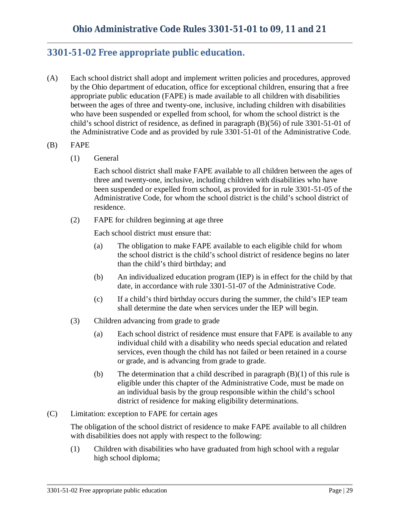#### **3301-51-02 Free appropriate public education.**

- (A) Each school district shall adopt and implement written policies and procedures, approved by the Ohio department of education, office for exceptional children, ensuring that a free appropriate public education (FAPE) is made available to all children with disabilities between the ages of three and twenty-one, inclusive, including children with disabilities who have been suspended or expelled from school, for whom the school district is the child's school district of residence, as defined in paragraph (B)(56) of rule 3301-51-01 of the Administrative Code and as provided by rule 3301-51-01 of the Administrative Code.
- (B) FAPE
	- (1) General

Each school district shall make FAPE available to all children between the ages of three and twenty-one, inclusive, including children with disabilities who have been suspended or expelled from school, as provided for in rule 3301-51-05 of the Administrative Code, for whom the school district is the child's school district of residence.

(2) FAPE for children beginning at age three

Each school district must ensure that:

- (a) The obligation to make FAPE available to each eligible child for whom the school district is the child's school district of residence begins no later than the child's third birthday; and
- (b) An individualized education program (IEP) is in effect for the child by that date, in accordance with rule 3301-51-07 of the Administrative Code.
- (c) If a child's third birthday occurs during the summer, the child's IEP team shall determine the date when services under the IEP will begin.
- (3) Children advancing from grade to grade
	- (a) Each school district of residence must ensure that FAPE is available to any individual child with a disability who needs special education and related services, even though the child has not failed or been retained in a course or grade, and is advancing from grade to grade.
	- (b) The determination that a child described in paragraph  $(B)(1)$  of this rule is eligible under this chapter of the Administrative Code, must be made on an individual basis by the group responsible within the child's school district of residence for making eligibility determinations.
- (C) Limitation: exception to FAPE for certain ages

The obligation of the school district of residence to make FAPE available to all children with disabilities does not apply with respect to the following:

(1) Children with disabilities who have graduated from high school with a regular high school diploma;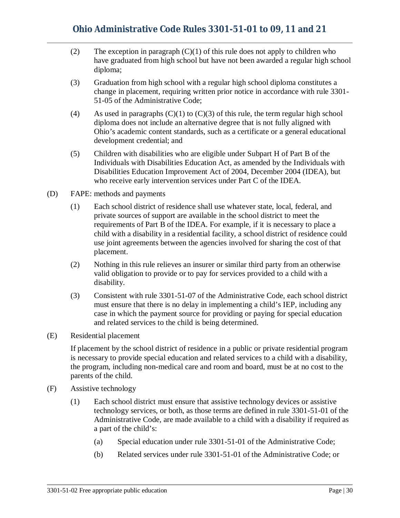- (2) The exception in paragraph  $(C)(1)$  of this rule does not apply to children who have graduated from high school but have not been awarded a regular high school diploma;
- (3) Graduation from high school with a regular high school diploma constitutes a change in placement, requiring written prior notice in accordance with rule 3301- 51-05 of the Administrative Code;
- (4) As used in paragraphs  $(C)(1)$  to  $(C)(3)$  of this rule, the term regular high school diploma does not include an alternative degree that is not fully aligned with Ohio's academic content standards, such as a certificate or a general educational development credential; and
- (5) Children with disabilities who are eligible under Subpart H of Part B of the Individuals with Disabilities Education Act, as amended by the Individuals with Disabilities Education Improvement Act of 2004, December 2004 (IDEA), but who receive early intervention services under Part C of the IDEA.
- (D) FAPE: methods and payments
	- (1) Each school district of residence shall use whatever state, local, federal, and private sources of support are available in the school district to meet the requirements of Part B of the IDEA. For example, if it is necessary to place a child with a disability in a residential facility, a school district of residence could use joint agreements between the agencies involved for sharing the cost of that placement.
	- (2) Nothing in this rule relieves an insurer or similar third party from an otherwise valid obligation to provide or to pay for services provided to a child with a disability.
	- (3) Consistent with rule 3301-51-07 of the Administrative Code, each school district must ensure that there is no delay in implementing a child's IEP, including any case in which the payment source for providing or paying for special education and related services to the child is being determined.
- (E) Residential placement

If placement by the school district of residence in a public or private residential program is necessary to provide special education and related services to a child with a disability, the program, including non-medical care and room and board, must be at no cost to the parents of the child.

- (F) Assistive technology
	- (1) Each school district must ensure that assistive technology devices or assistive technology services, or both, as those terms are defined in rule 3301-51-01 of the Administrative Code, are made available to a child with a disability if required as a part of the child's:
		- (a) Special education under rule 3301-51-01 of the Administrative Code;
		- (b) Related services under rule 3301-51-01 of the Administrative Code; or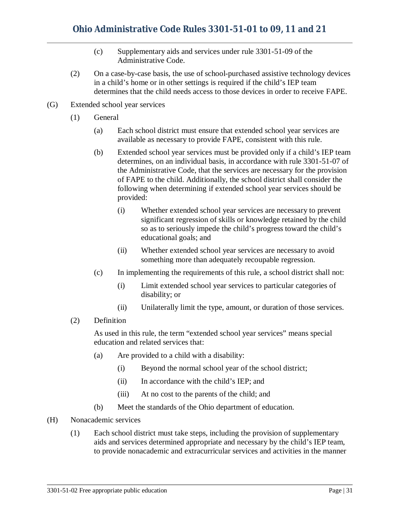- (c) Supplementary aids and services under rule 3301-51-09 of the Administrative Code.
- (2) On a case-by-case basis, the use of school-purchased assistive technology devices in a child's home or in other settings is required if the child's IEP team determines that the child needs access to those devices in order to receive FAPE.
- (G) Extended school year services
	- (1) General
		- (a) Each school district must ensure that extended school year services are available as necessary to provide FAPE, consistent with this rule.
		- (b) Extended school year services must be provided only if a child's IEP team determines, on an individual basis, in accordance with rule 3301-51-07 of the Administrative Code, that the services are necessary for the provision of FAPE to the child. Additionally, the school district shall consider the following when determining if extended school year services should be provided:
			- (i) Whether extended school year services are necessary to prevent significant regression of skills or knowledge retained by the child so as to seriously impede the child's progress toward the child's educational goals; and
			- (ii) Whether extended school year services are necessary to avoid something more than adequately recoupable regression.
		- (c) In implementing the requirements of this rule, a school district shall not:
			- (i) Limit extended school year services to particular categories of disability; or
			- (ii) Unilaterally limit the type, amount, or duration of those services.
	- (2) Definition

As used in this rule, the term "extended school year services" means special education and related services that:

- (a) Are provided to a child with a disability:
	- (i) Beyond the normal school year of the school district;
	- (ii) In accordance with the child's IEP; and
	- (iii) At no cost to the parents of the child; and
- (b) Meet the standards of the Ohio department of education.
- (H) Nonacademic services
	- (1) Each school district must take steps, including the provision of supplementary aids and services determined appropriate and necessary by the child's IEP team, to provide nonacademic and extracurricular services and activities in the manner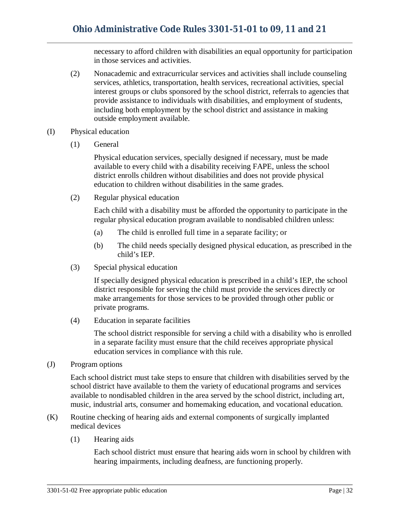necessary to afford children with disabilities an equal opportunity for participation in those services and activities.

- (2) Nonacademic and extracurricular services and activities shall include counseling services, athletics, transportation, health services, recreational activities, special interest groups or clubs sponsored by the school district, referrals to agencies that provide assistance to individuals with disabilities, and employment of students, including both employment by the school district and assistance in making outside employment available.
- (I) Physical education
	- (1) General

Physical education services, specially designed if necessary, must be made available to every child with a disability receiving FAPE, unless the school district enrolls children without disabilities and does not provide physical education to children without disabilities in the same grades.

(2) Regular physical education

Each child with a disability must be afforded the opportunity to participate in the regular physical education program available to nondisabled children unless:

- (a) The child is enrolled full time in a separate facility; or
- (b) The child needs specially designed physical education, as prescribed in the child's IEP.
- (3) Special physical education

If specially designed physical education is prescribed in a child's IEP, the school district responsible for serving the child must provide the services directly or make arrangements for those services to be provided through other public or private programs.

(4) Education in separate facilities

The school district responsible for serving a child with a disability who is enrolled in a separate facility must ensure that the child receives appropriate physical education services in compliance with this rule.

(J) Program options

Each school district must take steps to ensure that children with disabilities served by the school district have available to them the variety of educational programs and services available to nondisabled children in the area served by the school district, including art, music, industrial arts, consumer and homemaking education, and vocational education.

- (K) Routine checking of hearing aids and external components of surgically implanted medical devices
	- (1) Hearing aids

Each school district must ensure that hearing aids worn in school by children with hearing impairments, including deafness, are functioning properly.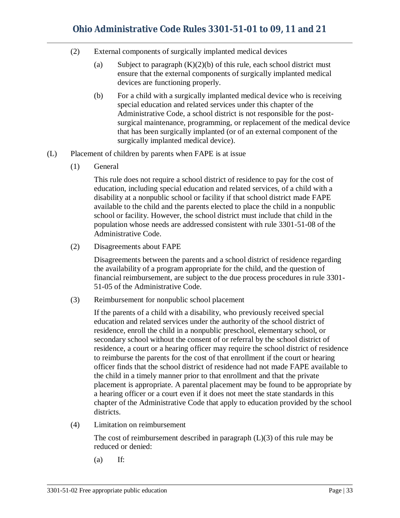- (2) External components of surgically implanted medical devices
	- (a) Subject to paragraph  $(K)(2)(b)$  of this rule, each school district must ensure that the external components of surgically implanted medical devices are functioning properly.
	- (b) For a child with a surgically implanted medical device who is receiving special education and related services under this chapter of the Administrative Code, a school district is not responsible for the postsurgical maintenance, programming, or replacement of the medical device that has been surgically implanted (or of an external component of the surgically implanted medical device).
- (L) Placement of children by parents when FAPE is at issue
	- (1) General

This rule does not require a school district of residence to pay for the cost of education, including special education and related services, of a child with a disability at a nonpublic school or facility if that school district made FAPE available to the child and the parents elected to place the child in a nonpublic school or facility. However, the school district must include that child in the population whose needs are addressed consistent with rule 3301-51-08 of the Administrative Code.

(2) Disagreements about FAPE

Disagreements between the parents and a school district of residence regarding the availability of a program appropriate for the child, and the question of financial reimbursement, are subject to the due process procedures in rule 3301- 51-05 of the Administrative Code.

(3) Reimbursement for nonpublic school placement

If the parents of a child with a disability, who previously received special education and related services under the authority of the school district of residence, enroll the child in a nonpublic preschool, elementary school, or secondary school without the consent of or referral by the school district of residence, a court or a hearing officer may require the school district of residence to reimburse the parents for the cost of that enrollment if the court or hearing officer finds that the school district of residence had not made FAPE available to the child in a timely manner prior to that enrollment and that the private placement is appropriate. A parental placement may be found to be appropriate by a hearing officer or a court even if it does not meet the state standards in this chapter of the Administrative Code that apply to education provided by the school districts.

(4) Limitation on reimbursement

The cost of reimbursement described in paragraph  $(L)(3)$  of this rule may be reduced or denied:

 $(a)$  If: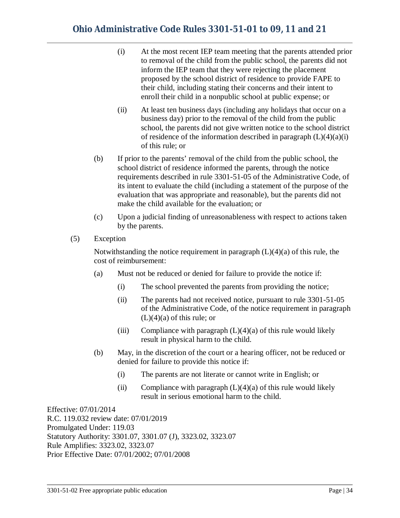- (i) At the most recent IEP team meeting that the parents attended prior to removal of the child from the public school, the parents did not inform the IEP team that they were rejecting the placement proposed by the school district of residence to provide FAPE to their child, including stating their concerns and their intent to enroll their child in a nonpublic school at public expense; or
- (ii) At least ten business days (including any holidays that occur on a business day) prior to the removal of the child from the public school, the parents did not give written notice to the school district of residence of the information described in paragraph  $(L)(4)(a)(i)$ of this rule; or
- (b) If prior to the parents' removal of the child from the public school, the school district of residence informed the parents, through the notice requirements described in rule 3301-51-05 of the Administrative Code, of its intent to evaluate the child (including a statement of the purpose of the evaluation that was appropriate and reasonable), but the parents did not make the child available for the evaluation; or
- (c) Upon a judicial finding of unreasonableness with respect to actions taken by the parents.
- (5) Exception

Notwithstanding the notice requirement in paragraph  $(L)(4)(a)$  of this rule, the cost of reimbursement:

- (a) Must not be reduced or denied for failure to provide the notice if:
	- (i) The school prevented the parents from providing the notice;
	- (ii) The parents had not received notice, pursuant to rule 3301-51-05 of the Administrative Code, of the notice requirement in paragraph  $(L)(4)(a)$  of this rule; or
	- (iii) Compliance with paragraph  $(L)(4)(a)$  of this rule would likely result in physical harm to the child.
- (b) May, in the discretion of the court or a hearing officer, not be reduced or denied for failure to provide this notice if:
	- (i) The parents are not literate or cannot write in English; or
	- (ii) Compliance with paragraph  $(L)(4)(a)$  of this rule would likely result in serious emotional harm to the child.

Effective: 07/01/2014 R.C. 119.032 review date: 07/01/2019 Promulgated Under: 119.03 Statutory Authority: 3301.07, 3301.07 (J), 3323.02, 3323.07 Rule Amplifies: 3323.02, 3323.07 Prior Effective Date: 07/01/2002; 07/01/2008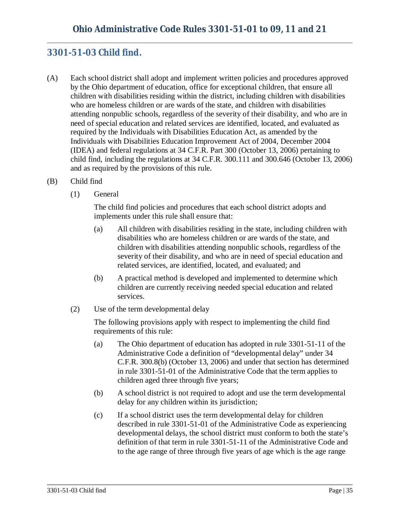#### **3301-51-03 Child find.**

- (A) Each school district shall adopt and implement written policies and procedures approved by the Ohio department of education, office for exceptional children, that ensure all children with disabilities residing within the district, including children with disabilities who are homeless children or are wards of the state, and children with disabilities attending nonpublic schools, regardless of the severity of their disability, and who are in need of special education and related services are identified, located, and evaluated as required by the Individuals with Disabilities Education Act, as amended by the Individuals with Disabilities Education Improvement Act of 2004, December 2004 (IDEA) and federal regulations at 34 C.F.R. Part 300 (October 13, 2006) pertaining to child find, including the regulations at 34 C.F.R. 300.111 and 300.646 (October 13, 2006) and as required by the provisions of this rule.
- (B) Child find
	- (1) General

The child find policies and procedures that each school district adopts and implements under this rule shall ensure that:

- (a) All children with disabilities residing in the state, including children with disabilities who are homeless children or are wards of the state, and children with disabilities attending nonpublic schools, regardless of the severity of their disability, and who are in need of special education and related services, are identified, located, and evaluated; and
- (b) A practical method is developed and implemented to determine which children are currently receiving needed special education and related services.
- (2) Use of the term developmental delay

The following provisions apply with respect to implementing the child find requirements of this rule:

- (a) The Ohio department of education has adopted in rule 3301-51-11 of the Administrative Code a definition of "developmental delay" under 34 C.F.R. 300.8(b) (October 13, 2006) and under that section has determined in rule 3301-51-01 of the Administrative Code that the term applies to children aged three through five years;
- (b) A school district is not required to adopt and use the term developmental delay for any children within its jurisdiction;
- (c) If a school district uses the term developmental delay for children described in rule 3301-51-01 of the Administrative Code as experiencing developmental delays, the school district must conform to both the state's definition of that term in rule 3301-51-11 of the Administrative Code and to the age range of three through five years of age which is the age range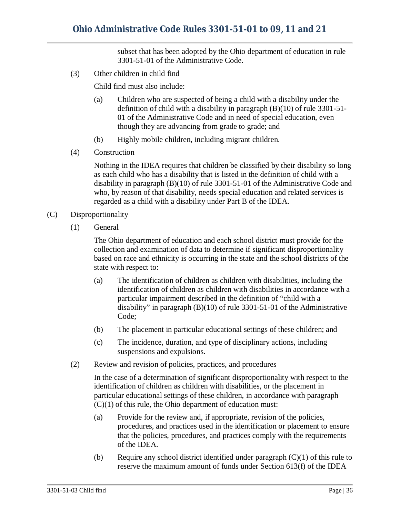subset that has been adopted by the Ohio department of education in rule 3301-51-01 of the Administrative Code.

(3) Other children in child find

Child find must also include:

- (a) Children who are suspected of being a child with a disability under the definition of child with a disability in paragraph (B)(10) of rule 3301-51- 01 of the Administrative Code and in need of special education, even though they are advancing from grade to grade; and
- (b) Highly mobile children, including migrant children.
- (4) Construction

Nothing in the IDEA requires that children be classified by their disability so long as each child who has a disability that is listed in the definition of child with a disability in paragraph (B)(10) of rule 3301-51-01 of the Administrative Code and who, by reason of that disability, needs special education and related services is regarded as a child with a disability under Part B of the IDEA.

- (C) Disproportionality
	- (1) General

The Ohio department of education and each school district must provide for the collection and examination of data to determine if significant disproportionality based on race and ethnicity is occurring in the state and the school districts of the state with respect to:

- (a) The identification of children as children with disabilities, including the identification of children as children with disabilities in accordance with a particular impairment described in the definition of "child with a disability" in paragraph (B)(10) of rule 3301-51-01 of the Administrative Code;
- (b) The placement in particular educational settings of these children; and
- (c) The incidence, duration, and type of disciplinary actions, including suspensions and expulsions.
- (2) Review and revision of policies, practices, and procedures

In the case of a determination of significant disproportionality with respect to the identification of children as children with disabilities, or the placement in particular educational settings of these children, in accordance with paragraph  $(C)(1)$  of this rule, the Ohio department of education must:

- (a) Provide for the review and, if appropriate, revision of the policies, procedures, and practices used in the identification or placement to ensure that the policies, procedures, and practices comply with the requirements of the IDEA.
- (b) Require any school district identified under paragraph  $(C)(1)$  of this rule to reserve the maximum amount of funds under Section 613(f) of the IDEA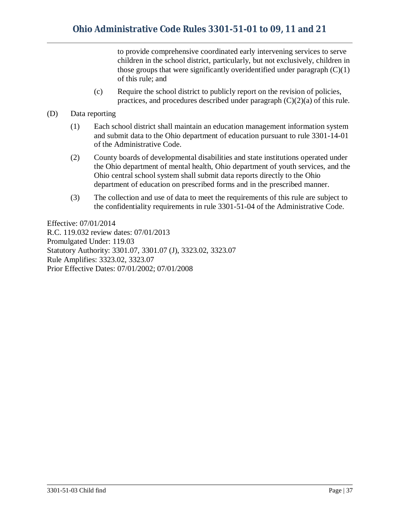to provide comprehensive coordinated early intervening services to serve children in the school district, particularly, but not exclusively, children in those groups that were significantly overidentified under paragraph  $(C)(1)$ of this rule; and

- (c) Require the school district to publicly report on the revision of policies, practices, and procedures described under paragraph  $(C)(2)(a)$  of this rule.
- (D) Data reporting
	- (1) Each school district shall maintain an education management information system and submit data to the Ohio department of education pursuant to rule 3301-14-01 of the Administrative Code.
	- (2) County boards of developmental disabilities and state institutions operated under the Ohio department of mental health, Ohio department of youth services, and the Ohio central school system shall submit data reports directly to the Ohio department of education on prescribed forms and in the prescribed manner.
	- (3) The collection and use of data to meet the requirements of this rule are subject to the confidentiality requirements in rule 3301-51-04 of the Administrative Code.

Effective: 07/01/2014 R.C. 119.032 review dates: 07/01/2013 Promulgated Under: 119.03 Statutory Authority: 3301.07, 3301.07 (J), 3323.02, 3323.07 Rule Amplifies: 3323.02, 3323.07 Prior Effective Dates: 07/01/2002; 07/01/2008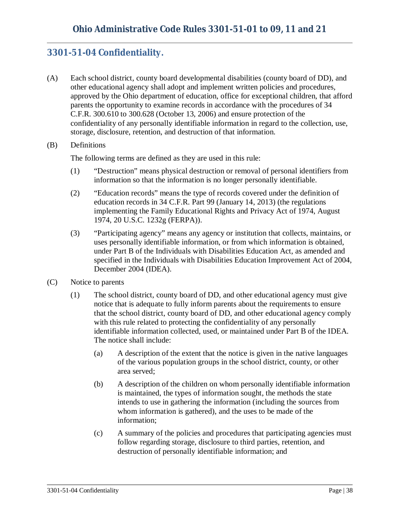### **3301-51-04 Confidentiality.**

- (A) Each school district, county board developmental disabilities (county board of DD), and other educational agency shall adopt and implement written policies and procedures, approved by the Ohio department of education, office for exceptional children, that afford parents the opportunity to examine records in accordance with the procedures of 34 C.F.R. 300.610 to 300.628 (October 13, 2006) and ensure protection of the confidentiality of any personally identifiable information in regard to the collection, use, storage, disclosure, retention, and destruction of that information.
- (B) Definitions

The following terms are defined as they are used in this rule:

- (1) "Destruction" means physical destruction or removal of personal identifiers from information so that the information is no longer personally identifiable.
- (2) "Education records" means the type of records covered under the definition of education records in 34 C.F.R. Part 99 (January 14, 2013) (the regulations implementing the Family Educational Rights and Privacy Act of 1974, August 1974, 20 U.S.C. 1232g (FERPA)).
- (3) "Participating agency" means any agency or institution that collects, maintains, or uses personally identifiable information, or from which information is obtained, under Part B of the Individuals with Disabilities Education Act, as amended and specified in the Individuals with Disabilities Education Improvement Act of 2004, December 2004 (IDEA).
- (C) Notice to parents
	- (1) The school district, county board of DD, and other educational agency must give notice that is adequate to fully inform parents about the requirements to ensure that the school district, county board of DD, and other educational agency comply with this rule related to protecting the confidentiality of any personally identifiable information collected, used, or maintained under Part B of the IDEA. The notice shall include:
		- (a) A description of the extent that the notice is given in the native languages of the various population groups in the school district, county, or other area served;
		- (b) A description of the children on whom personally identifiable information is maintained, the types of information sought, the methods the state intends to use in gathering the information (including the sources from whom information is gathered), and the uses to be made of the information;
		- (c) A summary of the policies and procedures that participating agencies must follow regarding storage, disclosure to third parties, retention, and destruction of personally identifiable information; and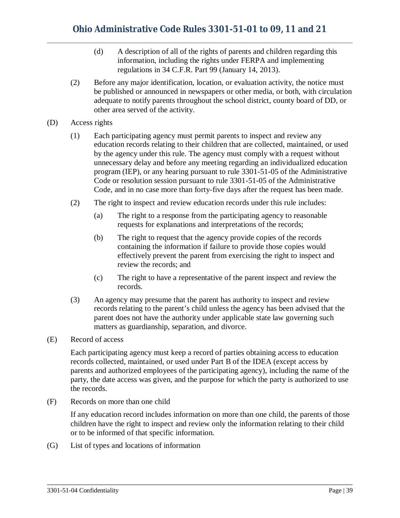- (d) A description of all of the rights of parents and children regarding this information, including the rights under FERPA and implementing regulations in 34 C.F.R. Part 99 (January 14, 2013).
- (2) Before any major identification, location, or evaluation activity, the notice must be published or announced in newspapers or other media, or both, with circulation adequate to notify parents throughout the school district, county board of DD, or other area served of the activity.
- (D) Access rights
	- (1) Each participating agency must permit parents to inspect and review any education records relating to their children that are collected, maintained, or used by the agency under this rule. The agency must comply with a request without unnecessary delay and before any meeting regarding an individualized education program (IEP), or any hearing pursuant to rule 3301-51-05 of the Administrative Code or resolution session pursuant to rule 3301-51-05 of the Administrative Code, and in no case more than forty-five days after the request has been made.
	- (2) The right to inspect and review education records under this rule includes:
		- (a) The right to a response from the participating agency to reasonable requests for explanations and interpretations of the records;
		- (b) The right to request that the agency provide copies of the records containing the information if failure to provide those copies would effectively prevent the parent from exercising the right to inspect and review the records; and
		- (c) The right to have a representative of the parent inspect and review the records.
	- (3) An agency may presume that the parent has authority to inspect and review records relating to the parent's child unless the agency has been advised that the parent does not have the authority under applicable state law governing such matters as guardianship, separation, and divorce.
- (E) Record of access

Each participating agency must keep a record of parties obtaining access to education records collected, maintained, or used under Part B of the IDEA (except access by parents and authorized employees of the participating agency), including the name of the party, the date access was given, and the purpose for which the party is authorized to use the records.

(F) Records on more than one child

If any education record includes information on more than one child, the parents of those children have the right to inspect and review only the information relating to their child or to be informed of that specific information.

(G) List of types and locations of information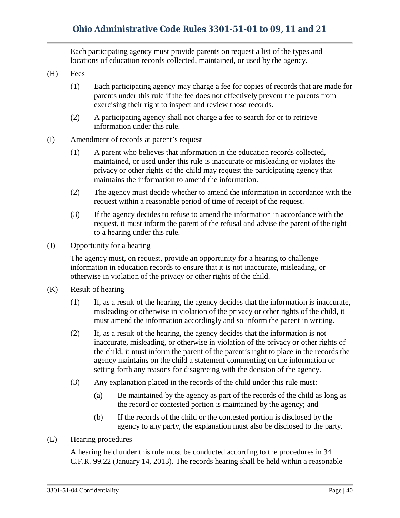Each participating agency must provide parents on request a list of the types and locations of education records collected, maintained, or used by the agency.

- (H) Fees
	- (1) Each participating agency may charge a fee for copies of records that are made for parents under this rule if the fee does not effectively prevent the parents from exercising their right to inspect and review those records.
	- (2) A participating agency shall not charge a fee to search for or to retrieve information under this rule.
- (I) Amendment of records at parent's request
	- (1) A parent who believes that information in the education records collected, maintained, or used under this rule is inaccurate or misleading or violates the privacy or other rights of the child may request the participating agency that maintains the information to amend the information.
	- (2) The agency must decide whether to amend the information in accordance with the request within a reasonable period of time of receipt of the request.
	- (3) If the agency decides to refuse to amend the information in accordance with the request, it must inform the parent of the refusal and advise the parent of the right to a hearing under this rule.
- (J) Opportunity for a hearing

The agency must, on request, provide an opportunity for a hearing to challenge information in education records to ensure that it is not inaccurate, misleading, or otherwise in violation of the privacy or other rights of the child.

- (K) Result of hearing
	- (1) If, as a result of the hearing, the agency decides that the information is inaccurate, misleading or otherwise in violation of the privacy or other rights of the child, it must amend the information accordingly and so inform the parent in writing.
	- (2) If, as a result of the hearing, the agency decides that the information is not inaccurate, misleading, or otherwise in violation of the privacy or other rights of the child, it must inform the parent of the parent's right to place in the records the agency maintains on the child a statement commenting on the information or setting forth any reasons for disagreeing with the decision of the agency.
	- (3) Any explanation placed in the records of the child under this rule must:
		- (a) Be maintained by the agency as part of the records of the child as long as the record or contested portion is maintained by the agency; and
		- (b) If the records of the child or the contested portion is disclosed by the agency to any party, the explanation must also be disclosed to the party.
- (L) Hearing procedures

A hearing held under this rule must be conducted according to the procedures in 34 C.F.R. 99.22 (January 14, 2013). The records hearing shall be held within a reasonable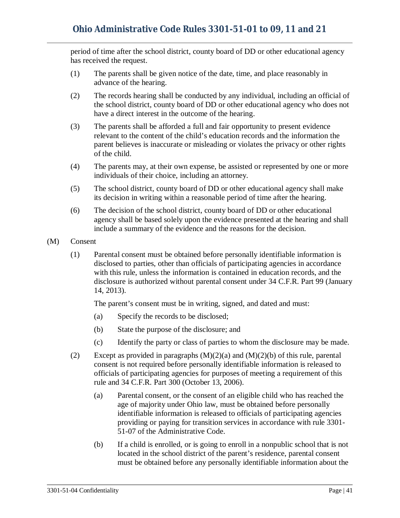period of time after the school district, county board of DD or other educational agency has received the request.

- (1) The parents shall be given notice of the date, time, and place reasonably in advance of the hearing.
- (2) The records hearing shall be conducted by any individual, including an official of the school district, county board of DD or other educational agency who does not have a direct interest in the outcome of the hearing.
- (3) The parents shall be afforded a full and fair opportunity to present evidence relevant to the content of the child's education records and the information the parent believes is inaccurate or misleading or violates the privacy or other rights of the child.
- (4) The parents may, at their own expense, be assisted or represented by one or more individuals of their choice, including an attorney.
- (5) The school district, county board of DD or other educational agency shall make its decision in writing within a reasonable period of time after the hearing.
- (6) The decision of the school district, county board of DD or other educational agency shall be based solely upon the evidence presented at the hearing and shall include a summary of the evidence and the reasons for the decision.
- (M) Consent
	- (1) Parental consent must be obtained before personally identifiable information is disclosed to parties, other than officials of participating agencies in accordance with this rule, unless the information is contained in education records, and the disclosure is authorized without parental consent under 34 C.F.R. Part 99 (January 14, 2013).

The parent's consent must be in writing, signed, and dated and must:

- (a) Specify the records to be disclosed;
- (b) State the purpose of the disclosure; and
- (c) Identify the party or class of parties to whom the disclosure may be made.
- (2) Except as provided in paragraphs (M)(2)(a) and (M)(2)(b) of this rule, parental consent is not required before personally identifiable information is released to officials of participating agencies for purposes of meeting a requirement of this rule and 34 C.F.R. Part 300 (October 13, 2006).
	- (a) Parental consent, or the consent of an eligible child who has reached the age of majority under Ohio law, must be obtained before personally identifiable information is released to officials of participating agencies providing or paying for transition services in accordance with rule 3301- 51-07 of the Administrative Code.
	- (b) If a child is enrolled, or is going to enroll in a nonpublic school that is not located in the school district of the parent's residence, parental consent must be obtained before any personally identifiable information about the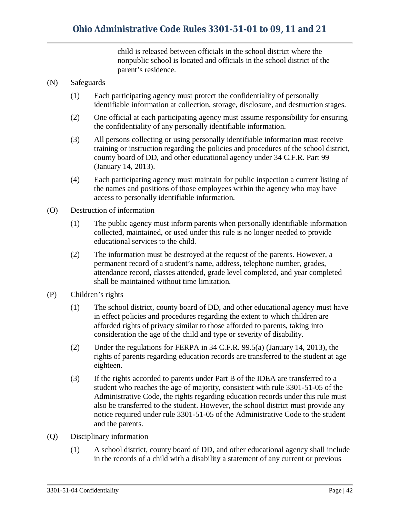child is released between officials in the school district where the nonpublic school is located and officials in the school district of the parent's residence.

#### (N) Safeguards

- (1) Each participating agency must protect the confidentiality of personally identifiable information at collection, storage, disclosure, and destruction stages.
- (2) One official at each participating agency must assume responsibility for ensuring the confidentiality of any personally identifiable information.
- (3) All persons collecting or using personally identifiable information must receive training or instruction regarding the policies and procedures of the school district, county board of DD, and other educational agency under 34 C.F.R. Part 99 (January 14, 2013).
- (4) Each participating agency must maintain for public inspection a current listing of the names and positions of those employees within the agency who may have access to personally identifiable information.
- (O) Destruction of information
	- (1) The public agency must inform parents when personally identifiable information collected, maintained, or used under this rule is no longer needed to provide educational services to the child.
	- (2) The information must be destroyed at the request of the parents. However, a permanent record of a student's name, address, telephone number, grades, attendance record, classes attended, grade level completed, and year completed shall be maintained without time limitation.
- (P) Children's rights
	- (1) The school district, county board of DD, and other educational agency must have in effect policies and procedures regarding the extent to which children are afforded rights of privacy similar to those afforded to parents, taking into consideration the age of the child and type or severity of disability.
	- (2) Under the regulations for FERPA in 34 C.F.R. 99.5(a) (January 14, 2013), the rights of parents regarding education records are transferred to the student at age eighteen.
	- (3) If the rights accorded to parents under Part B of the IDEA are transferred to a student who reaches the age of majority, consistent with rule 3301-51-05 of the Administrative Code, the rights regarding education records under this rule must also be transferred to the student. However, the school district must provide any notice required under rule 3301-51-05 of the Administrative Code to the student and the parents.
- (Q) Disciplinary information
	- (1) A school district, county board of DD, and other educational agency shall include in the records of a child with a disability a statement of any current or previous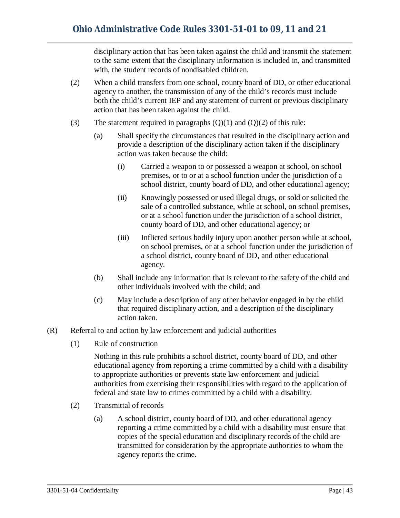disciplinary action that has been taken against the child and transmit the statement to the same extent that the disciplinary information is included in, and transmitted with, the student records of nondisabled children.

- (2) When a child transfers from one school, county board of DD, or other educational agency to another, the transmission of any of the child's records must include both the child's current IEP and any statement of current or previous disciplinary action that has been taken against the child.
- (3) The statement required in paragraphs  $(Q)(1)$  and  $(Q)(2)$  of this rule:
	- (a) Shall specify the circumstances that resulted in the disciplinary action and provide a description of the disciplinary action taken if the disciplinary action was taken because the child:
		- (i) Carried a weapon to or possessed a weapon at school, on school premises, or to or at a school function under the jurisdiction of a school district, county board of DD, and other educational agency;
		- (ii) Knowingly possessed or used illegal drugs, or sold or solicited the sale of a controlled substance, while at school, on school premises, or at a school function under the jurisdiction of a school district, county board of DD, and other educational agency; or
		- (iii) Inflicted serious bodily injury upon another person while at school, on school premises, or at a school function under the jurisdiction of a school district, county board of DD, and other educational agency.
	- (b) Shall include any information that is relevant to the safety of the child and other individuals involved with the child; and
	- (c) May include a description of any other behavior engaged in by the child that required disciplinary action, and a description of the disciplinary action taken.
- (R) Referral to and action by law enforcement and judicial authorities
	- (1) Rule of construction

Nothing in this rule prohibits a school district, county board of DD, and other educational agency from reporting a crime committed by a child with a disability to appropriate authorities or prevents state law enforcement and judicial authorities from exercising their responsibilities with regard to the application of federal and state law to crimes committed by a child with a disability.

- (2) Transmittal of records
	- (a) A school district, county board of DD, and other educational agency reporting a crime committed by a child with a disability must ensure that copies of the special education and disciplinary records of the child are transmitted for consideration by the appropriate authorities to whom the agency reports the crime.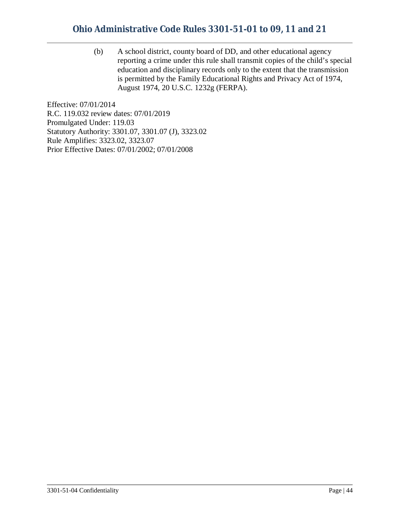(b) A school district, county board of DD, and other educational agency reporting a crime under this rule shall transmit copies of the child's special education and disciplinary records only to the extent that the transmission is permitted by the Family Educational Rights and Privacy Act of 1974, August 1974, 20 U.S.C. 1232g (FERPA).

Effective: 07/01/2014 R.C. 119.032 review dates: 07/01/2019 Promulgated Under: 119.03 Statutory Authority: 3301.07, 3301.07 (J), 3323.02 Rule Amplifies: 3323.02, 3323.07 Prior Effective Dates: 07/01/2002; 07/01/2008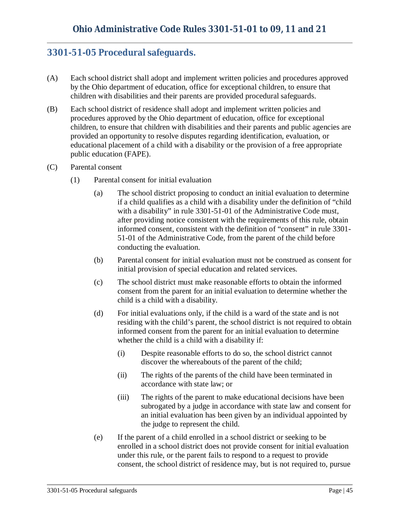### **3301-51-05 Procedural safeguards.**

- (A) Each school district shall adopt and implement written policies and procedures approved by the Ohio department of education, office for exceptional children, to ensure that children with disabilities and their parents are provided procedural safeguards.
- (B) Each school district of residence shall adopt and implement written policies and procedures approved by the Ohio department of education, office for exceptional children, to ensure that children with disabilities and their parents and public agencies are provided an opportunity to resolve disputes regarding identification, evaluation, or educational placement of a child with a disability or the provision of a free appropriate public education (FAPE).
- (C) Parental consent
	- (1) Parental consent for initial evaluation
		- (a) The school district proposing to conduct an initial evaluation to determine if a child qualifies as a child with a disability under the definition of "child with a disability" in rule 3301-51-01 of the Administrative Code must, after providing notice consistent with the requirements of this rule, obtain informed consent, consistent with the definition of "consent" in rule 3301- 51-01 of the Administrative Code, from the parent of the child before conducting the evaluation.
		- (b) Parental consent for initial evaluation must not be construed as consent for initial provision of special education and related services.
		- (c) The school district must make reasonable efforts to obtain the informed consent from the parent for an initial evaluation to determine whether the child is a child with a disability.
		- (d) For initial evaluations only, if the child is a ward of the state and is not residing with the child's parent, the school district is not required to obtain informed consent from the parent for an initial evaluation to determine whether the child is a child with a disability if:
			- (i) Despite reasonable efforts to do so, the school district cannot discover the whereabouts of the parent of the child;
			- (ii) The rights of the parents of the child have been terminated in accordance with state law; or
			- (iii) The rights of the parent to make educational decisions have been subrogated by a judge in accordance with state law and consent for an initial evaluation has been given by an individual appointed by the judge to represent the child.
		- (e) If the parent of a child enrolled in a school district or seeking to be enrolled in a school district does not provide consent for initial evaluation under this rule, or the parent fails to respond to a request to provide consent, the school district of residence may, but is not required to, pursue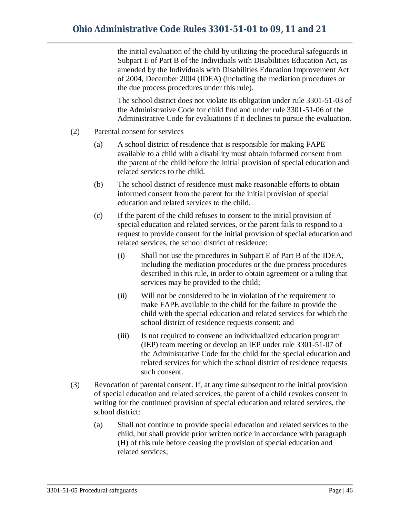the initial evaluation of the child by utilizing the procedural safeguards in Subpart E of Part B of the Individuals with Disabilities Education Act, as amended by the Individuals with Disabilities Education Improvement Act of 2004, December 2004 (IDEA) (including the mediation procedures or the due process procedures under this rule).

The school district does not violate its obligation under rule 3301-51-03 of the Administrative Code for child find and under rule 3301-51-06 of the Administrative Code for evaluations if it declines to pursue the evaluation.

- (2) Parental consent for services
	- (a) A school district of residence that is responsible for making FAPE available to a child with a disability must obtain informed consent from the parent of the child before the initial provision of special education and related services to the child.
	- (b) The school district of residence must make reasonable efforts to obtain informed consent from the parent for the initial provision of special education and related services to the child.
	- (c) If the parent of the child refuses to consent to the initial provision of special education and related services, or the parent fails to respond to a request to provide consent for the initial provision of special education and related services, the school district of residence:
		- (i) Shall not use the procedures in Subpart E of Part B of the IDEA, including the mediation procedures or the due process procedures described in this rule, in order to obtain agreement or a ruling that services may be provided to the child;
		- (ii) Will not be considered to be in violation of the requirement to make FAPE available to the child for the failure to provide the child with the special education and related services for which the school district of residence requests consent; and
		- (iii) Is not required to convene an individualized education program (IEP) team meeting or develop an IEP under rule 3301-51-07 of the Administrative Code for the child for the special education and related services for which the school district of residence requests such consent.
- (3) Revocation of parental consent. If, at any time subsequent to the initial provision of special education and related services, the parent of a child revokes consent in writing for the continued provision of special education and related services, the school district:
	- (a) Shall not continue to provide special education and related services to the child, but shall provide prior written notice in accordance with paragraph (H) of this rule before ceasing the provision of special education and related services;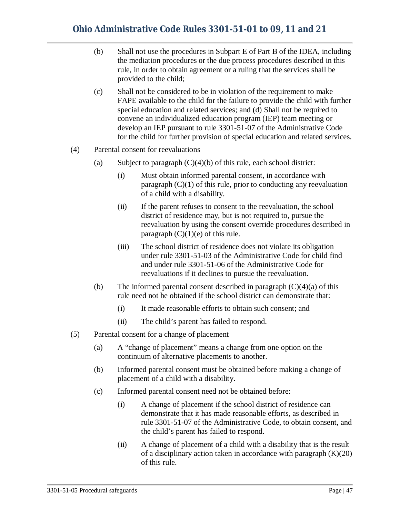- (b) Shall not use the procedures in Subpart E of Part B of the IDEA, including the mediation procedures or the due process procedures described in this rule, in order to obtain agreement or a ruling that the services shall be provided to the child;
- (c) Shall not be considered to be in violation of the requirement to make FAPE available to the child for the failure to provide the child with further special education and related services; and (d) Shall not be required to convene an individualized education program (IEP) team meeting or develop an IEP pursuant to rule 3301-51-07 of the Administrative Code for the child for further provision of special education and related services.
- (4) Parental consent for reevaluations
	- (a) Subject to paragraph  $(C)(4)(b)$  of this rule, each school district:
		- (i) Must obtain informed parental consent, in accordance with paragraph  $(C)(1)$  of this rule, prior to conducting any reevaluation of a child with a disability.
		- (ii) If the parent refuses to consent to the reevaluation, the school district of residence may, but is not required to, pursue the reevaluation by using the consent override procedures described in paragraph  $(C)(1)(e)$  of this rule.
		- (iii) The school district of residence does not violate its obligation under rule 3301-51-03 of the Administrative Code for child find and under rule 3301-51-06 of the Administrative Code for reevaluations if it declines to pursue the reevaluation.
	- (b) The informed parental consent described in paragraph  $(C)(4)(a)$  of this rule need not be obtained if the school district can demonstrate that:
		- (i) It made reasonable efforts to obtain such consent; and
		- (ii) The child's parent has failed to respond.
- (5) Parental consent for a change of placement
	- (a) A "change of placement" means a change from one option on the continuum of alternative placements to another.
	- (b) Informed parental consent must be obtained before making a change of placement of a child with a disability.
	- (c) Informed parental consent need not be obtained before:
		- (i) A change of placement if the school district of residence can demonstrate that it has made reasonable efforts, as described in rule 3301-51-07 of the Administrative Code, to obtain consent, and the child's parent has failed to respond.
		- (ii) A change of placement of a child with a disability that is the result of a disciplinary action taken in accordance with paragraph  $(K)(20)$ of this rule.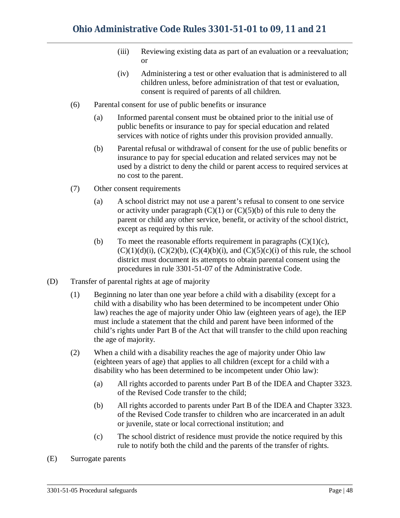- (iii) Reviewing existing data as part of an evaluation or a reevaluation; or
- (iv) Administering a test or other evaluation that is administered to all children unless, before administration of that test or evaluation, consent is required of parents of all children.
- (6) Parental consent for use of public benefits or insurance
	- (a) Informed parental consent must be obtained prior to the initial use of public benefits or insurance to pay for special education and related services with notice of rights under this provision provided annually.
	- (b) Parental refusal or withdrawal of consent for the use of public benefits or insurance to pay for special education and related services may not be used by a district to deny the child or parent access to required services at no cost to the parent.
- (7) Other consent requirements
	- (a) A school district may not use a parent's refusal to consent to one service or activity under paragraph  $(C)(1)$  or  $(C)(5)(b)$  of this rule to deny the parent or child any other service, benefit, or activity of the school district, except as required by this rule.
	- (b) To meet the reasonable efforts requirement in paragraphs  $(C)(1)(c)$ ,  $(C)(1)(d)(i)$ ,  $(C)(2)(b)$ ,  $(C)(4)(b)(i)$ , and  $(C)(5)(c)(i)$  of this rule, the school district must document its attempts to obtain parental consent using the procedures in rule 3301-51-07 of the Administrative Code.
- (D) Transfer of parental rights at age of majority
	- (1) Beginning no later than one year before a child with a disability (except for a child with a disability who has been determined to be incompetent under Ohio law) reaches the age of majority under Ohio law (eighteen years of age), the IEP must include a statement that the child and parent have been informed of the child's rights under Part B of the Act that will transfer to the child upon reaching the age of majority.
	- (2) When a child with a disability reaches the age of majority under Ohio law (eighteen years of age) that applies to all children (except for a child with a disability who has been determined to be incompetent under Ohio law):
		- (a) All rights accorded to parents under Part B of the IDEA and Chapter 3323. of the Revised Code transfer to the child;
		- (b) All rights accorded to parents under Part B of the IDEA and Chapter 3323. of the Revised Code transfer to children who are incarcerated in an adult or juvenile, state or local correctional institution; and
		- (c) The school district of residence must provide the notice required by this rule to notify both the child and the parents of the transfer of rights.
- (E) Surrogate parents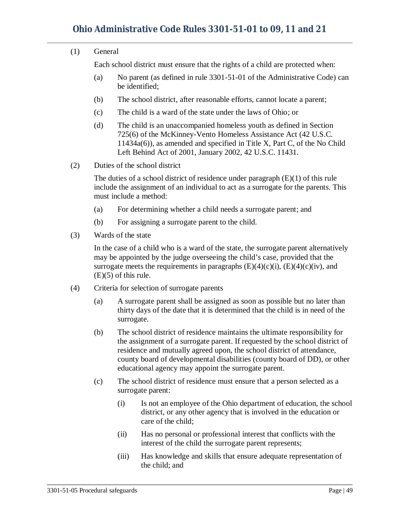| (1) | General |
|-----|---------|
|     |         |

Each school district must ensure that the rights of a child are protected when:

- (a) No parent (as defined in rule 3301-51-01 of the Administrative Code) can be identified;
- (b) The school district, after reasonable efforts, cannot locate a parent;
- (c) The child is a ward of the state under the laws of Ohio; or
- (d) The child is an unaccompanied homeless youth as defined in Section 725(6) of the McKinney-Vento Homeless Assistance Act (42 U.S.C. 11434a(6)), as amended and specified in Title X, Part C, of the No Child Left Behind Act of 2001, January 2002, 42 U.S.C. 11431.
- (2) Duties of the school district

The duties of a school district of residence under paragraph  $(E)(1)$  of this rule include the assignment of an individual to act as a surrogate for the parents. This must include a method:

- (a) For determining whether a child needs a surrogate parent; and
- (b) For assigning a surrogate parent to the child.
- (3) Wards of the state

In the case of a child who is a ward of the state, the surrogate parent alternatively may be appointed by the judge overseeing the child's case, provided that the surrogate meets the requirements in paragraphs  $(E)(4)(c)(i)$ ,  $(E)(4)(c)(iv)$ , and  $(E)(5)$  of this rule.

- (4) Criteria for selection of surrogate parents
	- (a) A surrogate parent shall be assigned as soon as possible but no later than thirty days of the date that it is determined that the child is in need of the surrogate.
	- (b) The school district of residence maintains the ultimate responsibility for the assignment of a surrogate parent. If requested by the school district of residence and mutually agreed upon, the school district of attendance, county board of developmental disabilities (county board of DD), or other educational agency may appoint the surrogate parent.
	- (c) The school district of residence must ensure that a person selected as a surrogate parent:
		- (i) Is not an employee of the Ohio department of education, the school district, or any other agency that is involved in the education or care of the child;
		- (ii) Has no personal or professional interest that conflicts with the interest of the child the surrogate parent represents;
		- (iii) Has knowledge and skills that ensure adequate representation of the child; and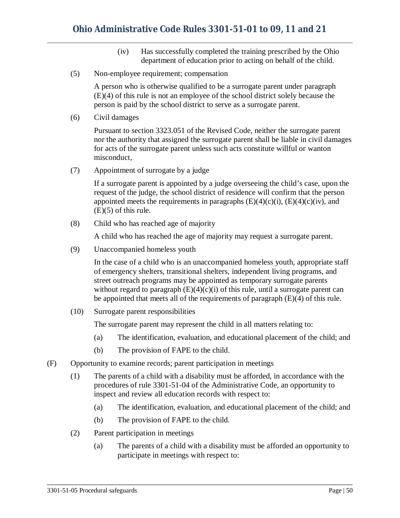- (iv) Has successfully completed the training prescribed by the Ohio department of education prior to acting on behalf of the child.
- (5) Non-employee requirement; compensation

A person who is otherwise qualified to be a surrogate parent under paragraph (E)(4) of this rule is not an employee of the school district solely because the person is paid by the school district to serve as a surrogate parent.

(6) Civil damages

Pursuant to section 3323.051 of the Revised Code, neither the surrogate parent nor the authority that assigned the surrogate parent shall be liable in civil damages for acts of the surrogate parent unless such acts constitute willful or wanton misconduct,

(7) Appointment of surrogate by a judge

If a surrogate parent is appointed by a judge overseeing the child's case, upon the request of the judge, the school district of residence will confirm that the person appointed meets the requirements in paragraphs  $(E)(4)(c)(i)$ ,  $(E)(4)(c)(iv)$ , and  $(E)(5)$  of this rule.

(8) Child who has reached age of majority

A child who has reached the age of majority may request a surrogate parent.

(9) Unaccompanied homeless youth

In the case of a child who is an unaccompanied homeless youth, appropriate staff of emergency shelters, transitional shelters, independent living programs, and street outreach programs may be appointed as temporary surrogate parents without regard to paragraph  $(E)(4)(c)(i)$  of this rule, until a surrogate parent can be appointed that meets all of the requirements of paragraph (E)(4) of this rule.

(10) Surrogate parent responsibilities

The surrogate parent may represent the child in all matters relating to:

- (a) The identification, evaluation, and educational placement of the child; and
- (b) The provision of FAPE to the child.
- (F) Opportunity to examine records; parent participation in meetings
	- (1) The parents of a child with a disability must be afforded, in accordance with the procedures of rule 3301-51-04 of the Administrative Code, an opportunity to inspect and review all education records with respect to:
		- (a) The identification, evaluation, and educational placement of the child; and
		- (b) The provision of FAPE to the child.
	- (2) Parent participation in meetings
		- (a) The parents of a child with a disability must be afforded an opportunity to participate in meetings with respect to: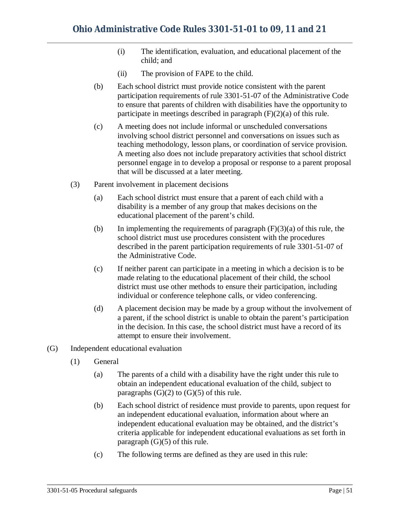- (i) The identification, evaluation, and educational placement of the child; and
- (ii) The provision of FAPE to the child.
- (b) Each school district must provide notice consistent with the parent participation requirements of rule 3301-51-07 of the Administrative Code to ensure that parents of children with disabilities have the opportunity to participate in meetings described in paragraph (F)(2)(a) of this rule.
- (c) A meeting does not include informal or unscheduled conversations involving school district personnel and conversations on issues such as teaching methodology, lesson plans, or coordination of service provision. A meeting also does not include preparatory activities that school district personnel engage in to develop a proposal or response to a parent proposal that will be discussed at a later meeting.
- (3) Parent involvement in placement decisions
	- (a) Each school district must ensure that a parent of each child with a disability is a member of any group that makes decisions on the educational placement of the parent's child.
	- (b) In implementing the requirements of paragraph  $(F)(3)(a)$  of this rule, the school district must use procedures consistent with the procedures described in the parent participation requirements of rule 3301-51-07 of the Administrative Code.
	- (c) If neither parent can participate in a meeting in which a decision is to be made relating to the educational placement of their child, the school district must use other methods to ensure their participation, including individual or conference telephone calls, or video conferencing.
	- (d) A placement decision may be made by a group without the involvement of a parent, if the school district is unable to obtain the parent's participation in the decision. In this case, the school district must have a record of its attempt to ensure their involvement.
- (G) Independent educational evaluation
	- (1) General
		- (a) The parents of a child with a disability have the right under this rule to obtain an independent educational evaluation of the child, subject to paragraphs  $(G)(2)$  to  $(G)(5)$  of this rule.
		- (b) Each school district of residence must provide to parents, upon request for an independent educational evaluation, information about where an independent educational evaluation may be obtained, and the district's criteria applicable for independent educational evaluations as set forth in paragraph  $(G)(5)$  of this rule.
		- (c) The following terms are defined as they are used in this rule: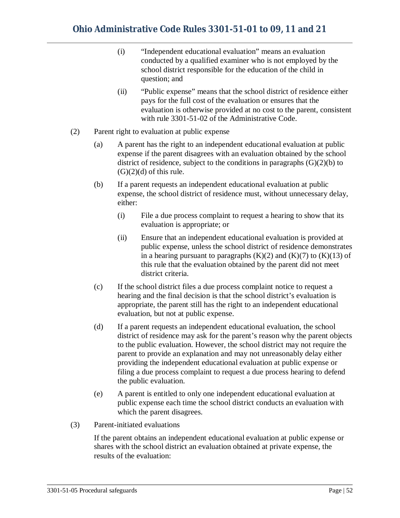- (i) "Independent educational evaluation" means an evaluation conducted by a qualified examiner who is not employed by the school district responsible for the education of the child in question; and
- (ii) "Public expense" means that the school district of residence either pays for the full cost of the evaluation or ensures that the evaluation is otherwise provided at no cost to the parent, consistent with rule 3301-51-02 of the Administrative Code.
- (2) Parent right to evaluation at public expense
	- (a) A parent has the right to an independent educational evaluation at public expense if the parent disagrees with an evaluation obtained by the school district of residence, subject to the conditions in paragraphs  $(G)(2)(b)$  to  $(G)(2)(d)$  of this rule.
	- (b) If a parent requests an independent educational evaluation at public expense, the school district of residence must, without unnecessary delay, either:
		- (i) File a due process complaint to request a hearing to show that its evaluation is appropriate; or
		- (ii) Ensure that an independent educational evaluation is provided at public expense, unless the school district of residence demonstrates in a hearing pursuant to paragraphs  $(K)(2)$  and  $(K)(7)$  to  $(K)(13)$  of this rule that the evaluation obtained by the parent did not meet district criteria.
	- (c) If the school district files a due process complaint notice to request a hearing and the final decision is that the school district's evaluation is appropriate, the parent still has the right to an independent educational evaluation, but not at public expense.
	- (d) If a parent requests an independent educational evaluation, the school district of residence may ask for the parent's reason why the parent objects to the public evaluation. However, the school district may not require the parent to provide an explanation and may not unreasonably delay either providing the independent educational evaluation at public expense or filing a due process complaint to request a due process hearing to defend the public evaluation.
	- (e) A parent is entitled to only one independent educational evaluation at public expense each time the school district conducts an evaluation with which the parent disagrees.
- (3) Parent-initiated evaluations

If the parent obtains an independent educational evaluation at public expense or shares with the school district an evaluation obtained at private expense, the results of the evaluation: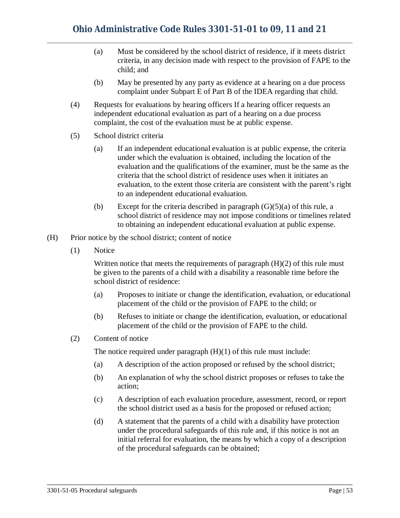- (a) Must be considered by the school district of residence, if it meets district criteria, in any decision made with respect to the provision of FAPE to the child; and
- (b) May be presented by any party as evidence at a hearing on a due process complaint under Subpart E of Part B of the IDEA regarding that child.
- (4) Requests for evaluations by hearing officers If a hearing officer requests an independent educational evaluation as part of a hearing on a due process complaint, the cost of the evaluation must be at public expense.
- (5) School district criteria
	- (a) If an independent educational evaluation is at public expense, the criteria under which the evaluation is obtained, including the location of the evaluation and the qualifications of the examiner, must be the same as the criteria that the school district of residence uses when it initiates an evaluation, to the extent those criteria are consistent with the parent's right to an independent educational evaluation.
	- (b) Except for the criteria described in paragraph  $(G)(5)(a)$  of this rule, a school district of residence may not impose conditions or timelines related to obtaining an independent educational evaluation at public expense.
- (H) Prior notice by the school district; content of notice
	- (1) Notice

Written notice that meets the requirements of paragraph  $(H)(2)$  of this rule must be given to the parents of a child with a disability a reasonable time before the school district of residence:

- (a) Proposes to initiate or change the identification, evaluation, or educational placement of the child or the provision of FAPE to the child; or
- (b) Refuses to initiate or change the identification, evaluation, or educational placement of the child or the provision of FAPE to the child.
- (2) Content of notice

The notice required under paragraph  $(H)(1)$  of this rule must include:

- (a) A description of the action proposed or refused by the school district;
- (b) An explanation of why the school district proposes or refuses to take the action;
- (c) A description of each evaluation procedure, assessment, record, or report the school district used as a basis for the proposed or refused action;
- (d) A statement that the parents of a child with a disability have protection under the procedural safeguards of this rule and, if this notice is not an initial referral for evaluation, the means by which a copy of a description of the procedural safeguards can be obtained;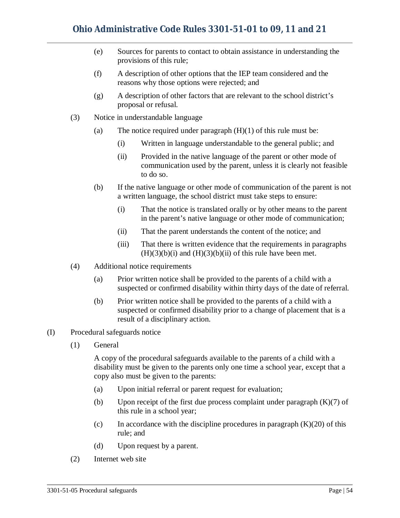- (e) Sources for parents to contact to obtain assistance in understanding the provisions of this rule;
- (f) A description of other options that the IEP team considered and the reasons why those options were rejected; and
- (g) A description of other factors that are relevant to the school district's proposal or refusal.
- (3) Notice in understandable language
	- (a) The notice required under paragraph  $(H)(1)$  of this rule must be:
		- (i) Written in language understandable to the general public; and
		- (ii) Provided in the native language of the parent or other mode of communication used by the parent, unless it is clearly not feasible to do so.
	- (b) If the native language or other mode of communication of the parent is not a written language, the school district must take steps to ensure:
		- (i) That the notice is translated orally or by other means to the parent in the parent's native language or other mode of communication;
		- (ii) That the parent understands the content of the notice; and
		- (iii) That there is written evidence that the requirements in paragraphs  $(H)(3)(b)(i)$  and  $(H)(3)(b)(ii)$  of this rule have been met.
- (4) Additional notice requirements
	- (a) Prior written notice shall be provided to the parents of a child with a suspected or confirmed disability within thirty days of the date of referral.
	- (b) Prior written notice shall be provided to the parents of a child with a suspected or confirmed disability prior to a change of placement that is a result of a disciplinary action.
- (I) Procedural safeguards notice
	- (1) General

A copy of the procedural safeguards available to the parents of a child with a disability must be given to the parents only one time a school year, except that a copy also must be given to the parents:

- (a) Upon initial referral or parent request for evaluation;
- (b) Upon receipt of the first due process complaint under paragraph  $(K)(7)$  of this rule in a school year;
- (c) In accordance with the discipline procedures in paragraph  $(K)(20)$  of this rule; and
- (d) Upon request by a parent.
- (2) Internet web site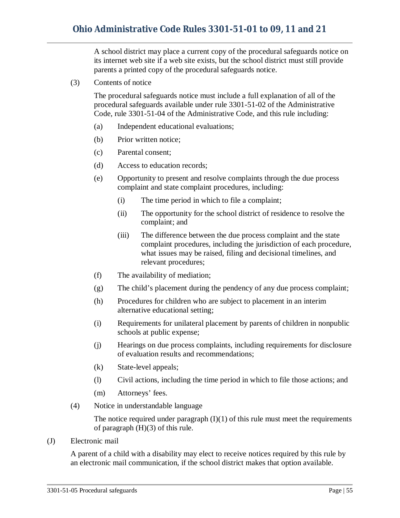A school district may place a current copy of the procedural safeguards notice on its internet web site if a web site exists, but the school district must still provide parents a printed copy of the procedural safeguards notice.

(3) Contents of notice

The procedural safeguards notice must include a full explanation of all of the procedural safeguards available under rule 3301-51-02 of the Administrative Code, rule 3301-51-04 of the Administrative Code, and this rule including:

- (a) Independent educational evaluations;
- (b) Prior written notice;
- (c) Parental consent;
- (d) Access to education records;
- (e) Opportunity to present and resolve complaints through the due process complaint and state complaint procedures, including:
	- (i) The time period in which to file a complaint;
	- (ii) The opportunity for the school district of residence to resolve the complaint; and
	- (iii) The difference between the due process complaint and the state complaint procedures, including the jurisdiction of each procedure, what issues may be raised, filing and decisional timelines, and relevant procedures;
- (f) The availability of mediation;
- (g) The child's placement during the pendency of any due process complaint;
- (h) Procedures for children who are subject to placement in an interim alternative educational setting;
- (i) Requirements for unilateral placement by parents of children in nonpublic schools at public expense;
- (j) Hearings on due process complaints, including requirements for disclosure of evaluation results and recommendations;
- (k) State-level appeals;
- (l) Civil actions, including the time period in which to file those actions; and
- (m) Attorneys' fees.
- (4) Notice in understandable language

The notice required under paragraph  $(I)(1)$  of this rule must meet the requirements of paragraph (H)(3) of this rule.

(J) Electronic mail

A parent of a child with a disability may elect to receive notices required by this rule by an electronic mail communication, if the school district makes that option available.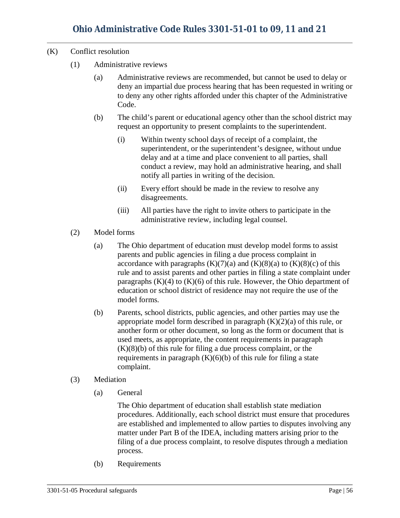#### (K) Conflict resolution

- (1) Administrative reviews
	- (a) Administrative reviews are recommended, but cannot be used to delay or deny an impartial due process hearing that has been requested in writing or to deny any other rights afforded under this chapter of the Administrative Code.
	- (b) The child's parent or educational agency other than the school district may request an opportunity to present complaints to the superintendent.
		- (i) Within twenty school days of receipt of a complaint, the superintendent, or the superintendent's designee, without undue delay and at a time and place convenient to all parties, shall conduct a review, may hold an administrative hearing, and shall notify all parties in writing of the decision.
		- (ii) Every effort should be made in the review to resolve any disagreements.
		- (iii) All parties have the right to invite others to participate in the administrative review, including legal counsel.
- (2) Model forms
	- (a) The Ohio department of education must develop model forms to assist parents and public agencies in filing a due process complaint in accordance with paragraphs  $(K)(7)(a)$  and  $(K)(8)(a)$  to  $(K)(8)(c)$  of this rule and to assist parents and other parties in filing a state complaint under paragraphs  $(K)(4)$  to  $(K)(6)$  of this rule. However, the Ohio department of education or school district of residence may not require the use of the model forms.
	- (b) Parents, school districts, public agencies, and other parties may use the appropriate model form described in paragraph  $(K)(2)(a)$  of this rule, or another form or other document, so long as the form or document that is used meets, as appropriate, the content requirements in paragraph  $(K)(8)(b)$  of this rule for filing a due process complaint, or the requirements in paragraph  $(K)(6)(b)$  of this rule for filing a state complaint.
- (3) Mediation
	- (a) General

The Ohio department of education shall establish state mediation procedures. Additionally, each school district must ensure that procedures are established and implemented to allow parties to disputes involving any matter under Part B of the IDEA, including matters arising prior to the filing of a due process complaint, to resolve disputes through a mediation process.

(b) Requirements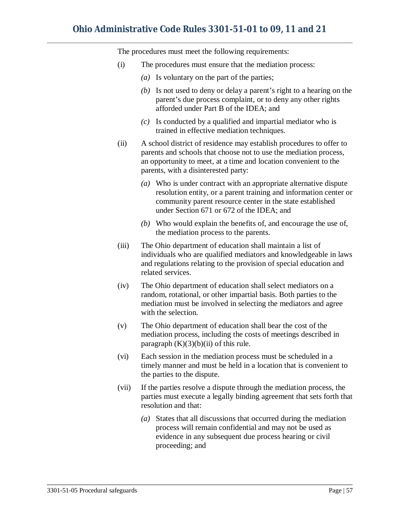The procedures must meet the following requirements:

- (i) The procedures must ensure that the mediation process:
	- *(a)* Is voluntary on the part of the parties;
	- *(b)* Is not used to deny or delay a parent's right to a hearing on the parent's due process complaint, or to deny any other rights afforded under Part B of the IDEA; and
	- *(c)* Is conducted by a qualified and impartial mediator who is trained in effective mediation techniques.
- (ii) A school district of residence may establish procedures to offer to parents and schools that choose not to use the mediation process, an opportunity to meet, at a time and location convenient to the parents, with a disinterested party:
	- *(a)* Who is under contract with an appropriate alternative dispute resolution entity, or a parent training and information center or community parent resource center in the state established under Section 671 or 672 of the IDEA; and
	- *(b)* Who would explain the benefits of, and encourage the use of, the mediation process to the parents.
- (iii) The Ohio department of education shall maintain a list of individuals who are qualified mediators and knowledgeable in laws and regulations relating to the provision of special education and related services.
- (iv) The Ohio department of education shall select mediators on a random, rotational, or other impartial basis. Both parties to the mediation must be involved in selecting the mediators and agree with the selection.
- (v) The Ohio department of education shall bear the cost of the mediation process, including the costs of meetings described in paragraph  $(K)(3)(b)(ii)$  of this rule.
- (vi) Each session in the mediation process must be scheduled in a timely manner and must be held in a location that is convenient to the parties to the dispute.
- (vii) If the parties resolve a dispute through the mediation process, the parties must execute a legally binding agreement that sets forth that resolution and that:
	- *(a)* States that all discussions that occurred during the mediation process will remain confidential and may not be used as evidence in any subsequent due process hearing or civil proceeding; and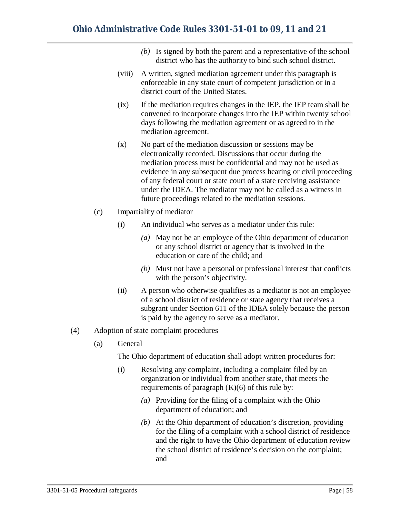- *(b)* Is signed by both the parent and a representative of the school district who has the authority to bind such school district.
- (viii) A written, signed mediation agreement under this paragraph is enforceable in any state court of competent jurisdiction or in a district court of the United States.
- (ix) If the mediation requires changes in the IEP, the IEP team shall be convened to incorporate changes into the IEP within twenty school days following the mediation agreement or as agreed to in the mediation agreement.
- (x) No part of the mediation discussion or sessions may be electronically recorded. Discussions that occur during the mediation process must be confidential and may not be used as evidence in any subsequent due process hearing or civil proceeding of any federal court or state court of a state receiving assistance under the IDEA. The mediator may not be called as a witness in future proceedings related to the mediation sessions.
- (c) Impartiality of mediator
	- (i) An individual who serves as a mediator under this rule:
		- *(a)* May not be an employee of the Ohio department of education or any school district or agency that is involved in the education or care of the child; and
		- *(b)* Must not have a personal or professional interest that conflicts with the person's objectivity.
	- (ii) A person who otherwise qualifies as a mediator is not an employee of a school district of residence or state agency that receives a subgrant under Section 611 of the IDEA solely because the person is paid by the agency to serve as a mediator.

#### (4) Adoption of state complaint procedures

(a) General

The Ohio department of education shall adopt written procedures for:

- (i) Resolving any complaint, including a complaint filed by an organization or individual from another state, that meets the requirements of paragraph  $(K)(6)$  of this rule by:
	- *(a)* Providing for the filing of a complaint with the Ohio department of education; and
	- *(b)* At the Ohio department of education's discretion, providing for the filing of a complaint with a school district of residence and the right to have the Ohio department of education review the school district of residence's decision on the complaint; and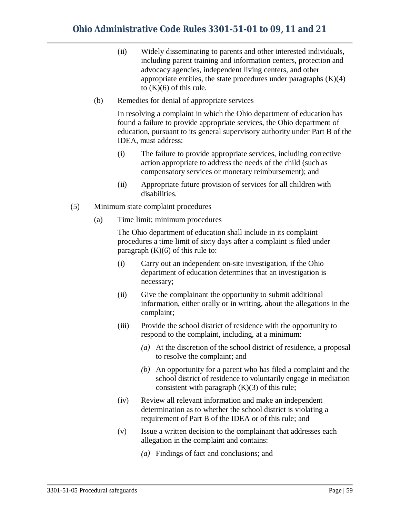- (ii) Widely disseminating to parents and other interested individuals, including parent training and information centers, protection and advocacy agencies, independent living centers, and other appropriate entities, the state procedures under paragraphs  $(K)(4)$ to  $(K)(6)$  of this rule.
- (b) Remedies for denial of appropriate services

In resolving a complaint in which the Ohio department of education has found a failure to provide appropriate services, the Ohio department of education, pursuant to its general supervisory authority under Part B of the IDEA, must address:

- (i) The failure to provide appropriate services, including corrective action appropriate to address the needs of the child (such as compensatory services or monetary reimbursement); and
- (ii) Appropriate future provision of services for all children with disabilities.
- (5) Minimum state complaint procedures
	- (a) Time limit; minimum procedures

The Ohio department of education shall include in its complaint procedures a time limit of sixty days after a complaint is filed under paragraph  $(K)(6)$  of this rule to:

- (i) Carry out an independent on-site investigation, if the Ohio department of education determines that an investigation is necessary;
- (ii) Give the complainant the opportunity to submit additional information, either orally or in writing, about the allegations in the complaint;
- (iii) Provide the school district of residence with the opportunity to respond to the complaint, including, at a minimum:
	- *(a)* At the discretion of the school district of residence, a proposal to resolve the complaint; and
	- *(b)* An opportunity for a parent who has filed a complaint and the school district of residence to voluntarily engage in mediation consistent with paragraph  $(K)(3)$  of this rule;
- (iv) Review all relevant information and make an independent determination as to whether the school district is violating a requirement of Part B of the IDEA or of this rule; and
- (v) Issue a written decision to the complainant that addresses each allegation in the complaint and contains:
	- *(a)* Findings of fact and conclusions; and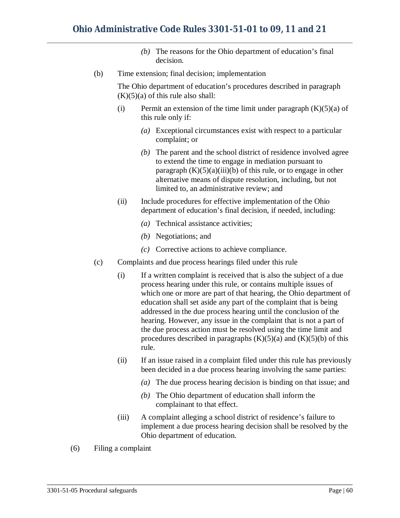- *(b)* The reasons for the Ohio department of education's final decision.
- (b) Time extension; final decision; implementation

The Ohio department of education's procedures described in paragraph  $(K)(5)(a)$  of this rule also shall:

- (i) Permit an extension of the time limit under paragraph  $(K)(5)(a)$  of this rule only if:
	- *(a)* Exceptional circumstances exist with respect to a particular complaint; or
	- *(b)* The parent and the school district of residence involved agree to extend the time to engage in mediation pursuant to paragraph  $(K)(5)(a)(iii)(b)$  of this rule, or to engage in other alternative means of dispute resolution, including, but not limited to, an administrative review; and
- (ii) Include procedures for effective implementation of the Ohio department of education's final decision, if needed, including:
	- *(a)* Technical assistance activities;
	- *(b)* Negotiations; and
	- *(c)* Corrective actions to achieve compliance.
- (c) Complaints and due process hearings filed under this rule
	- (i) If a written complaint is received that is also the subject of a due process hearing under this rule, or contains multiple issues of which one or more are part of that hearing, the Ohio department of education shall set aside any part of the complaint that is being addressed in the due process hearing until the conclusion of the hearing. However, any issue in the complaint that is not a part of the due process action must be resolved using the time limit and procedures described in paragraphs  $(K)(5)(a)$  and  $(K)(5)(b)$  of this rule.
	- (ii) If an issue raised in a complaint filed under this rule has previously been decided in a due process hearing involving the same parties:
		- *(a)* The due process hearing decision is binding on that issue; and
		- *(b)* The Ohio department of education shall inform the complainant to that effect.
	- (iii) A complaint alleging a school district of residence's failure to implement a due process hearing decision shall be resolved by the Ohio department of education.
- (6) Filing a complaint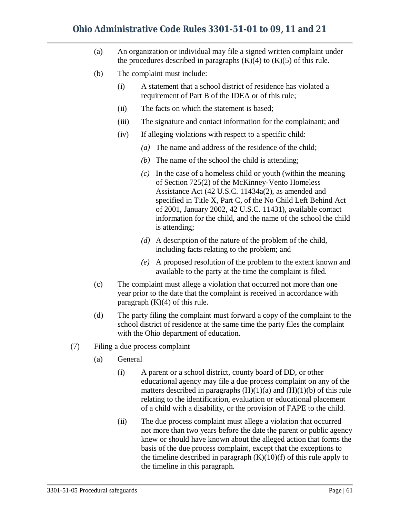- (a) An organization or individual may file a signed written complaint under the procedures described in paragraphs  $(K)(4)$  to  $(K)(5)$  of this rule.
- (b) The complaint must include:
	- (i) A statement that a school district of residence has violated a requirement of Part B of the IDEA or of this rule;
	- (ii) The facts on which the statement is based;
	- (iii) The signature and contact information for the complainant; and
	- (iv) If alleging violations with respect to a specific child:
		- *(a)* The name and address of the residence of the child;
		- *(b)* The name of the school the child is attending;
		- *(c)* In the case of a homeless child or youth (within the meaning of Section 725(2) of the McKinney-Vento Homeless Assistance Act (42 U.S.C. 11434a(2), as amended and specified in Title X, Part C, of the No Child Left Behind Act of 2001, January 2002, 42 U.S.C. 11431), available contact information for the child, and the name of the school the child is attending;
		- *(d)* A description of the nature of the problem of the child, including facts relating to the problem; and
		- *(e)* A proposed resolution of the problem to the extent known and available to the party at the time the complaint is filed.
- (c) The complaint must allege a violation that occurred not more than one year prior to the date that the complaint is received in accordance with paragraph  $(K)(4)$  of this rule.
- (d) The party filing the complaint must forward a copy of the complaint to the school district of residence at the same time the party files the complaint with the Ohio department of education.
- (7) Filing a due process complaint
	- (a) General
		- (i) A parent or a school district, county board of DD, or other educational agency may file a due process complaint on any of the matters described in paragraphs  $(H)(1)(a)$  and  $(H)(1)(b)$  of this rule relating to the identification, evaluation or educational placement of a child with a disability, or the provision of FAPE to the child.
		- (ii) The due process complaint must allege a violation that occurred not more than two years before the date the parent or public agency knew or should have known about the alleged action that forms the basis of the due process complaint, except that the exceptions to the timeline described in paragraph  $(K)(10)(f)$  of this rule apply to the timeline in this paragraph.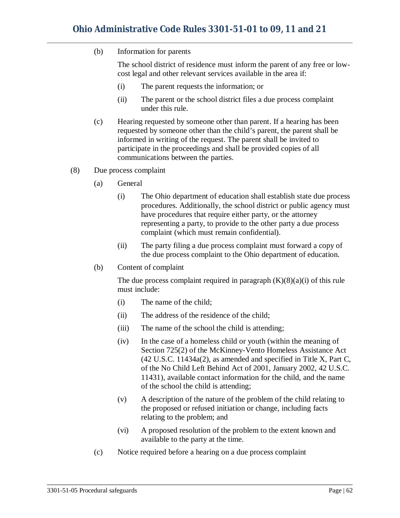(b) Information for parents

The school district of residence must inform the parent of any free or lowcost legal and other relevant services available in the area if:

- (i) The parent requests the information; or
- (ii) The parent or the school district files a due process complaint under this rule.
- (c) Hearing requested by someone other than parent. If a hearing has been requested by someone other than the child's parent, the parent shall be informed in writing of the request. The parent shall be invited to participate in the proceedings and shall be provided copies of all communications between the parties.
- (8) Due process complaint
	- (a) General
		- (i) The Ohio department of education shall establish state due process procedures. Additionally, the school district or public agency must have procedures that require either party, or the attorney representing a party, to provide to the other party a due process complaint (which must remain confidential).
		- (ii) The party filing a due process complaint must forward a copy of the due process complaint to the Ohio department of education.
	- (b) Content of complaint

The due process complaint required in paragraph  $(K)(8)(a)(i)$  of this rule must include:

- (i) The name of the child;
- (ii) The address of the residence of the child;
- (iii) The name of the school the child is attending;
- (iv) In the case of a homeless child or youth (within the meaning of Section 725(2) of the McKinney-Vento Homeless Assistance Act (42 U.S.C. 11434a(2), as amended and specified in Title X, Part C, of the No Child Left Behind Act of 2001, January 2002, 42 U.S.C. 11431), available contact information for the child, and the name of the school the child is attending;
- (v) A description of the nature of the problem of the child relating to the proposed or refused initiation or change, including facts relating to the problem; and
- (vi) A proposed resolution of the problem to the extent known and available to the party at the time.
- (c) Notice required before a hearing on a due process complaint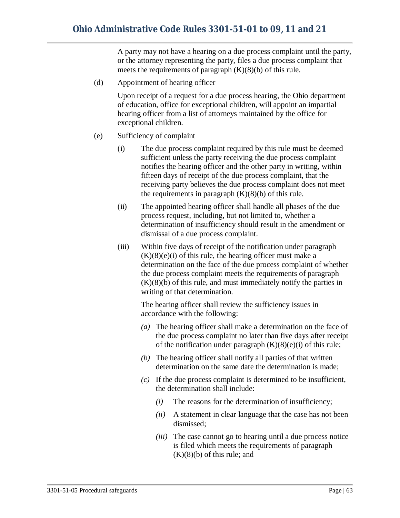A party may not have a hearing on a due process complaint until the party, or the attorney representing the party, files a due process complaint that meets the requirements of paragraph  $(K)(8)(b)$  of this rule.

(d) Appointment of hearing officer

Upon receipt of a request for a due process hearing, the Ohio department of education, office for exceptional children, will appoint an impartial hearing officer from a list of attorneys maintained by the office for exceptional children.

- (e) Sufficiency of complaint
	- (i) The due process complaint required by this rule must be deemed sufficient unless the party receiving the due process complaint notifies the hearing officer and the other party in writing, within fifteen days of receipt of the due process complaint, that the receiving party believes the due process complaint does not meet the requirements in paragraph  $(K)(8)(b)$  of this rule.
	- (ii) The appointed hearing officer shall handle all phases of the due process request, including, but not limited to, whether a determination of insufficiency should result in the amendment or dismissal of a due process complaint.
	- (iii) Within five days of receipt of the notification under paragraph  $(K)(8)(e)(i)$  of this rule, the hearing officer must make a determination on the face of the due process complaint of whether the due process complaint meets the requirements of paragraph  $(K)(8)(b)$  of this rule, and must immediately notify the parties in writing of that determination.

The hearing officer shall review the sufficiency issues in accordance with the following:

- *(a)* The hearing officer shall make a determination on the face of the due process complaint no later than five days after receipt of the notification under paragraph  $(K)(8)(e)(i)$  of this rule;
- *(b)* The hearing officer shall notify all parties of that written determination on the same date the determination is made;
- *(c)* If the due process complaint is determined to be insufficient, the determination shall include:
	- *(i)* The reasons for the determination of insufficiency;
	- *(ii)* A statement in clear language that the case has not been dismissed;
	- *(iii)* The case cannot go to hearing until a due process notice is filed which meets the requirements of paragraph  $(K)(8)(b)$  of this rule; and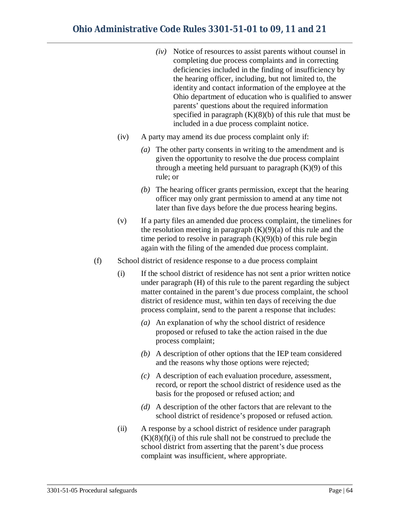- *(iv)* Notice of resources to assist parents without counsel in completing due process complaints and in correcting deficiencies included in the finding of insufficiency by the hearing officer, including, but not limited to, the identity and contact information of the employee at the Ohio department of education who is qualified to answer parents' questions about the required information specified in paragraph  $(K)(8)(b)$  of this rule that must be included in a due process complaint notice.
- (iv) A party may amend its due process complaint only if:
	- *(a)* The other party consents in writing to the amendment and is given the opportunity to resolve the due process complaint through a meeting held pursuant to paragraph  $(K)(9)$  of this rule; or
	- *(b)* The hearing officer grants permission, except that the hearing officer may only grant permission to amend at any time not later than five days before the due process hearing begins.
- (v) If a party files an amended due process complaint, the timelines for the resolution meeting in paragraph  $(K)(9)(a)$  of this rule and the time period to resolve in paragraph  $(K)(9)(b)$  of this rule begin again with the filing of the amended due process complaint.
- (f) School district of residence response to a due process complaint
	- (i) If the school district of residence has not sent a prior written notice under paragraph (H) of this rule to the parent regarding the subject matter contained in the parent's due process complaint, the school district of residence must, within ten days of receiving the due process complaint, send to the parent a response that includes:
		- *(a)* An explanation of why the school district of residence proposed or refused to take the action raised in the due process complaint;
		- *(b)* A description of other options that the IEP team considered and the reasons why those options were rejected;
		- *(c)* A description of each evaluation procedure, assessment, record, or report the school district of residence used as the basis for the proposed or refused action; and
		- *(d)* A description of the other factors that are relevant to the school district of residence's proposed or refused action.
	- (ii) A response by a school district of residence under paragraph  $(K)(8)(f)(i)$  of this rule shall not be construed to preclude the school district from asserting that the parent's due process complaint was insufficient, where appropriate.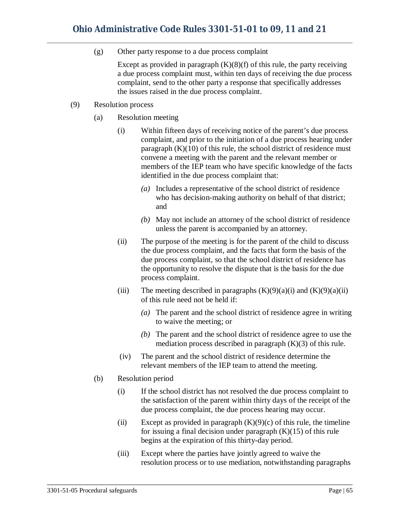(g) Other party response to a due process complaint

Except as provided in paragraph  $(K)(8)(f)$  of this rule, the party receiving a due process complaint must, within ten days of receiving the due process complaint, send to the other party a response that specifically addresses the issues raised in the due process complaint.

- (9) Resolution process
	- (a) Resolution meeting
		- (i) Within fifteen days of receiving notice of the parent's due process complaint, and prior to the initiation of a due process hearing under paragraph  $(K)(10)$  of this rule, the school district of residence must convene a meeting with the parent and the relevant member or members of the IEP team who have specific knowledge of the facts identified in the due process complaint that:
			- *(a)* Includes a representative of the school district of residence who has decision-making authority on behalf of that district; and
			- *(b)* May not include an attorney of the school district of residence unless the parent is accompanied by an attorney.
		- (ii) The purpose of the meeting is for the parent of the child to discuss the due process complaint, and the facts that form the basis of the due process complaint, so that the school district of residence has the opportunity to resolve the dispute that is the basis for the due process complaint.
		- (iii) The meeting described in paragraphs  $(K)(9)(a)(i)$  and  $(K)(9)(a)(ii)$ of this rule need not be held if:
			- *(a)* The parent and the school district of residence agree in writing to waive the meeting; or
			- *(b)* The parent and the school district of residence agree to use the mediation process described in paragraph  $(K)(3)$  of this rule.
		- (iv) The parent and the school district of residence determine the relevant members of the IEP team to attend the meeting.
	- (b) Resolution period
		- (i) If the school district has not resolved the due process complaint to the satisfaction of the parent within thirty days of the receipt of the due process complaint, the due process hearing may occur.
		- (ii) Except as provided in paragraph  $(K)(9)(c)$  of this rule, the timeline for issuing a final decision under paragraph  $(K)(15)$  of this rule begins at the expiration of this thirty-day period.
		- (iii) Except where the parties have jointly agreed to waive the resolution process or to use mediation, notwithstanding paragraphs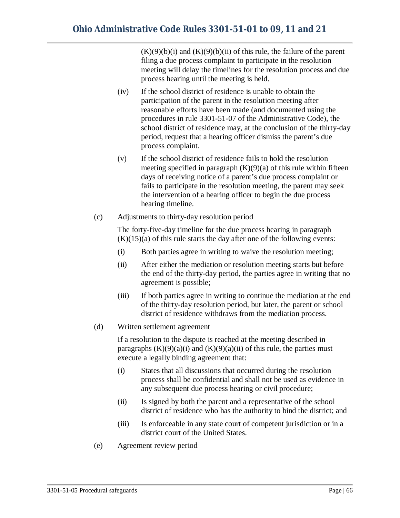$(K)(9)(b)(i)$  and  $(K)(9)(b)(ii)$  of this rule, the failure of the parent filing a due process complaint to participate in the resolution meeting will delay the timelines for the resolution process and due process hearing until the meeting is held.

- (iv) If the school district of residence is unable to obtain the participation of the parent in the resolution meeting after reasonable efforts have been made (and documented using the procedures in rule 3301-51-07 of the Administrative Code), the school district of residence may, at the conclusion of the thirty-day period, request that a hearing officer dismiss the parent's due process complaint.
- (v) If the school district of residence fails to hold the resolution meeting specified in paragraph  $(K)(9)(a)$  of this rule within fifteen days of receiving notice of a parent's due process complaint or fails to participate in the resolution meeting, the parent may seek the intervention of a hearing officer to begin the due process hearing timeline.
- (c) Adjustments to thirty-day resolution period

The forty-five-day timeline for the due process hearing in paragraph  $(K)(15)(a)$  of this rule starts the day after one of the following events:

- (i) Both parties agree in writing to waive the resolution meeting;
- (ii) After either the mediation or resolution meeting starts but before the end of the thirty-day period, the parties agree in writing that no agreement is possible;
- (iii) If both parties agree in writing to continue the mediation at the end of the thirty-day resolution period, but later, the parent or school district of residence withdraws from the mediation process.
- (d) Written settlement agreement

If a resolution to the dispute is reached at the meeting described in paragraphs  $(K)(9)(a)(i)$  and  $(K)(9)(a)(ii)$  of this rule, the parties must execute a legally binding agreement that:

- (i) States that all discussions that occurred during the resolution process shall be confidential and shall not be used as evidence in any subsequent due process hearing or civil procedure;
- (ii) Is signed by both the parent and a representative of the school district of residence who has the authority to bind the district; and
- (iii) Is enforceable in any state court of competent jurisdiction or in a district court of the United States.
- (e) Agreement review period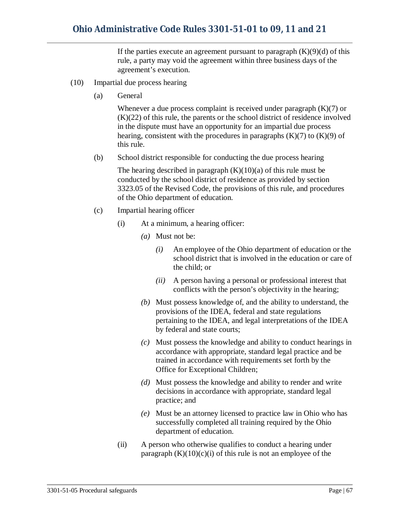If the parties execute an agreement pursuant to paragraph  $(K)(9)(d)$  of this rule, a party may void the agreement within three business days of the agreement's execution.

- (10) Impartial due process hearing
	- (a) General

Whenever a due process complaint is received under paragraph  $(K)(7)$  or  $(K)(22)$  of this rule, the parents or the school district of residence involved in the dispute must have an opportunity for an impartial due process hearing, consistent with the procedures in paragraphs  $(K)(7)$  to  $(K)(9)$  of this rule.

(b) School district responsible for conducting the due process hearing

The hearing described in paragraph  $(K)(10)(a)$  of this rule must be conducted by the school district of residence as provided by section 3323.05 of the Revised Code, the provisions of this rule, and procedures of the Ohio department of education.

- (c) Impartial hearing officer
	- (i) At a minimum, a hearing officer:
		- *(a)* Must not be:
			- *(i)* An employee of the Ohio department of education or the school district that is involved in the education or care of the child; or
			- *(ii)* A person having a personal or professional interest that conflicts with the person's objectivity in the hearing;
		- *(b)* Must possess knowledge of, and the ability to understand, the provisions of the IDEA, federal and state regulations pertaining to the IDEA, and legal interpretations of the IDEA by federal and state courts;
		- *(c)* Must possess the knowledge and ability to conduct hearings in accordance with appropriate, standard legal practice and be trained in accordance with requirements set forth by the Office for Exceptional Children;
		- *(d)* Must possess the knowledge and ability to render and write decisions in accordance with appropriate, standard legal practice; and
		- *(e)* Must be an attorney licensed to practice law in Ohio who has successfully completed all training required by the Ohio department of education.
	- (ii) A person who otherwise qualifies to conduct a hearing under paragraph  $(K)(10)(c)(i)$  of this rule is not an employee of the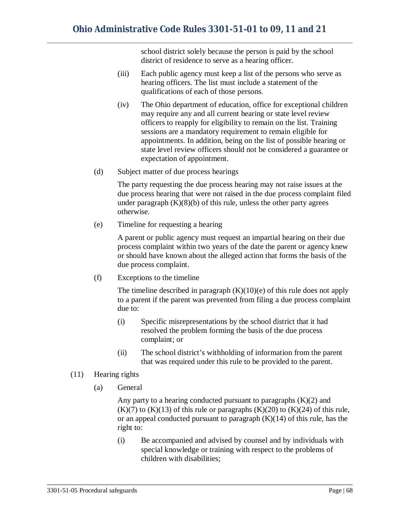school district solely because the person is paid by the school district of residence to serve as a hearing officer.

- (iii) Each public agency must keep a list of the persons who serve as hearing officers. The list must include a statement of the qualifications of each of those persons.
- (iv) The Ohio department of education, office for exceptional children may require any and all current hearing or state level review officers to reapply for eligibility to remain on the list. Training sessions are a mandatory requirement to remain eligible for appointments. In addition, being on the list of possible hearing or state level review officers should not be considered a guarantee or expectation of appointment.
- (d) Subject matter of due process hearings

The party requesting the due process hearing may not raise issues at the due process hearing that were not raised in the due process complaint filed under paragraph  $(K)(8)(b)$  of this rule, unless the other party agrees otherwise.

(e) Timeline for requesting a hearing

A parent or public agency must request an impartial hearing on their due process complaint within two years of the date the parent or agency knew or should have known about the alleged action that forms the basis of the due process complaint.

(f) Exceptions to the timeline

The timeline described in paragraph  $(K)(10)(e)$  of this rule does not apply to a parent if the parent was prevented from filing a due process complaint due to:

- (i) Specific misrepresentations by the school district that it had resolved the problem forming the basis of the due process complaint; or
- (ii) The school district's withholding of information from the parent that was required under this rule to be provided to the parent.

#### (11) Hearing rights

(a) General

Any party to a hearing conducted pursuant to paragraphs  $(K)(2)$  and  $(K)(7)$  to  $(K)(13)$  of this rule or paragraphs  $(K)(20)$  to  $(K)(24)$  of this rule, or an appeal conducted pursuant to paragraph  $(K)(14)$  of this rule, has the right to:

(i) Be accompanied and advised by counsel and by individuals with special knowledge or training with respect to the problems of children with disabilities;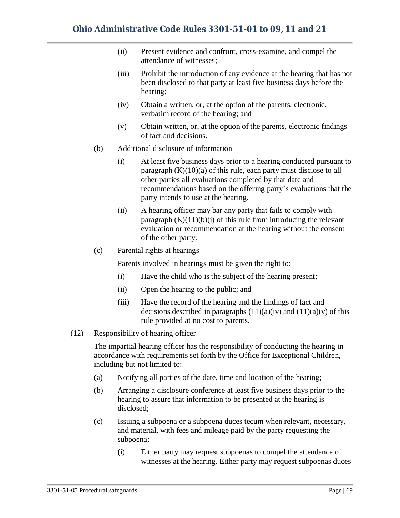- (ii) Present evidence and confront, cross-examine, and compel the attendance of witnesses;
- (iii) Prohibit the introduction of any evidence at the hearing that has not been disclosed to that party at least five business days before the hearing;
- (iv) Obtain a written, or, at the option of the parents, electronic, verbatim record of the hearing; and
- (v) Obtain written, or, at the option of the parents, electronic findings of fact and decisions.
- (b) Additional disclosure of information
	- (i) At least five business days prior to a hearing conducted pursuant to paragraph  $(K)(10)(a)$  of this rule, each party must disclose to all other parties all evaluations completed by that date and recommendations based on the offering party's evaluations that the party intends to use at the hearing.
	- (ii) A hearing officer may bar any party that fails to comply with paragraph  $(K)(11)(b)(i)$  of this rule from introducing the relevant evaluation or recommendation at the hearing without the consent of the other party.
- (c) Parental rights at hearings

Parents involved in hearings must be given the right to:

- (i) Have the child who is the subject of the hearing present;
- (ii) Open the hearing to the public; and
- (iii) Have the record of the hearing and the findings of fact and decisions described in paragraphs  $(11)(a)(iv)$  and  $(11)(a)(v)$  of this rule provided at no cost to parents.
- (12) Responsibility of hearing officer

The impartial hearing officer has the responsibility of conducting the hearing in accordance with requirements set forth by the Office for Exceptional Children, including but not limited to:

- (a) Notifying all parties of the date, time and location of the hearing;
- (b) Arranging a disclosure conference at least five business days prior to the hearing to assure that information to be presented at the hearing is disclosed;
- (c) Issuing a subpoena or a subpoena duces tecum when relevant, necessary, and material, with fees and mileage paid by the party requesting the subpoena;
	- (i) Either party may request subpoenas to compel the attendance of witnesses at the hearing. Either party may request subpoenas duces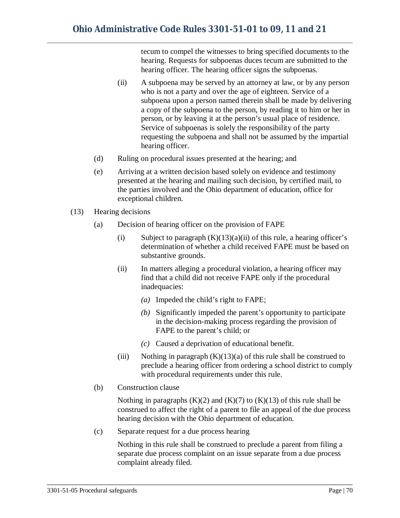tecum to compel the witnesses to bring specified documents to the hearing. Requests for subpoenas duces tecum are submitted to the hearing officer. The hearing officer signs the subpoenas.

- (ii) A subpoena may be served by an attorney at law, or by any person who is not a party and over the age of eighteen. Service of a subpoena upon a person named therein shall be made by delivering a copy of the subpoena to the person, by reading it to him or her in person, or by leaving it at the person's usual place of residence. Service of subpoenas is solely the responsibility of the party requesting the subpoena and shall not be assumed by the impartial hearing officer.
- (d) Ruling on procedural issues presented at the hearing; and
- (e) Arriving at a written decision based solely on evidence and testimony presented at the hearing and mailing such decision, by certified mail, to the parties involved and the Ohio department of education, office for exceptional children.
- (13) Hearing decisions
	- (a) Decision of hearing officer on the provision of FAPE
		- (i) Subject to paragraph  $(K)(13)(a)(ii)$  of this rule, a hearing officer's determination of whether a child received FAPE must be based on substantive grounds.
		- (ii) In matters alleging a procedural violation, a hearing officer may find that a child did not receive FAPE only if the procedural inadequacies:
			- *(a)* Impeded the child's right to FAPE;
			- *(b)* Significantly impeded the parent's opportunity to participate in the decision-making process regarding the provision of FAPE to the parent's child; or
			- *(c)* Caused a deprivation of educational benefit.
		- (iii) Nothing in paragraph  $(K)(13)(a)$  of this rule shall be construed to preclude a hearing officer from ordering a school district to comply with procedural requirements under this rule.
	- (b) Construction clause

Nothing in paragraphs  $(K)(2)$  and  $(K)(7)$  to  $(K)(13)$  of this rule shall be construed to affect the right of a parent to file an appeal of the due process hearing decision with the Ohio department of education.

(c) Separate request for a due process hearing

Nothing in this rule shall be construed to preclude a parent from filing a separate due process complaint on an issue separate from a due process complaint already filed.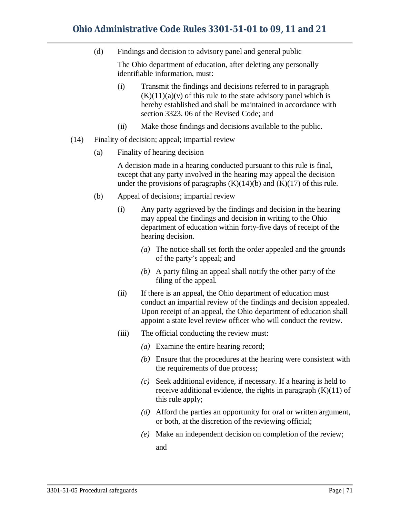(d) Findings and decision to advisory panel and general public

The Ohio department of education, after deleting any personally identifiable information, must:

- (i) Transmit the findings and decisions referred to in paragraph  $(K)(11)(a)(v)$  of this rule to the state advisory panel which is hereby established and shall be maintained in accordance with section 3323. 06 of the Revised Code; and
- (ii) Make those findings and decisions available to the public.
- (14) Finality of decision; appeal; impartial review
	- (a) Finality of hearing decision

A decision made in a hearing conducted pursuant to this rule is final, except that any party involved in the hearing may appeal the decision under the provisions of paragraphs  $(K)(14)(b)$  and  $(K)(17)$  of this rule.

- (b) Appeal of decisions; impartial review
	- (i) Any party aggrieved by the findings and decision in the hearing may appeal the findings and decision in writing to the Ohio department of education within forty-five days of receipt of the hearing decision.
		- *(a)* The notice shall set forth the order appealed and the grounds of the party's appeal; and
		- *(b)* A party filing an appeal shall notify the other party of the filing of the appeal.
	- (ii) If there is an appeal, the Ohio department of education must conduct an impartial review of the findings and decision appealed. Upon receipt of an appeal, the Ohio department of education shall appoint a state level review officer who will conduct the review.
	- (iii) The official conducting the review must:
		- *(a)* Examine the entire hearing record;
		- *(b)* Ensure that the procedures at the hearing were consistent with the requirements of due process;
		- *(c)* Seek additional evidence, if necessary. If a hearing is held to receive additional evidence, the rights in paragraph  $(K)(11)$  of this rule apply;
		- *(d)* Afford the parties an opportunity for oral or written argument, or both, at the discretion of the reviewing official;
		- *(e)* Make an independent decision on completion of the review; and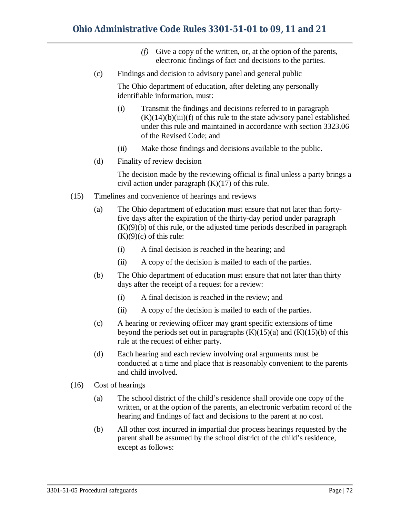- *(f)* Give a copy of the written, or, at the option of the parents, electronic findings of fact and decisions to the parties.
- (c) Findings and decision to advisory panel and general public

The Ohio department of education, after deleting any personally identifiable information, must:

- (i) Transmit the findings and decisions referred to in paragraph  $(K)(14)(b)(iii)(f)$  of this rule to the state advisory panel established under this rule and maintained in accordance with section 3323.06 of the Revised Code; and
- (ii) Make those findings and decisions available to the public.
- (d) Finality of review decision

The decision made by the reviewing official is final unless a party brings a civil action under paragraph  $(K)(17)$  of this rule.

- (15) Timelines and convenience of hearings and reviews
	- (a) The Ohio department of education must ensure that not later than fortyfive days after the expiration of the thirty-day period under paragraph  $(K)(9)(b)$  of this rule, or the adjusted time periods described in paragraph  $(K)(9)(c)$  of this rule:
		- (i) A final decision is reached in the hearing; and
		- (ii) A copy of the decision is mailed to each of the parties.
	- (b) The Ohio department of education must ensure that not later than thirty days after the receipt of a request for a review:
		- (i) A final decision is reached in the review; and
		- (ii) A copy of the decision is mailed to each of the parties.
	- (c) A hearing or reviewing officer may grant specific extensions of time beyond the periods set out in paragraphs  $(K)(15)(a)$  and  $(K)(15)(b)$  of this rule at the request of either party.
	- (d) Each hearing and each review involving oral arguments must be conducted at a time and place that is reasonably convenient to the parents and child involved.
- (16) Cost of hearings
	- (a) The school district of the child's residence shall provide one copy of the written, or at the option of the parents, an electronic verbatim record of the hearing and findings of fact and decisions to the parent at no cost.
	- (b) All other cost incurred in impartial due process hearings requested by the parent shall be assumed by the school district of the child's residence, except as follows: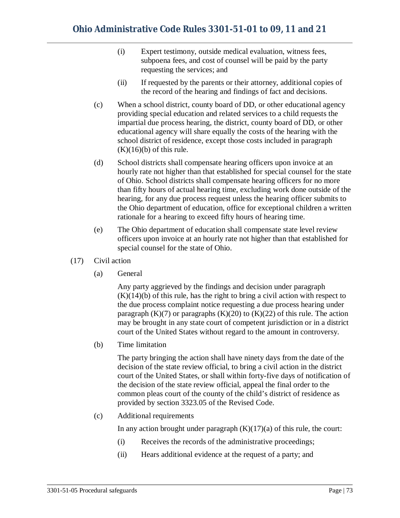- (i) Expert testimony, outside medical evaluation, witness fees, subpoena fees, and cost of counsel will be paid by the party requesting the services; and
- (ii) If requested by the parents or their attorney, additional copies of the record of the hearing and findings of fact and decisions.
- (c) When a school district, county board of DD, or other educational agency providing special education and related services to a child requests the impartial due process hearing, the district, county board of DD, or other educational agency will share equally the costs of the hearing with the school district of residence, except those costs included in paragraph  $(K)(16)(b)$  of this rule.
- (d) School districts shall compensate hearing officers upon invoice at an hourly rate not higher than that established for special counsel for the state of Ohio. School districts shall compensate hearing officers for no more than fifty hours of actual hearing time, excluding work done outside of the hearing, for any due process request unless the hearing officer submits to the Ohio department of education, office for exceptional children a written rationale for a hearing to exceed fifty hours of hearing time.
- (e) The Ohio department of education shall compensate state level review officers upon invoice at an hourly rate not higher than that established for special counsel for the state of Ohio.
- (17) Civil action
	- (a) General

Any party aggrieved by the findings and decision under paragraph  $(K)(14)(b)$  of this rule, has the right to bring a civil action with respect to the due process complaint notice requesting a due process hearing under paragraph  $(K)(7)$  or paragraphs  $(K)(20)$  to  $(K)(22)$  of this rule. The action may be brought in any state court of competent jurisdiction or in a district court of the United States without regard to the amount in controversy.

(b) Time limitation

The party bringing the action shall have ninety days from the date of the decision of the state review official, to bring a civil action in the district court of the United States, or shall within forty-five days of notification of the decision of the state review official, appeal the final order to the common pleas court of the county of the child's district of residence as provided by section 3323.05 of the Revised Code.

(c) Additional requirements

In any action brought under paragraph  $(K)(17)(a)$  of this rule, the court:

- (i) Receives the records of the administrative proceedings;
- (ii) Hears additional evidence at the request of a party; and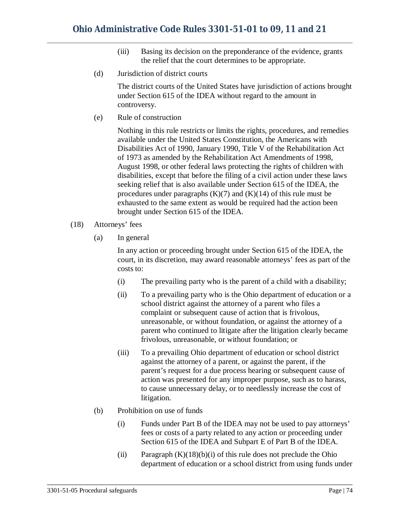- (iii) Basing its decision on the preponderance of the evidence, grants the relief that the court determines to be appropriate.
- (d) Jurisdiction of district courts

The district courts of the United States have jurisdiction of actions brought under Section 615 of the IDEA without regard to the amount in controversy.

(e) Rule of construction

Nothing in this rule restricts or limits the rights, procedures, and remedies available under the United States Constitution, the Americans with Disabilities Act of 1990, January 1990, Title V of the Rehabilitation Act of 1973 as amended by the Rehabilitation Act Amendments of 1998, August 1998, or other federal laws protecting the rights of children with disabilities, except that before the filing of a civil action under these laws seeking relief that is also available under Section 615 of the IDEA, the procedures under paragraphs  $(K)(7)$  and  $(K)(14)$  of this rule must be exhausted to the same extent as would be required had the action been brought under Section 615 of the IDEA.

- (18) Attorneys' fees
	- (a) In general

In any action or proceeding brought under Section 615 of the IDEA, the court, in its discretion, may award reasonable attorneys' fees as part of the costs to:

- (i) The prevailing party who is the parent of a child with a disability;
- (ii) To a prevailing party who is the Ohio department of education or a school district against the attorney of a parent who files a complaint or subsequent cause of action that is frivolous, unreasonable, or without foundation, or against the attorney of a parent who continued to litigate after the litigation clearly became frivolous, unreasonable, or without foundation; or
- (iii) To a prevailing Ohio department of education or school district against the attorney of a parent, or against the parent, if the parent's request for a due process hearing or subsequent cause of action was presented for any improper purpose, such as to harass, to cause unnecessary delay, or to needlessly increase the cost of litigation.
- (b) Prohibition on use of funds
	- (i) Funds under Part B of the IDEA may not be used to pay attorneys' fees or costs of a party related to any action or proceeding under Section 615 of the IDEA and Subpart E of Part B of the IDEA.
	- (ii) Paragraph  $(K)(18)(b)(i)$  of this rule does not preclude the Ohio department of education or a school district from using funds under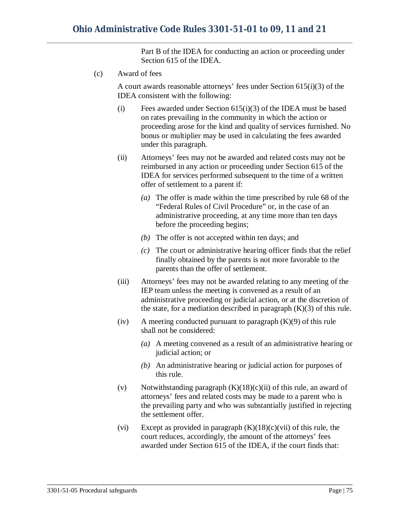Part B of the IDEA for conducting an action or proceeding under Section 615 of the IDEA.

(c) Award of fees

A court awards reasonable attorneys' fees under Section 615(i)(3) of the IDEA consistent with the following:

- (i) Fees awarded under Section 615(i)(3) of the IDEA must be based on rates prevailing in the community in which the action or proceeding arose for the kind and quality of services furnished. No bonus or multiplier may be used in calculating the fees awarded under this paragraph.
- (ii) Attorneys' fees may not be awarded and related costs may not be reimbursed in any action or proceeding under Section 615 of the IDEA for services performed subsequent to the time of a written offer of settlement to a parent if:
	- *(a)* The offer is made within the time prescribed by rule 68 of the "Federal Rules of Civil Procedure" or, in the case of an administrative proceeding, at any time more than ten days before the proceeding begins;
	- *(b)* The offer is not accepted within ten days; and
	- *(c)* The court or administrative hearing officer finds that the relief finally obtained by the parents is not more favorable to the parents than the offer of settlement.
- (iii) Attorneys' fees may not be awarded relating to any meeting of the IEP team unless the meeting is convened as a result of an administrative proceeding or judicial action, or at the discretion of the state, for a mediation described in paragraph  $(K)(3)$  of this rule.
- (iv) A meeting conducted pursuant to paragraph  $(K)(9)$  of this rule shall not be considered:
	- *(a)* A meeting convened as a result of an administrative hearing or judicial action; or
	- *(b)* An administrative hearing or judicial action for purposes of this rule.
- (v) Notwithstanding paragraph  $(K)(18)(c)(ii)$  of this rule, an award of attorneys' fees and related costs may be made to a parent who is the prevailing party and who was substantially justified in rejecting the settlement offer.
- (vi) Except as provided in paragraph  $(K)(18)(c)(vi)$  of this rule, the court reduces, accordingly, the amount of the attorneys' fees awarded under Section 615 of the IDEA, if the court finds that: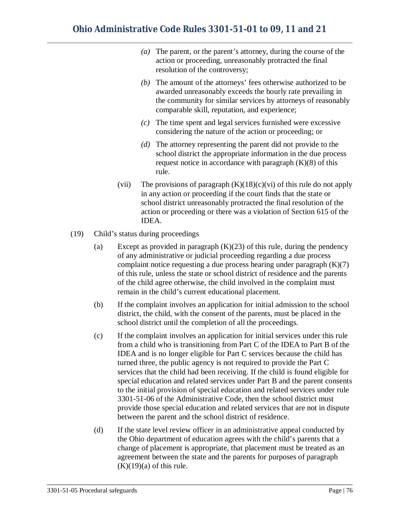- *(a)* The parent, or the parent's attorney, during the course of the action or proceeding, unreasonably protracted the final resolution of the controversy;
- *(b)* The amount of the attorneys' fees otherwise authorized to be awarded unreasonably exceeds the hourly rate prevailing in the community for similar services by attorneys of reasonably comparable skill, reputation, and experience;
- *(c)* The time spent and legal services furnished were excessive considering the nature of the action or proceeding; or
- *(d)* The attorney representing the parent did not provide to the school district the appropriate information in the due process request notice in accordance with paragraph  $(K)(8)$  of this rule.
- (vii) The provisions of paragraph  $(K)(18)(c)(vi)$  of this rule do not apply in any action or proceeding if the court finds that the state or school district unreasonably protracted the final resolution of the action or proceeding or there was a violation of Section 615 of the IDEA.
- (19) Child's status during proceedings
	- (a) Except as provided in paragraph  $(K)(23)$  of this rule, during the pendency of any administrative or judicial proceeding regarding a due process complaint notice requesting a due process hearing under paragraph  $(K)(7)$ of this rule, unless the state or school district of residence and the parents of the child agree otherwise, the child involved in the complaint must remain in the child's current educational placement.
	- (b) If the complaint involves an application for initial admission to the school district, the child, with the consent of the parents, must be placed in the school district until the completion of all the proceedings.
	- (c) If the complaint involves an application for initial services under this rule from a child who is transitioning from Part C of the IDEA to Part B of the IDEA and is no longer eligible for Part C services because the child has turned three, the public agency is not required to provide the Part C services that the child had been receiving. If the child is found eligible for special education and related services under Part B and the parent consents to the initial provision of special education and related services under rule 3301-51-06 of the Administrative Code, then the school district must provide those special education and related services that are not in dispute between the parent and the school district of residence.
	- (d) If the state level review officer in an administrative appeal conducted by the Ohio department of education agrees with the child's parents that a change of placement is appropriate, that placement must be treated as an agreement between the state and the parents for purposes of paragraph  $(K)(19)(a)$  of this rule.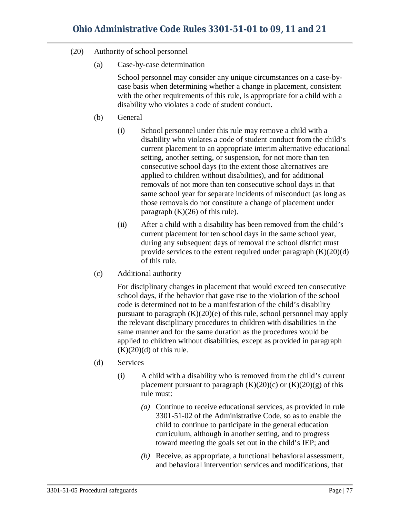#### (20) Authority of school personnel

(a) Case-by-case determination

School personnel may consider any unique circumstances on a case-bycase basis when determining whether a change in placement, consistent with the other requirements of this rule, is appropriate for a child with a disability who violates a code of student conduct.

- (b) General
	- (i) School personnel under this rule may remove a child with a disability who violates a code of student conduct from the child's current placement to an appropriate interim alternative educational setting, another setting, or suspension, for not more than ten consecutive school days (to the extent those alternatives are applied to children without disabilities), and for additional removals of not more than ten consecutive school days in that same school year for separate incidents of misconduct (as long as those removals do not constitute a change of placement under paragraph  $(K)(26)$  of this rule).
	- (ii) After a child with a disability has been removed from the child's current placement for ten school days in the same school year, during any subsequent days of removal the school district must provide services to the extent required under paragraph  $(K)(20)(d)$ of this rule.
- (c) Additional authority

For disciplinary changes in placement that would exceed ten consecutive school days, if the behavior that gave rise to the violation of the school code is determined not to be a manifestation of the child's disability pursuant to paragraph  $(K)(20)(e)$  of this rule, school personnel may apply the relevant disciplinary procedures to children with disabilities in the same manner and for the same duration as the procedures would be applied to children without disabilities, except as provided in paragraph  $(K)(20)(d)$  of this rule.

- (d) Services
	- (i) A child with a disability who is removed from the child's current placement pursuant to paragraph  $(K)(20)(c)$  or  $(K)(20)(g)$  of this rule must:
		- *(a)* Continue to receive educational services, as provided in rule 3301-51-02 of the Administrative Code, so as to enable the child to continue to participate in the general education curriculum, although in another setting, and to progress toward meeting the goals set out in the child's IEP; and
		- *(b)* Receive, as appropriate, a functional behavioral assessment, and behavioral intervention services and modifications, that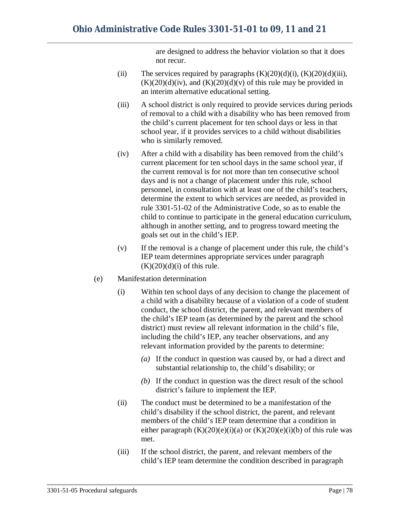are designed to address the behavior violation so that it does not recur.

- (ii) The services required by paragraphs  $(K)(20)(d)(i)$ ,  $(K)(20)(d)(iii)$ ,  $(K)(20)(d)(iv)$ , and  $(K)(20)(d)(v)$  of this rule may be provided in an interim alternative educational setting.
- (iii) A school district is only required to provide services during periods of removal to a child with a disability who has been removed from the child's current placement for ten school days or less in that school year, if it provides services to a child without disabilities who is similarly removed.
- (iv) After a child with a disability has been removed from the child's current placement for ten school days in the same school year, if the current removal is for not more than ten consecutive school days and is not a change of placement under this rule, school personnel, in consultation with at least one of the child's teachers, determine the extent to which services are needed, as provided in rule 3301-51-02 of the Administrative Code, so as to enable the child to continue to participate in the general education curriculum, although in another setting, and to progress toward meeting the goals set out in the child's IEP.
- (v) If the removal is a change of placement under this rule, the child's IEP team determines appropriate services under paragraph  $(K)(20)(d)(i)$  of this rule.
- (e) Manifestation determination
	- (i) Within ten school days of any decision to change the placement of a child with a disability because of a violation of a code of student conduct, the school district, the parent, and relevant members of the child's IEP team (as determined by the parent and the school district) must review all relevant information in the child's file, including the child's IEP, any teacher observations, and any relevant information provided by the parents to determine:
		- *(a)* If the conduct in question was caused by, or had a direct and substantial relationship to, the child's disability; or
		- *(b)* If the conduct in question was the direct result of the school district's failure to implement the IEP.
	- (ii) The conduct must be determined to be a manifestation of the child's disability if the school district, the parent, and relevant members of the child's IEP team determine that a condition in either paragraph  $(K)(20)(e)(i)(a)$  or  $(K)(20)(e)(i)(b)$  of this rule was met.
	- (iii) If the school district, the parent, and relevant members of the child's IEP team determine the condition described in paragraph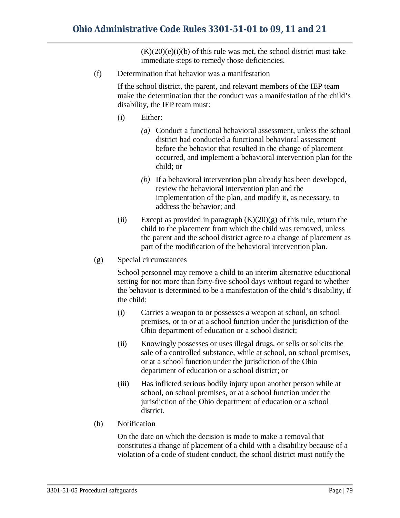$(K)(20)(e)(i)(b)$  of this rule was met, the school district must take immediate steps to remedy those deficiencies.

(f) Determination that behavior was a manifestation

If the school district, the parent, and relevant members of the IEP team make the determination that the conduct was a manifestation of the child's disability, the IEP team must:

- (i) Either:
	- *(a)* Conduct a functional behavioral assessment, unless the school district had conducted a functional behavioral assessment before the behavior that resulted in the change of placement occurred, and implement a behavioral intervention plan for the child; or
	- *(b)* If a behavioral intervention plan already has been developed, review the behavioral intervention plan and the implementation of the plan, and modify it, as necessary, to address the behavior; and
- (ii) Except as provided in paragraph  $(K)(20)(g)$  of this rule, return the child to the placement from which the child was removed, unless the parent and the school district agree to a change of placement as part of the modification of the behavioral intervention plan.
- (g) Special circumstances

School personnel may remove a child to an interim alternative educational setting for not more than forty-five school days without regard to whether the behavior is determined to be a manifestation of the child's disability, if the child:

- (i) Carries a weapon to or possesses a weapon at school, on school premises, or to or at a school function under the jurisdiction of the Ohio department of education or a school district;
- (ii) Knowingly possesses or uses illegal drugs, or sells or solicits the sale of a controlled substance, while at school, on school premises, or at a school function under the jurisdiction of the Ohio department of education or a school district; or
- (iii) Has inflicted serious bodily injury upon another person while at school, on school premises, or at a school function under the jurisdiction of the Ohio department of education or a school district.
- (h) Notification

On the date on which the decision is made to make a removal that constitutes a change of placement of a child with a disability because of a violation of a code of student conduct, the school district must notify the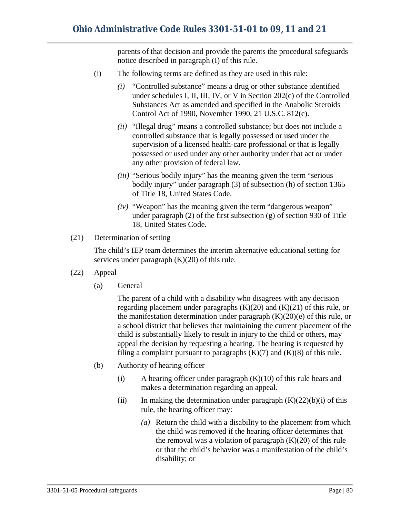parents of that decision and provide the parents the procedural safeguards notice described in paragraph (I) of this rule.

- (i) The following terms are defined as they are used in this rule:
	- *(i)* "Controlled substance" means a drug or other substance identified under schedules I, II, III, IV, or V in Section 202(c) of the Controlled Substances Act as amended and specified in the Anabolic Steroids Control Act of 1990, November 1990, 21 U.S.C. 812(c).
	- *(ii)* "Illegal drug" means a controlled substance; but does not include a controlled substance that is legally possessed or used under the supervision of a licensed health-care professional or that is legally possessed or used under any other authority under that act or under any other provision of federal law.
	- *(iii)* "Serious bodily injury" has the meaning given the term "serious bodily injury" under paragraph (3) of subsection (h) of section 1365 of Title 18, United States Code.
	- *(iv)* "Weapon" has the meaning given the term "dangerous weapon" under paragraph (2) of the first subsection (g) of section 930 of Title 18, United States Code.
- (21) Determination of setting

The child's IEP team determines the interim alternative educational setting for services under paragraph (K)(20) of this rule.

- (22) Appeal
	- (a) General

The parent of a child with a disability who disagrees with any decision regarding placement under paragraphs  $(K)(20)$  and  $(K)(21)$  of this rule, or the manifestation determination under paragraph  $(K)(20)(e)$  of this rule, or a school district that believes that maintaining the current placement of the child is substantially likely to result in injury to the child or others, may appeal the decision by requesting a hearing. The hearing is requested by filing a complaint pursuant to paragraphs  $(K)(7)$  and  $(K)(8)$  of this rule.

- (b) Authority of hearing officer
	- (i) A hearing officer under paragraph  $(K)(10)$  of this rule hears and makes a determination regarding an appeal.
	- (ii) In making the determination under paragraph  $(K)(22)(b)(i)$  of this rule, the hearing officer may:
		- *(a)* Return the child with a disability to the placement from which the child was removed if the hearing officer determines that the removal was a violation of paragraph  $(K)(20)$  of this rule or that the child's behavior was a manifestation of the child's disability; or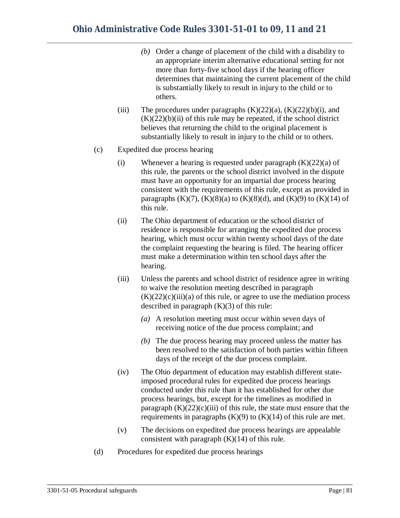- *(b)* Order a change of placement of the child with a disability to an appropriate interim alternative educational setting for not more than forty-five school days if the hearing officer determines that maintaining the current placement of the child is substantially likely to result in injury to the child or to others.
- (iii) The procedures under paragraphs  $(K)(22)(a)$ ,  $(K)(22)(b)(i)$ , and  $(K)(22)(b)(ii)$  of this rule may be repeated, if the school district believes that returning the child to the original placement is substantially likely to result in injury to the child or to others.
- (c) Expedited due process hearing
	- (i) Whenever a hearing is requested under paragraph  $(K)(22)(a)$  of this rule, the parents or the school district involved in the dispute must have an opportunity for an impartial due process hearing consistent with the requirements of this rule, except as provided in paragraphs  $(K)(7)$ ,  $(K)(8)(a)$  to  $(K)(8)(d)$ , and  $(K)(9)$  to  $(K)(14)$  of this rule.
	- (ii) The Ohio department of education or the school district of residence is responsible for arranging the expedited due process hearing, which must occur within twenty school days of the date the complaint requesting the hearing is filed. The hearing officer must make a determination within ten school days after the hearing.
	- (iii) Unless the parents and school district of residence agree in writing to waive the resolution meeting described in paragraph  $(K)(22)(c)(iii)(a)$  of this rule, or agree to use the mediation process described in paragraph  $(K)(3)$  of this rule:
		- *(a)* A resolution meeting must occur within seven days of receiving notice of the due process complaint; and
		- *(b)* The due process hearing may proceed unless the matter has been resolved to the satisfaction of both parties within fifteen days of the receipt of the due process complaint.
	- (iv) The Ohio department of education may establish different stateimposed procedural rules for expedited due process hearings conducted under this rule than it has established for other due process hearings, but, except for the timelines as modified in paragraph  $(K)(22)(c)(iii)$  of this rule, the state must ensure that the requirements in paragraphs  $(K)(9)$  to  $(K)(14)$  of this rule are met.
	- (v) The decisions on expedited due process hearings are appealable consistent with paragraph  $(K)(14)$  of this rule.
- (d) Procedures for expedited due process hearings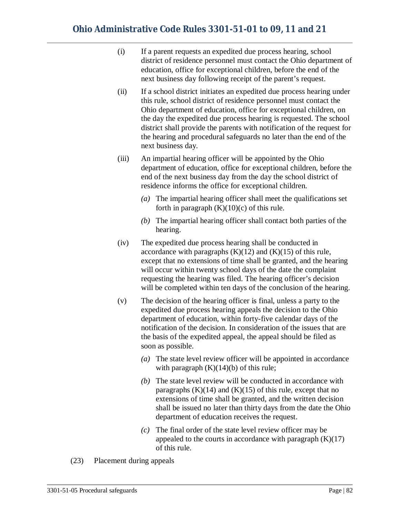- (i) If a parent requests an expedited due process hearing, school district of residence personnel must contact the Ohio department of education, office for exceptional children, before the end of the next business day following receipt of the parent's request.
- (ii) If a school district initiates an expedited due process hearing under this rule, school district of residence personnel must contact the Ohio department of education, office for exceptional children, on the day the expedited due process hearing is requested. The school district shall provide the parents with notification of the request for the hearing and procedural safeguards no later than the end of the next business day.
- (iii) An impartial hearing officer will be appointed by the Ohio department of education, office for exceptional children, before the end of the next business day from the day the school district of residence informs the office for exceptional children.
	- *(a)* The impartial hearing officer shall meet the qualifications set forth in paragraph  $(K)(10)(c)$  of this rule.
	- *(b)* The impartial hearing officer shall contact both parties of the hearing.
- (iv) The expedited due process hearing shall be conducted in accordance with paragraphs  $(K)(12)$  and  $(K)(15)$  of this rule, except that no extensions of time shall be granted, and the hearing will occur within twenty school days of the date the complaint requesting the hearing was filed. The hearing officer's decision will be completed within ten days of the conclusion of the hearing.
- (v) The decision of the hearing officer is final, unless a party to the expedited due process hearing appeals the decision to the Ohio department of education, within forty-five calendar days of the notification of the decision. In consideration of the issues that are the basis of the expedited appeal, the appeal should be filed as soon as possible.
	- *(a)* The state level review officer will be appointed in accordance with paragraph  $(K)(14)(b)$  of this rule;
	- *(b)* The state level review will be conducted in accordance with paragraphs  $(K)(14)$  and  $(K)(15)$  of this rule, except that no extensions of time shall be granted, and the written decision shall be issued no later than thirty days from the date the Ohio department of education receives the request.
	- *(c)* The final order of the state level review officer may be appealed to the courts in accordance with paragraph  $(K)(17)$ of this rule.
- (23) Placement during appeals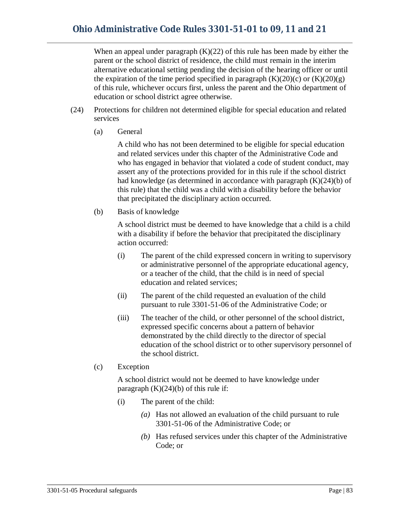When an appeal under paragraph  $(K)(22)$  of this rule has been made by either the parent or the school district of residence, the child must remain in the interim alternative educational setting pending the decision of the hearing officer or until the expiration of the time period specified in paragraph  $(K)(20)(c)$  or  $(K)(20)(g)$ of this rule, whichever occurs first, unless the parent and the Ohio department of education or school district agree otherwise.

- (24) Protections for children not determined eligible for special education and related services
	- (a) General

A child who has not been determined to be eligible for special education and related services under this chapter of the Administrative Code and who has engaged in behavior that violated a code of student conduct, may assert any of the protections provided for in this rule if the school district had knowledge (as determined in accordance with paragraph  $(K)(24)(b)$  of this rule) that the child was a child with a disability before the behavior that precipitated the disciplinary action occurred.

(b) Basis of knowledge

A school district must be deemed to have knowledge that a child is a child with a disability if before the behavior that precipitated the disciplinary action occurred:

- (i) The parent of the child expressed concern in writing to supervisory or administrative personnel of the appropriate educational agency, or a teacher of the child, that the child is in need of special education and related services;
- (ii) The parent of the child requested an evaluation of the child pursuant to rule 3301-51-06 of the Administrative Code; or
- (iii) The teacher of the child, or other personnel of the school district, expressed specific concerns about a pattern of behavior demonstrated by the child directly to the director of special education of the school district or to other supervisory personnel of the school district.
- (c) Exception

A school district would not be deemed to have knowledge under paragraph  $(K)(24)(b)$  of this rule if:

- (i) The parent of the child:
	- *(a)* Has not allowed an evaluation of the child pursuant to rule 3301-51-06 of the Administrative Code; or
	- *(b)* Has refused services under this chapter of the Administrative Code; or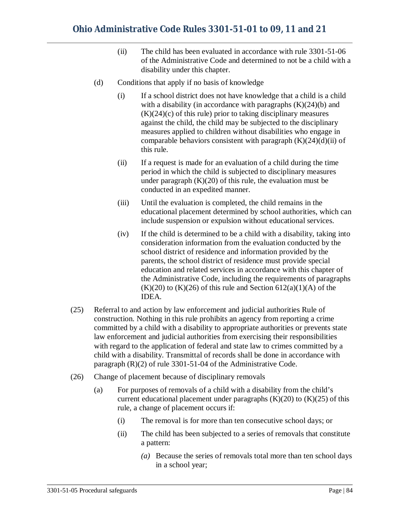- (ii) The child has been evaluated in accordance with rule 3301-51-06 of the Administrative Code and determined to not be a child with a disability under this chapter.
- (d) Conditions that apply if no basis of knowledge
	- (i) If a school district does not have knowledge that a child is a child with a disability (in accordance with paragraphs  $(K)(24)(b)$  and  $(K)(24)(c)$  of this rule) prior to taking disciplinary measures against the child, the child may be subjected to the disciplinary measures applied to children without disabilities who engage in comparable behaviors consistent with paragraph  $(K)(24)(d)(ii)$  of this rule.
	- (ii) If a request is made for an evaluation of a child during the time period in which the child is subjected to disciplinary measures under paragraph  $(K)(20)$  of this rule, the evaluation must be conducted in an expedited manner.
	- (iii) Until the evaluation is completed, the child remains in the educational placement determined by school authorities, which can include suspension or expulsion without educational services.
	- (iv) If the child is determined to be a child with a disability, taking into consideration information from the evaluation conducted by the school district of residence and information provided by the parents, the school district of residence must provide special education and related services in accordance with this chapter of the Administrative Code, including the requirements of paragraphs  $(K)(20)$  to  $(K)(26)$  of this rule and Section 612(a)(1)(A) of the IDEA.
- (25) Referral to and action by law enforcement and judicial authorities Rule of construction. Nothing in this rule prohibits an agency from reporting a crime committed by a child with a disability to appropriate authorities or prevents state law enforcement and judicial authorities from exercising their responsibilities with regard to the application of federal and state law to crimes committed by a child with a disability. Transmittal of records shall be done in accordance with paragraph (R)(2) of rule 3301-51-04 of the Administrative Code.
- (26) Change of placement because of disciplinary removals
	- (a) For purposes of removals of a child with a disability from the child's current educational placement under paragraphs  $(K)(20)$  to  $(K)(25)$  of this rule, a change of placement occurs if:
		- (i) The removal is for more than ten consecutive school days; or
		- (ii) The child has been subjected to a series of removals that constitute a pattern:
			- *(a)* Because the series of removals total more than ten school days in a school year;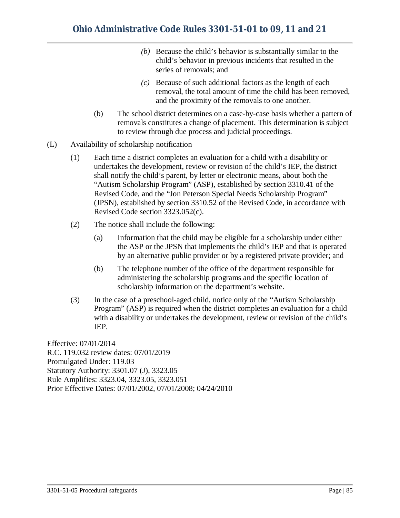- *(b)* Because the child's behavior is substantially similar to the child's behavior in previous incidents that resulted in the series of removals; and
- *(c)* Because of such additional factors as the length of each removal, the total amount of time the child has been removed, and the proximity of the removals to one another.
- (b) The school district determines on a case-by-case basis whether a pattern of removals constitutes a change of placement. This determination is subject to review through due process and judicial proceedings.
- (L) Availability of scholarship notification
	- (1) Each time a district completes an evaluation for a child with a disability or undertakes the development, review or revision of the child's IEP, the district shall notify the child's parent, by letter or electronic means, about both the "Autism Scholarship Program" (ASP), established by section 3310.41 of the Revised Code, and the "Jon Peterson Special Needs Scholarship Program" (JPSN), established by section 3310.52 of the Revised Code, in accordance with Revised Code section 3323.052(c).
	- (2) The notice shall include the following:
		- (a) Information that the child may be eligible for a scholarship under either the ASP or the JPSN that implements the child's IEP and that is operated by an alternative public provider or by a registered private provider; and
		- (b) The telephone number of the office of the department responsible for administering the scholarship programs and the specific location of scholarship information on the department's website.
	- (3) In the case of a preschool-aged child, notice only of the "Autism Scholarship Program" (ASP) is required when the district completes an evaluation for a child with a disability or undertakes the development, review or revision of the child's IEP.

Effective: 07/01/2014 R.C. 119.032 review dates: 07/01/2019 Promulgated Under: 119.03 Statutory Authority: 3301.07 (J), 3323.05 Rule Amplifies: 3323.04, 3323.05, 3323.051 Prior Effective Dates: 07/01/2002, 07/01/2008; 04/24/2010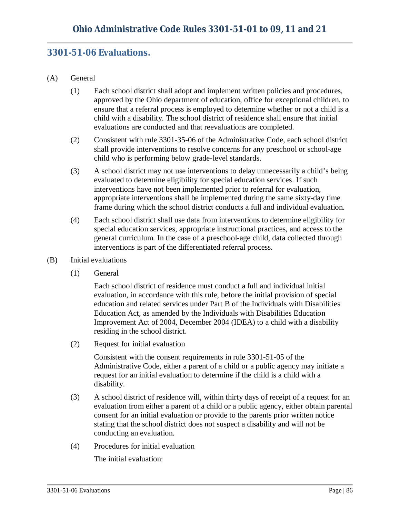#### **3301-51-06 Evaluations.**

- (A) General
	- (1) Each school district shall adopt and implement written policies and procedures, approved by the Ohio department of education, office for exceptional children, to ensure that a referral process is employed to determine whether or not a child is a child with a disability. The school district of residence shall ensure that initial evaluations are conducted and that reevaluations are completed.
	- (2) Consistent with rule 3301-35-06 of the Administrative Code, each school district shall provide interventions to resolve concerns for any preschool or school-age child who is performing below grade-level standards.
	- (3) A school district may not use interventions to delay unnecessarily a child's being evaluated to determine eligibility for special education services. If such interventions have not been implemented prior to referral for evaluation, appropriate interventions shall be implemented during the same sixty-day time frame during which the school district conducts a full and individual evaluation.
	- (4) Each school district shall use data from interventions to determine eligibility for special education services, appropriate instructional practices, and access to the general curriculum. In the case of a preschool-age child, data collected through interventions is part of the differentiated referral process.
- (B) Initial evaluations
	- (1) General

Each school district of residence must conduct a full and individual initial evaluation, in accordance with this rule, before the initial provision of special education and related services under Part B of the Individuals with Disabilities Education Act, as amended by the Individuals with Disabilities Education Improvement Act of 2004, December 2004 (IDEA) to a child with a disability residing in the school district.

(2) Request for initial evaluation

Consistent with the consent requirements in rule 3301-51-05 of the Administrative Code, either a parent of a child or a public agency may initiate a request for an initial evaluation to determine if the child is a child with a disability.

- (3) A school district of residence will, within thirty days of receipt of a request for an evaluation from either a parent of a child or a public agency, either obtain parental consent for an initial evaluation or provide to the parents prior written notice stating that the school district does not suspect a disability and will not be conducting an evaluation.
- (4) Procedures for initial evaluation

The initial evaluation: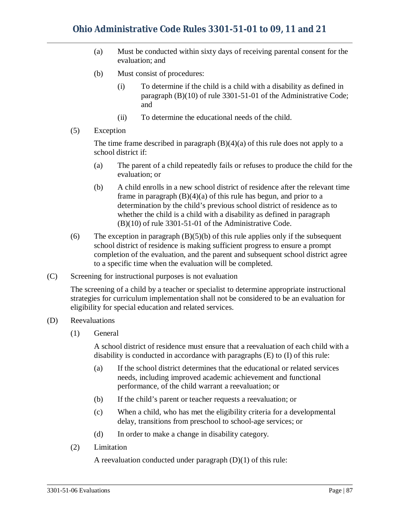- (a) Must be conducted within sixty days of receiving parental consent for the evaluation; and
- (b) Must consist of procedures:
	- (i) To determine if the child is a child with a disability as defined in paragraph (B)(10) of rule 3301-51-01 of the Administrative Code; and
	- (ii) To determine the educational needs of the child.
- (5) Exception

The time frame described in paragraph  $(B)(4)(a)$  of this rule does not apply to a school district if:

- (a) The parent of a child repeatedly fails or refuses to produce the child for the evaluation; or
- (b) A child enrolls in a new school district of residence after the relevant time frame in paragraph  $(B)(4)(a)$  of this rule has begun, and prior to a determination by the child's previous school district of residence as to whether the child is a child with a disability as defined in paragraph (B)(10) of rule 3301-51-01 of the Administrative Code.
- (6) The exception in paragraph  $(B)(5)(b)$  of this rule applies only if the subsequent school district of residence is making sufficient progress to ensure a prompt completion of the evaluation, and the parent and subsequent school district agree to a specific time when the evaluation will be completed.
- (C) Screening for instructional purposes is not evaluation

The screening of a child by a teacher or specialist to determine appropriate instructional strategies for curriculum implementation shall not be considered to be an evaluation for eligibility for special education and related services.

- (D) Reevaluations
	- (1) General

A school district of residence must ensure that a reevaluation of each child with a disability is conducted in accordance with paragraphs (E) to (I) of this rule:

- (a) If the school district determines that the educational or related services needs, including improved academic achievement and functional performance, of the child warrant a reevaluation; or
- (b) If the child's parent or teacher requests a reevaluation; or
- (c) When a child, who has met the eligibility criteria for a developmental delay, transitions from preschool to school-age services; or
- (d) In order to make a change in disability category.
- (2) Limitation

A reevaluation conducted under paragraph  $(D)(1)$  of this rule: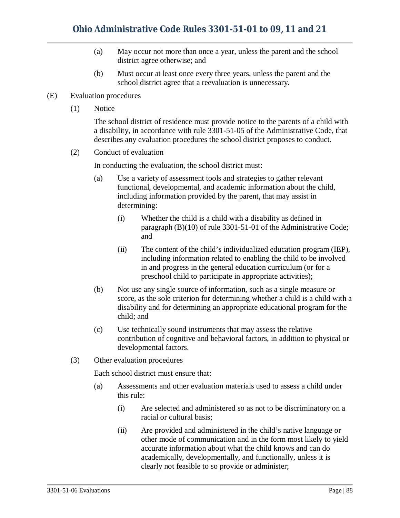- (a) May occur not more than once a year, unless the parent and the school district agree otherwise; and
- (b) Must occur at least once every three years, unless the parent and the school district agree that a reevaluation is unnecessary.
- (E) Evaluation procedures
	- (1) Notice

The school district of residence must provide notice to the parents of a child with a disability, in accordance with rule 3301-51-05 of the Administrative Code, that describes any evaluation procedures the school district proposes to conduct.

(2) Conduct of evaluation

In conducting the evaluation, the school district must:

- (a) Use a variety of assessment tools and strategies to gather relevant functional, developmental, and academic information about the child, including information provided by the parent, that may assist in determining:
	- (i) Whether the child is a child with a disability as defined in paragraph (B)(10) of rule 3301-51-01 of the Administrative Code; and
	- (ii) The content of the child's individualized education program (IEP), including information related to enabling the child to be involved in and progress in the general education curriculum (or for a preschool child to participate in appropriate activities);
- (b) Not use any single source of information, such as a single measure or score, as the sole criterion for determining whether a child is a child with a disability and for determining an appropriate educational program for the child; and
- (c) Use technically sound instruments that may assess the relative contribution of cognitive and behavioral factors, in addition to physical or developmental factors.
- (3) Other evaluation procedures

Each school district must ensure that:

- (a) Assessments and other evaluation materials used to assess a child under this rule:
	- (i) Are selected and administered so as not to be discriminatory on a racial or cultural basis;
	- (ii) Are provided and administered in the child's native language or other mode of communication and in the form most likely to yield accurate information about what the child knows and can do academically, developmentally, and functionally, unless it is clearly not feasible to so provide or administer;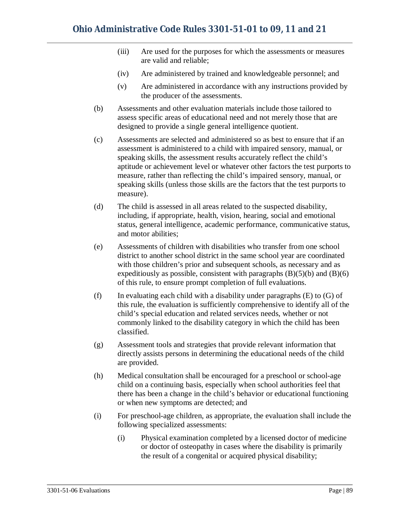- (iii) Are used for the purposes for which the assessments or measures are valid and reliable;
- (iv) Are administered by trained and knowledgeable personnel; and
- (v) Are administered in accordance with any instructions provided by the producer of the assessments.
- (b) Assessments and other evaluation materials include those tailored to assess specific areas of educational need and not merely those that are designed to provide a single general intelligence quotient.
- (c) Assessments are selected and administered so as best to ensure that if an assessment is administered to a child with impaired sensory, manual, or speaking skills, the assessment results accurately reflect the child's aptitude or achievement level or whatever other factors the test purports to measure, rather than reflecting the child's impaired sensory, manual, or speaking skills (unless those skills are the factors that the test purports to measure).
- (d) The child is assessed in all areas related to the suspected disability, including, if appropriate, health, vision, hearing, social and emotional status, general intelligence, academic performance, communicative status, and motor abilities;
- (e) Assessments of children with disabilities who transfer from one school district to another school district in the same school year are coordinated with those children's prior and subsequent schools, as necessary and as expeditiously as possible, consistent with paragraphs  $(B)(5)(b)$  and  $(B)(6)$ of this rule, to ensure prompt completion of full evaluations.
- (f) In evaluating each child with a disability under paragraphs  $(E)$  to  $(G)$  of this rule, the evaluation is sufficiently comprehensive to identify all of the child's special education and related services needs, whether or not commonly linked to the disability category in which the child has been classified.
- (g) Assessment tools and strategies that provide relevant information that directly assists persons in determining the educational needs of the child are provided.
- (h) Medical consultation shall be encouraged for a preschool or school-age child on a continuing basis, especially when school authorities feel that there has been a change in the child's behavior or educational functioning or when new symptoms are detected; and
- (i) For preschool-age children, as appropriate, the evaluation shall include the following specialized assessments:
	- (i) Physical examination completed by a licensed doctor of medicine or doctor of osteopathy in cases where the disability is primarily the result of a congenital or acquired physical disability;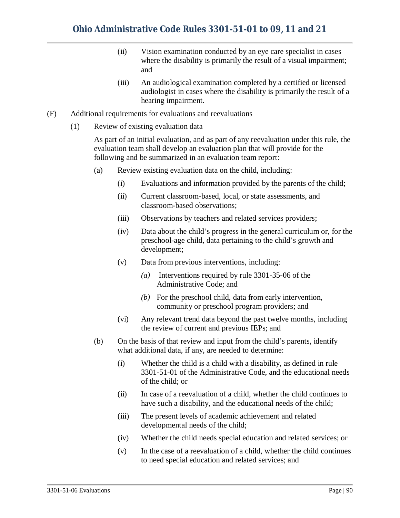- (ii) Vision examination conducted by an eye care specialist in cases where the disability is primarily the result of a visual impairment; and
- (iii) An audiological examination completed by a certified or licensed audiologist in cases where the disability is primarily the result of a hearing impairment.
- (F) Additional requirements for evaluations and reevaluations
	- (1) Review of existing evaluation data

As part of an initial evaluation, and as part of any reevaluation under this rule, the evaluation team shall develop an evaluation plan that will provide for the following and be summarized in an evaluation team report:

- (a) Review existing evaluation data on the child, including:
	- (i) Evaluations and information provided by the parents of the child;
	- (ii) Current classroom-based, local, or state assessments, and classroom-based observations;
	- (iii) Observations by teachers and related services providers;
	- (iv) Data about the child's progress in the general curriculum or, for the preschool-age child, data pertaining to the child's growth and development;
	- (v) Data from previous interventions, including:
		- *(a)* Interventions required by rule 3301-35-06 of the Administrative Code; and
		- *(b)* For the preschool child, data from early intervention, community or preschool program providers; and
	- (vi) Any relevant trend data beyond the past twelve months, including the review of current and previous IEPs; and
- (b) On the basis of that review and input from the child's parents, identify what additional data, if any, are needed to determine:
	- (i) Whether the child is a child with a disability, as defined in rule 3301-51-01 of the Administrative Code, and the educational needs of the child; or
	- (ii) In case of a reevaluation of a child, whether the child continues to have such a disability, and the educational needs of the child;
	- (iii) The present levels of academic achievement and related developmental needs of the child;
	- (iv) Whether the child needs special education and related services; or
	- (v) In the case of a reevaluation of a child, whether the child continues to need special education and related services; and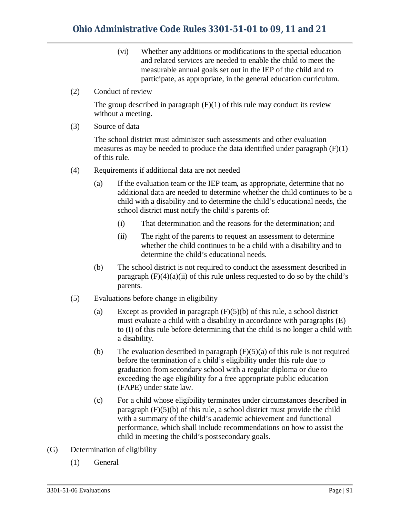- (vi) Whether any additions or modifications to the special education and related services are needed to enable the child to meet the measurable annual goals set out in the IEP of the child and to participate, as appropriate, in the general education curriculum.
- (2) Conduct of review

The group described in paragraph  $(F)(1)$  of this rule may conduct its review without a meeting.

(3) Source of data

The school district must administer such assessments and other evaluation measures as may be needed to produce the data identified under paragraph  $(F)(1)$ of this rule.

- (4) Requirements if additional data are not needed
	- (a) If the evaluation team or the IEP team, as appropriate, determine that no additional data are needed to determine whether the child continues to be a child with a disability and to determine the child's educational needs, the school district must notify the child's parents of:
		- (i) That determination and the reasons for the determination; and
		- (ii) The right of the parents to request an assessment to determine whether the child continues to be a child with a disability and to determine the child's educational needs.
	- (b) The school district is not required to conduct the assessment described in paragraph  $(F)(4)(a)(ii)$  of this rule unless requested to do so by the child's parents.
- (5) Evaluations before change in eligibility
	- (a) Except as provided in paragraph  $(F)(5)(b)$  of this rule, a school district must evaluate a child with a disability in accordance with paragraphs (E) to (I) of this rule before determining that the child is no longer a child with a disability.
	- (b) The evaluation described in paragraph  $(F)(5)(a)$  of this rule is not required before the termination of a child's eligibility under this rule due to graduation from secondary school with a regular diploma or due to exceeding the age eligibility for a free appropriate public education (FAPE) under state law.
	- (c) For a child whose eligibility terminates under circumstances described in paragraph  $(F)(5)(b)$  of this rule, a school district must provide the child with a summary of the child's academic achievement and functional performance, which shall include recommendations on how to assist the child in meeting the child's postsecondary goals.
- (G) Determination of eligibility
	- (1) General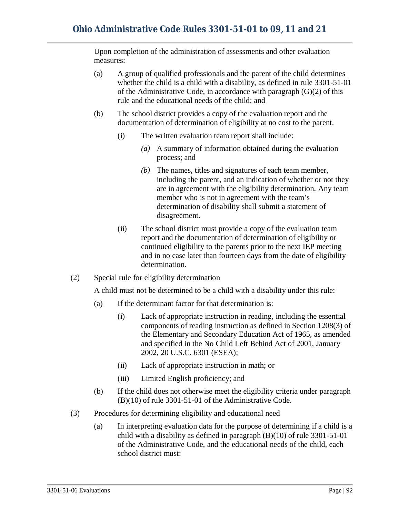Upon completion of the administration of assessments and other evaluation measures:

- (a) A group of qualified professionals and the parent of the child determines whether the child is a child with a disability, as defined in rule 3301-51-01 of the Administrative Code, in accordance with paragraph  $(G)(2)$  of this rule and the educational needs of the child; and
- (b) The school district provides a copy of the evaluation report and the documentation of determination of eligibility at no cost to the parent.
	- (i) The written evaluation team report shall include:
		- *(a)* A summary of information obtained during the evaluation process; and
		- *(b)* The names, titles and signatures of each team member, including the parent, and an indication of whether or not they are in agreement with the eligibility determination. Any team member who is not in agreement with the team's determination of disability shall submit a statement of disagreement.
	- (ii) The school district must provide a copy of the evaluation team report and the documentation of determination of eligibility or continued eligibility to the parents prior to the next IEP meeting and in no case later than fourteen days from the date of eligibility determination.
- (2) Special rule for eligibility determination

A child must not be determined to be a child with a disability under this rule:

- (a) If the determinant factor for that determination is:
	- (i) Lack of appropriate instruction in reading, including the essential components of reading instruction as defined in Section 1208(3) of the Elementary and Secondary Education Act of 1965, as amended and specified in the No Child Left Behind Act of 2001, January 2002, 20 U.S.C. 6301 (ESEA);
	- (ii) Lack of appropriate instruction in math; or
	- (iii) Limited English proficiency; and
- (b) If the child does not otherwise meet the eligibility criteria under paragraph (B)(10) of rule 3301-51-01 of the Administrative Code.
- (3) Procedures for determining eligibility and educational need
	- (a) In interpreting evaluation data for the purpose of determining if a child is a child with a disability as defined in paragraph (B)(10) of rule 3301-51-01 of the Administrative Code, and the educational needs of the child, each school district must: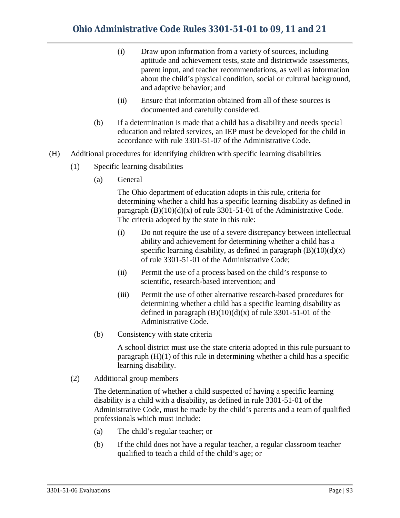- (i) Draw upon information from a variety of sources, including aptitude and achievement tests, state and districtwide assessments, parent input, and teacher recommendations, as well as information about the child's physical condition, social or cultural background, and adaptive behavior; and
- (ii) Ensure that information obtained from all of these sources is documented and carefully considered.
- (b) If a determination is made that a child has a disability and needs special education and related services, an IEP must be developed for the child in accordance with rule 3301-51-07 of the Administrative Code.
- (H) Additional procedures for identifying children with specific learning disabilities
	- (1) Specific learning disabilities
		- (a) General

The Ohio department of education adopts in this rule, criteria for determining whether a child has a specific learning disability as defined in paragraph  $(B)(10)(d)(x)$  of rule 3301-51-01 of the Administrative Code. The criteria adopted by the state in this rule:

- (i) Do not require the use of a severe discrepancy between intellectual ability and achievement for determining whether a child has a specific learning disability, as defined in paragraph  $(B)(10)(d)(x)$ of rule 3301-51-01 of the Administrative Code;
- (ii) Permit the use of a process based on the child's response to scientific, research-based intervention; and
- (iii) Permit the use of other alternative research-based procedures for determining whether a child has a specific learning disability as defined in paragraph  $(B)(10)(d)(x)$  of rule 3301-51-01 of the Administrative Code.
- (b) Consistency with state criteria

A school district must use the state criteria adopted in this rule pursuant to paragraph  $(H)(1)$  of this rule in determining whether a child has a specific learning disability.

(2) Additional group members

The determination of whether a child suspected of having a specific learning disability is a child with a disability, as defined in rule 3301-51-01 of the Administrative Code, must be made by the child's parents and a team of qualified professionals which must include:

- (a) The child's regular teacher; or
- (b) If the child does not have a regular teacher, a regular classroom teacher qualified to teach a child of the child's age; or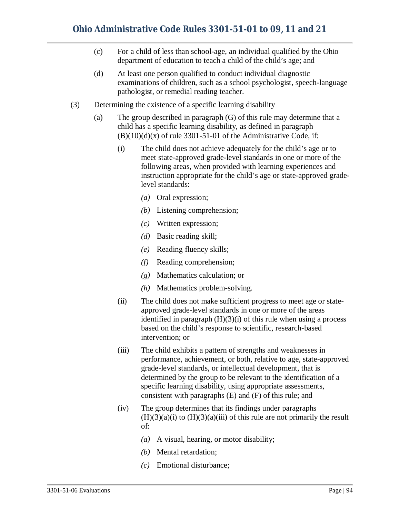- (c) For a child of less than school-age, an individual qualified by the Ohio department of education to teach a child of the child's age; and
- (d) At least one person qualified to conduct individual diagnostic examinations of children, such as a school psychologist, speech-language pathologist, or remedial reading teacher.
- (3) Determining the existence of a specific learning disability
	- (a) The group described in paragraph (G) of this rule may determine that a child has a specific learning disability, as defined in paragraph  $(B)(10)(d)(x)$  of rule 3301-51-01 of the Administrative Code, if:
		- (i) The child does not achieve adequately for the child's age or to meet state-approved grade-level standards in one or more of the following areas, when provided with learning experiences and instruction appropriate for the child's age or state-approved gradelevel standards:
			- *(a)* Oral expression;
			- *(b)* Listening comprehension;
			- *(c)* Written expression;
			- *(d)* Basic reading skill;
			- *(e)* Reading fluency skills;
			- *(f)* Reading comprehension;
			- *(g)* Mathematics calculation; or
			- *(h)* Mathematics problem-solving.
		- (ii) The child does not make sufficient progress to meet age or stateapproved grade-level standards in one or more of the areas identified in paragraph (H)(3)(i) of this rule when using a process based on the child's response to scientific, research-based intervention; or
		- (iii) The child exhibits a pattern of strengths and weaknesses in performance, achievement, or both, relative to age, state-approved grade-level standards, or intellectual development, that is determined by the group to be relevant to the identification of a specific learning disability, using appropriate assessments, consistent with paragraphs (E) and (F) of this rule; and
		- (iv) The group determines that its findings under paragraphs  $(H)(3)(a)(i)$  to  $(H)(3)(a)(iii)$  of this rule are not primarily the result of:
			- *(a)* A visual, hearing, or motor disability;
			- *(b)* Mental retardation;
			- *(c)* Emotional disturbance;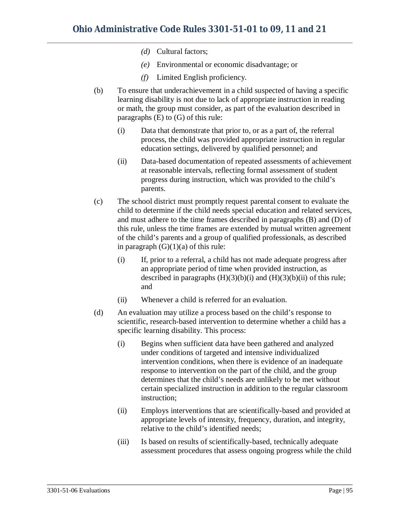- *(d)* Cultural factors;
- *(e)* Environmental or economic disadvantage; or
- *(f)* Limited English proficiency.
- (b) To ensure that underachievement in a child suspected of having a specific learning disability is not due to lack of appropriate instruction in reading or math, the group must consider, as part of the evaluation described in paragraphs (E) to (G) of this rule:
	- (i) Data that demonstrate that prior to, or as a part of, the referral process, the child was provided appropriate instruction in regular education settings, delivered by qualified personnel; and
	- (ii) Data-based documentation of repeated assessments of achievement at reasonable intervals, reflecting formal assessment of student progress during instruction, which was provided to the child's parents.
- (c) The school district must promptly request parental consent to evaluate the child to determine if the child needs special education and related services, and must adhere to the time frames described in paragraphs (B) and (D) of this rule, unless the time frames are extended by mutual written agreement of the child's parents and a group of qualified professionals, as described in paragraph  $(G)(1)(a)$  of this rule:
	- (i) If, prior to a referral, a child has not made adequate progress after an appropriate period of time when provided instruction, as described in paragraphs  $(H)(3)(b)(i)$  and  $(H)(3)(b)(ii)$  of this rule; and
	- (ii) Whenever a child is referred for an evaluation.
- (d) An evaluation may utilize a process based on the child's response to scientific, research-based intervention to determine whether a child has a specific learning disability. This process:
	- (i) Begins when sufficient data have been gathered and analyzed under conditions of targeted and intensive individualized intervention conditions, when there is evidence of an inadequate response to intervention on the part of the child, and the group determines that the child's needs are unlikely to be met without certain specialized instruction in addition to the regular classroom instruction;
	- (ii) Employs interventions that are scientifically-based and provided at appropriate levels of intensity, frequency, duration, and integrity, relative to the child's identified needs;
	- (iii) Is based on results of scientifically-based, technically adequate assessment procedures that assess ongoing progress while the child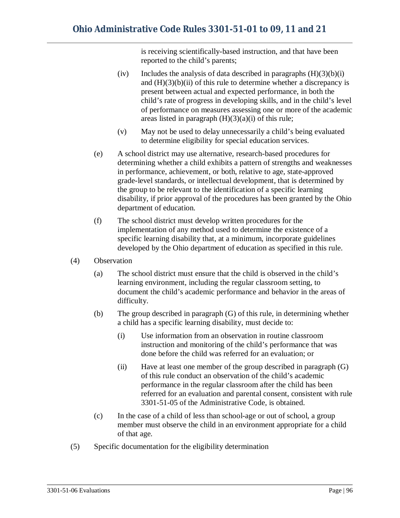is receiving scientifically-based instruction, and that have been reported to the child's parents;

- (iv) Includes the analysis of data described in paragraphs  $(H)(3)(b)(i)$ and  $(H)(3)(b)(ii)$  of this rule to determine whether a discrepancy is present between actual and expected performance, in both the child's rate of progress in developing skills, and in the child's level of performance on measures assessing one or more of the academic areas listed in paragraph  $(H)(3)(a)(i)$  of this rule;
- (v) May not be used to delay unnecessarily a child's being evaluated to determine eligibility for special education services.
- (e) A school district may use alternative, research-based procedures for determining whether a child exhibits a pattern of strengths and weaknesses in performance, achievement, or both, relative to age, state-approved grade-level standards, or intellectual development, that is determined by the group to be relevant to the identification of a specific learning disability, if prior approval of the procedures has been granted by the Ohio department of education.
- (f) The school district must develop written procedures for the implementation of any method used to determine the existence of a specific learning disability that, at a minimum, incorporate guidelines developed by the Ohio department of education as specified in this rule.
- (4) Observation
	- (a) The school district must ensure that the child is observed in the child's learning environment, including the regular classroom setting, to document the child's academic performance and behavior in the areas of difficulty.
	- (b) The group described in paragraph (G) of this rule, in determining whether a child has a specific learning disability, must decide to:
		- (i) Use information from an observation in routine classroom instruction and monitoring of the child's performance that was done before the child was referred for an evaluation; or
		- (ii) Have at least one member of the group described in paragraph (G) of this rule conduct an observation of the child's academic performance in the regular classroom after the child has been referred for an evaluation and parental consent, consistent with rule 3301-51-05 of the Administrative Code, is obtained.
	- (c) In the case of a child of less than school-age or out of school, a group member must observe the child in an environment appropriate for a child of that age.
- (5) Specific documentation for the eligibility determination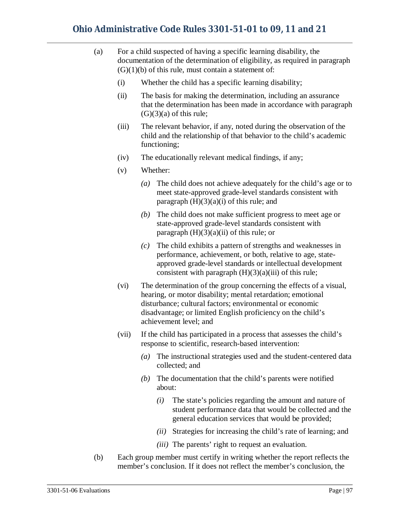- (a) For a child suspected of having a specific learning disability, the documentation of the determination of eligibility, as required in paragraph  $(G)(1)(b)$  of this rule, must contain a statement of:
	- (i) Whether the child has a specific learning disability;
	- (ii) The basis for making the determination, including an assurance that the determination has been made in accordance with paragraph  $(G)(3)(a)$  of this rule:
	- (iii) The relevant behavior, if any, noted during the observation of the child and the relationship of that behavior to the child's academic functioning;
	- (iv) The educationally relevant medical findings, if any;
	- (v) Whether:
		- *(a)* The child does not achieve adequately for the child's age or to meet state-approved grade-level standards consistent with paragraph  $(H)(3)(a)(i)$  of this rule; and
		- *(b)* The child does not make sufficient progress to meet age or state-approved grade-level standards consistent with paragraph  $(H)(3)(a)(ii)$  of this rule; or
		- *(c)* The child exhibits a pattern of strengths and weaknesses in performance, achievement, or both, relative to age, stateapproved grade-level standards or intellectual development consistent with paragraph  $(H)(3)(a)(iii)$  of this rule;
	- (vi) The determination of the group concerning the effects of a visual, hearing, or motor disability; mental retardation; emotional disturbance; cultural factors; environmental or economic disadvantage; or limited English proficiency on the child's achievement level; and
	- (vii) If the child has participated in a process that assesses the child's response to scientific, research-based intervention:
		- *(a)* The instructional strategies used and the student-centered data collected; and
		- *(b)* The documentation that the child's parents were notified about:
			- *(i)* The state's policies regarding the amount and nature of student performance data that would be collected and the general education services that would be provided;
			- *(ii)* Strategies for increasing the child's rate of learning; and
			- *(iii)* The parents' right to request an evaluation.
- (b) Each group member must certify in writing whether the report reflects the member's conclusion. If it does not reflect the member's conclusion, the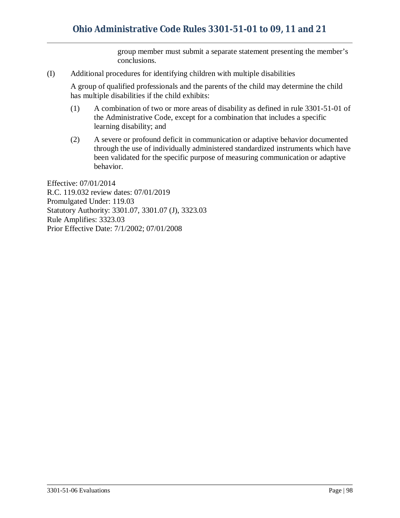group member must submit a separate statement presenting the member's conclusions.

(I) Additional procedures for identifying children with multiple disabilities

A group of qualified professionals and the parents of the child may determine the child has multiple disabilities if the child exhibits:

- (1) A combination of two or more areas of disability as defined in rule 3301-51-01 of the Administrative Code, except for a combination that includes a specific learning disability; and
- (2) A severe or profound deficit in communication or adaptive behavior documented through the use of individually administered standardized instruments which have been validated for the specific purpose of measuring communication or adaptive behavior.

Effective: 07/01/2014 R.C. 119.032 review dates: 07/01/2019 Promulgated Under: 119.03 Statutory Authority: 3301.07, 3301.07 (J), 3323.03 Rule Amplifies: 3323.03 Prior Effective Date: 7/1/2002; 07/01/2008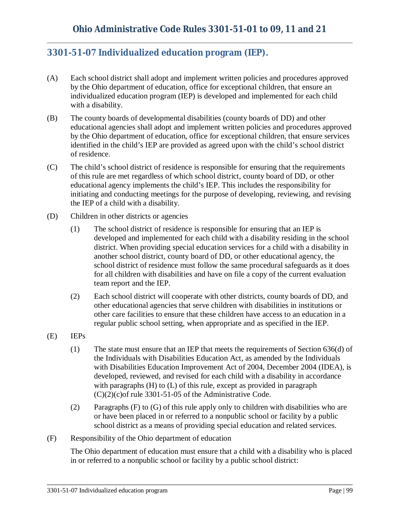## **3301-51-07 Individualized education program (IEP).**

- (A) Each school district shall adopt and implement written policies and procedures approved by the Ohio department of education, office for exceptional children, that ensure an individualized education program (IEP) is developed and implemented for each child with a disability.
- (B) The county boards of developmental disabilities (county boards of DD) and other educational agencies shall adopt and implement written policies and procedures approved by the Ohio department of education, office for exceptional children, that ensure services identified in the child's IEP are provided as agreed upon with the child's school district of residence.
- (C) The child's school district of residence is responsible for ensuring that the requirements of this rule are met regardless of which school district, county board of DD, or other educational agency implements the child's IEP. This includes the responsibility for initiating and conducting meetings for the purpose of developing, reviewing, and revising the IEP of a child with a disability.
- (D) Children in other districts or agencies
	- (1) The school district of residence is responsible for ensuring that an IEP is developed and implemented for each child with a disability residing in the school district. When providing special education services for a child with a disability in another school district, county board of DD, or other educational agency, the school district of residence must follow the same procedural safeguards as it does for all children with disabilities and have on file a copy of the current evaluation team report and the IEP.
	- (2) Each school district will cooperate with other districts, county boards of DD, and other educational agencies that serve children with disabilities in institutions or other care facilities to ensure that these children have access to an education in a regular public school setting, when appropriate and as specified in the IEP.
- (E) IEPs
	- (1) The state must ensure that an IEP that meets the requirements of Section 636(d) of the Individuals with Disabilities Education Act, as amended by the Individuals with Disabilities Education Improvement Act of 2004, December 2004 (IDEA), is developed, reviewed, and revised for each child with a disability in accordance with paragraphs (H) to (L) of this rule, except as provided in paragraph  $(C)(2)(c)$ of rule 3301-51-05 of the Administrative Code.
	- (2) Paragraphs (F) to (G) of this rule apply only to children with disabilities who are or have been placed in or referred to a nonpublic school or facility by a public school district as a means of providing special education and related services.
- (F) Responsibility of the Ohio department of education

The Ohio department of education must ensure that a child with a disability who is placed in or referred to a nonpublic school or facility by a public school district: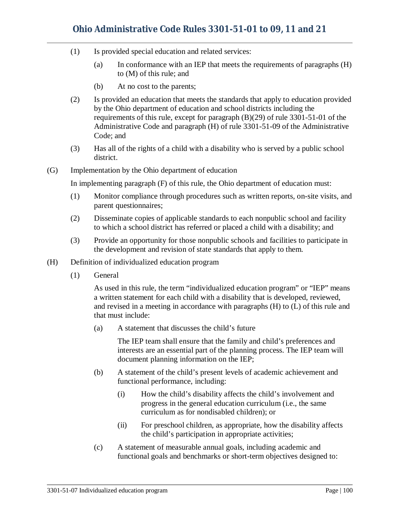- (1) Is provided special education and related services:
	- (a) In conformance with an IEP that meets the requirements of paragraphs (H) to (M) of this rule; and
	- (b) At no cost to the parents;
- (2) Is provided an education that meets the standards that apply to education provided by the Ohio department of education and school districts including the requirements of this rule, except for paragraph (B)(29) of rule 3301-51-01 of the Administrative Code and paragraph (H) of rule 3301-51-09 of the Administrative Code; and
- (3) Has all of the rights of a child with a disability who is served by a public school district.
- (G) Implementation by the Ohio department of education

In implementing paragraph (F) of this rule, the Ohio department of education must:

- (1) Monitor compliance through procedures such as written reports, on-site visits, and parent questionnaires;
- (2) Disseminate copies of applicable standards to each nonpublic school and facility to which a school district has referred or placed a child with a disability; and
- (3) Provide an opportunity for those nonpublic schools and facilities to participate in the development and revision of state standards that apply to them.
- (H) Definition of individualized education program
	- (1) General

As used in this rule, the term "individualized education program" or "IEP" means a written statement for each child with a disability that is developed, reviewed, and revised in a meeting in accordance with paragraphs (H) to (L) of this rule and that must include:

(a) A statement that discusses the child's future

The IEP team shall ensure that the family and child's preferences and interests are an essential part of the planning process. The IEP team will document planning information on the IEP;

- (b) A statement of the child's present levels of academic achievement and functional performance, including:
	- (i) How the child's disability affects the child's involvement and progress in the general education curriculum (i.e., the same curriculum as for nondisabled children); or
	- (ii) For preschool children, as appropriate, how the disability affects the child's participation in appropriate activities;
- (c) A statement of measurable annual goals, including academic and functional goals and benchmarks or short-term objectives designed to: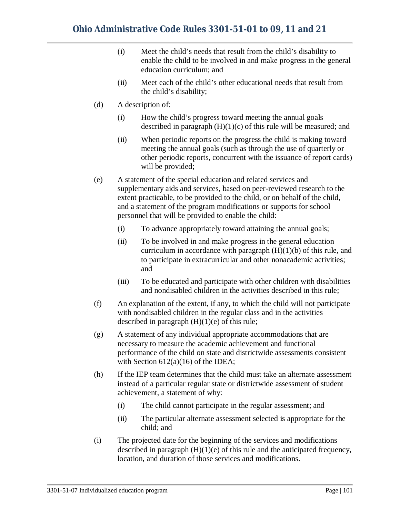- (i) Meet the child's needs that result from the child's disability to enable the child to be involved in and make progress in the general education curriculum; and
- (ii) Meet each of the child's other educational needs that result from the child's disability;
- (d) A description of:
	- (i) How the child's progress toward meeting the annual goals described in paragraph  $(H)(1)(c)$  of this rule will be measured; and
	- (ii) When periodic reports on the progress the child is making toward meeting the annual goals (such as through the use of quarterly or other periodic reports, concurrent with the issuance of report cards) will be provided;
- (e) A statement of the special education and related services and supplementary aids and services, based on peer-reviewed research to the extent practicable, to be provided to the child, or on behalf of the child, and a statement of the program modifications or supports for school personnel that will be provided to enable the child:
	- (i) To advance appropriately toward attaining the annual goals;
	- (ii) To be involved in and make progress in the general education curriculum in accordance with paragraph  $(H)(1)(b)$  of this rule, and to participate in extracurricular and other nonacademic activities; and
	- (iii) To be educated and participate with other children with disabilities and nondisabled children in the activities described in this rule;
- (f) An explanation of the extent, if any, to which the child will not participate with nondisabled children in the regular class and in the activities described in paragraph  $(H)(1)(e)$  of this rule;
- (g) A statement of any individual appropriate accommodations that are necessary to measure the academic achievement and functional performance of the child on state and districtwide assessments consistent with Section  $612(a)(16)$  of the IDEA;
- (h) If the IEP team determines that the child must take an alternate assessment instead of a particular regular state or districtwide assessment of student achievement, a statement of why:
	- (i) The child cannot participate in the regular assessment; and
	- (ii) The particular alternate assessment selected is appropriate for the child; and
- (i) The projected date for the beginning of the services and modifications described in paragraph (H)(1)(e) of this rule and the anticipated frequency, location, and duration of those services and modifications.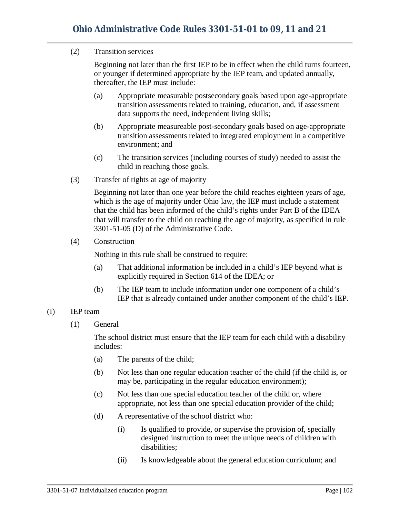(2) Transition services

Beginning not later than the first IEP to be in effect when the child turns fourteen, or younger if determined appropriate by the IEP team, and updated annually, thereafter, the IEP must include:

- (a) Appropriate measurable postsecondary goals based upon age-appropriate transition assessments related to training, education, and, if assessment data supports the need, independent living skills;
- (b) Appropriate measureable post-secondary goals based on age-appropriate transition assessments related to integrated employment in a competitive environment; and
- (c) The transition services (including courses of study) needed to assist the child in reaching those goals.
- (3) Transfer of rights at age of majority

Beginning not later than one year before the child reaches eighteen years of age, which is the age of majority under Ohio law, the IEP must include a statement that the child has been informed of the child's rights under Part B of the IDEA that will transfer to the child on reaching the age of majority, as specified in rule 3301-51-05 (D) of the Administrative Code.

(4) Construction

Nothing in this rule shall be construed to require:

- (a) That additional information be included in a child's IEP beyond what is explicitly required in Section 614 of the IDEA; or
- (b) The IEP team to include information under one component of a child's IEP that is already contained under another component of the child's IEP.

#### (I) IEP team

(1) General

The school district must ensure that the IEP team for each child with a disability includes:

- (a) The parents of the child;
- (b) Not less than one regular education teacher of the child (if the child is, or may be, participating in the regular education environment);
- (c) Not less than one special education teacher of the child or, where appropriate, not less than one special education provider of the child;
- (d) A representative of the school district who:
	- (i) Is qualified to provide, or supervise the provision of, specially designed instruction to meet the unique needs of children with disabilities;
	- (ii) Is knowledgeable about the general education curriculum; and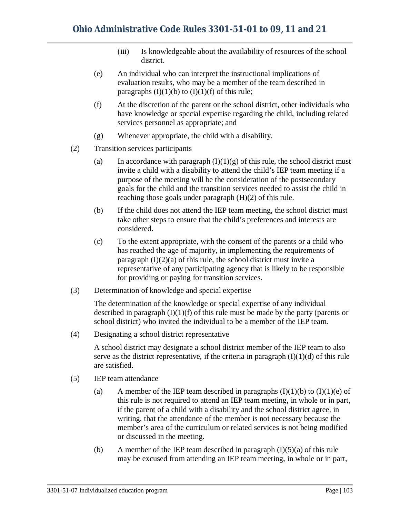- (iii) Is knowledgeable about the availability of resources of the school district.
- (e) An individual who can interpret the instructional implications of evaluation results, who may be a member of the team described in paragraphs  $(I)(1)(b)$  to  $(I)(1)(f)$  of this rule;
- (f) At the discretion of the parent or the school district, other individuals who have knowledge or special expertise regarding the child, including related services personnel as appropriate; and
- (g) Whenever appropriate, the child with a disability.
- (2) Transition services participants
	- (a) In accordance with paragraph  $(I)(1)(g)$  of this rule, the school district must invite a child with a disability to attend the child's IEP team meeting if a purpose of the meeting will be the consideration of the postsecondary goals for the child and the transition services needed to assist the child in reaching those goals under paragraph (H)(2) of this rule.
	- (b) If the child does not attend the IEP team meeting, the school district must take other steps to ensure that the child's preferences and interests are considered.
	- (c) To the extent appropriate, with the consent of the parents or a child who has reached the age of majority, in implementing the requirements of paragraph  $(I)(2)(a)$  of this rule, the school district must invite a representative of any participating agency that is likely to be responsible for providing or paying for transition services.
- (3) Determination of knowledge and special expertise

The determination of the knowledge or special expertise of any individual described in paragraph  $(I)(1)(f)$  of this rule must be made by the party (parents or school district) who invited the individual to be a member of the IEP team.

(4) Designating a school district representative

A school district may designate a school district member of the IEP team to also serve as the district representative, if the criteria in paragraph  $(I)(1)(d)$  of this rule are satisfied.

- (5) IEP team attendance
	- (a) A member of the IEP team described in paragraphs  $(I)(1)(b)$  to  $(I)(1)(e)$  of this rule is not required to attend an IEP team meeting, in whole or in part, if the parent of a child with a disability and the school district agree, in writing, that the attendance of the member is not necessary because the member's area of the curriculum or related services is not being modified or discussed in the meeting.
	- (b) A member of the IEP team described in paragraph  $(I)(5)(a)$  of this rule may be excused from attending an IEP team meeting, in whole or in part,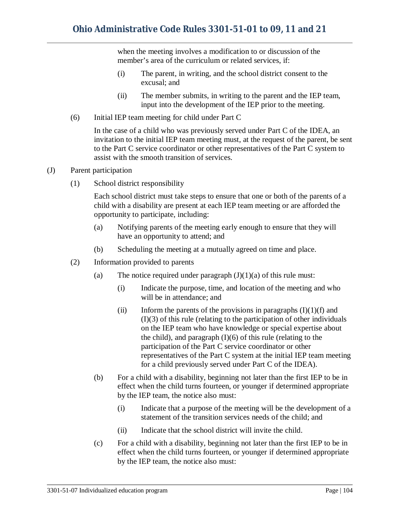when the meeting involves a modification to or discussion of the member's area of the curriculum or related services, if:

- (i) The parent, in writing, and the school district consent to the excusal; and
- (ii) The member submits, in writing to the parent and the IEP team, input into the development of the IEP prior to the meeting.
- (6) Initial IEP team meeting for child under Part C

In the case of a child who was previously served under Part C of the IDEA, an invitation to the initial IEP team meeting must, at the request of the parent, be sent to the Part C service coordinator or other representatives of the Part C system to assist with the smooth transition of services.

- (J) Parent participation
	- (1) School district responsibility

Each school district must take steps to ensure that one or both of the parents of a child with a disability are present at each IEP team meeting or are afforded the opportunity to participate, including:

- (a) Notifying parents of the meeting early enough to ensure that they will have an opportunity to attend; and
- (b) Scheduling the meeting at a mutually agreed on time and place.
- (2) Information provided to parents
	- (a) The notice required under paragraph  $(J)(1)(a)$  of this rule must:
		- (i) Indicate the purpose, time, and location of the meeting and who will be in attendance; and
		- (ii) Inform the parents of the provisions in paragraphs  $(I)(1)(f)$  and (I)(3) of this rule (relating to the participation of other individuals on the IEP team who have knowledge or special expertise about the child), and paragraph  $(I)(6)$  of this rule (relating to the participation of the Part C service coordinator or other representatives of the Part C system at the initial IEP team meeting for a child previously served under Part C of the IDEA).
	- (b) For a child with a disability, beginning not later than the first IEP to be in effect when the child turns fourteen, or younger if determined appropriate by the IEP team, the notice also must:
		- (i) Indicate that a purpose of the meeting will be the development of a statement of the transition services needs of the child; and
		- (ii) Indicate that the school district will invite the child.
	- (c) For a child with a disability, beginning not later than the first IEP to be in effect when the child turns fourteen, or younger if determined appropriate by the IEP team, the notice also must: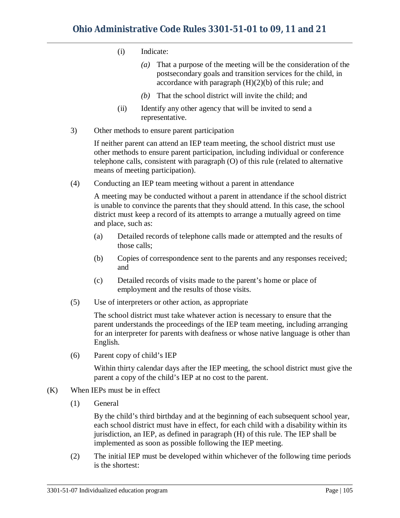- (i) Indicate:
	- *(a)* That a purpose of the meeting will be the consideration of the postsecondary goals and transition services for the child, in accordance with paragraph  $(H)(2)(b)$  of this rule; and
	- *(b)* That the school district will invite the child; and
- (ii) Identify any other agency that will be invited to send a representative.
- 3) Other methods to ensure parent participation

If neither parent can attend an IEP team meeting, the school district must use other methods to ensure parent participation, including individual or conference telephone calls, consistent with paragraph (O) of this rule (related to alternative means of meeting participation).

(4) Conducting an IEP team meeting without a parent in attendance

A meeting may be conducted without a parent in attendance if the school district is unable to convince the parents that they should attend. In this case, the school district must keep a record of its attempts to arrange a mutually agreed on time and place, such as:

- (a) Detailed records of telephone calls made or attempted and the results of those calls;
- (b) Copies of correspondence sent to the parents and any responses received; and
- (c) Detailed records of visits made to the parent's home or place of employment and the results of those visits.
- (5) Use of interpreters or other action, as appropriate

The school district must take whatever action is necessary to ensure that the parent understands the proceedings of the IEP team meeting, including arranging for an interpreter for parents with deafness or whose native language is other than English.

(6) Parent copy of child's IEP

Within thirty calendar days after the IEP meeting, the school district must give the parent a copy of the child's IEP at no cost to the parent.

- (K) When IEPs must be in effect
	- (1) General

By the child's third birthday and at the beginning of each subsequent school year, each school district must have in effect, for each child with a disability within its jurisdiction, an IEP, as defined in paragraph (H) of this rule. The IEP shall be implemented as soon as possible following the IEP meeting.

(2) The initial IEP must be developed within whichever of the following time periods is the shortest: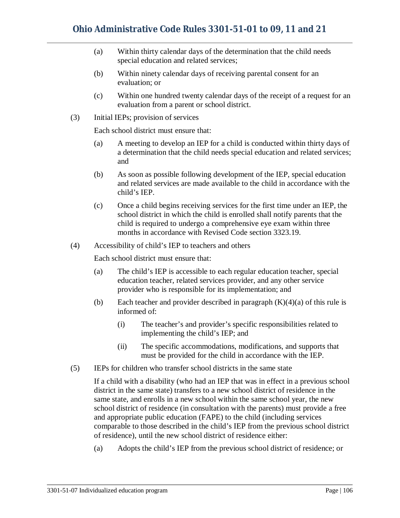- (a) Within thirty calendar days of the determination that the child needs special education and related services;
- (b) Within ninety calendar days of receiving parental consent for an evaluation; or
- (c) Within one hundred twenty calendar days of the receipt of a request for an evaluation from a parent or school district.
- (3) Initial IEPs; provision of services

Each school district must ensure that:

- (a) A meeting to develop an IEP for a child is conducted within thirty days of a determination that the child needs special education and related services; and
- (b) As soon as possible following development of the IEP, special education and related services are made available to the child in accordance with the child's IEP.
- (c) Once a child begins receiving services for the first time under an IEP, the school district in which the child is enrolled shall notify parents that the child is required to undergo a comprehensive eye exam within three months in accordance with Revised Code section 3323.19.
- (4) Accessibility of child's IEP to teachers and others

Each school district must ensure that:

- (a) The child's IEP is accessible to each regular education teacher, special education teacher, related services provider, and any other service provider who is responsible for its implementation; and
- (b) Each teacher and provider described in paragraph  $(K)(4)(a)$  of this rule is informed of:
	- (i) The teacher's and provider's specific responsibilities related to implementing the child's IEP; and
	- (ii) The specific accommodations, modifications, and supports that must be provided for the child in accordance with the IEP.
- (5) IEPs for children who transfer school districts in the same state

If a child with a disability (who had an IEP that was in effect in a previous school district in the same state) transfers to a new school district of residence in the same state, and enrolls in a new school within the same school year, the new school district of residence (in consultation with the parents) must provide a free and appropriate public education (FAPE) to the child (including services comparable to those described in the child's IEP from the previous school district of residence), until the new school district of residence either:

(a) Adopts the child's IEP from the previous school district of residence; or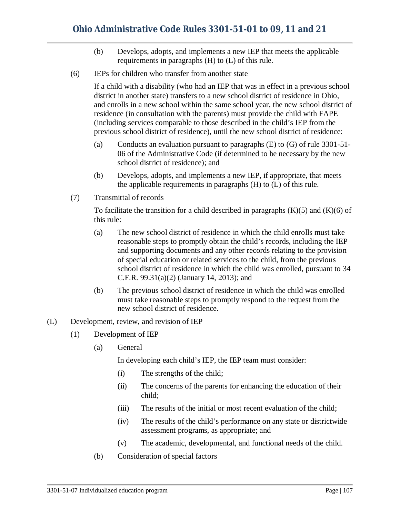- (b) Develops, adopts, and implements a new IEP that meets the applicable requirements in paragraphs (H) to (L) of this rule.
- (6) IEPs for children who transfer from another state

If a child with a disability (who had an IEP that was in effect in a previous school district in another state) transfers to a new school district of residence in Ohio, and enrolls in a new school within the same school year, the new school district of residence (in consultation with the parents) must provide the child with FAPE (including services comparable to those described in the child's IEP from the previous school district of residence), until the new school district of residence:

- (a) Conducts an evaluation pursuant to paragraphs  $(E)$  to  $(G)$  of rule 3301-51-06 of the Administrative Code (if determined to be necessary by the new school district of residence); and
- (b) Develops, adopts, and implements a new IEP, if appropriate, that meets the applicable requirements in paragraphs (H) to (L) of this rule.
- (7) Transmittal of records

To facilitate the transition for a child described in paragraphs  $(K)(5)$  and  $(K)(6)$  of this rule:

- (a) The new school district of residence in which the child enrolls must take reasonable steps to promptly obtain the child's records, including the IEP and supporting documents and any other records relating to the provision of special education or related services to the child, from the previous school district of residence in which the child was enrolled, pursuant to 34 C.F.R. 99.31(a)(2) (January 14, 2013); and
- (b) The previous school district of residence in which the child was enrolled must take reasonable steps to promptly respond to the request from the new school district of residence.

#### (L) Development, review, and revision of IEP

- (1) Development of IEP
	- (a) General

In developing each child's IEP, the IEP team must consider:

- (i) The strengths of the child;
- (ii) The concerns of the parents for enhancing the education of their child;
- (iii) The results of the initial or most recent evaluation of the child;
- (iv) The results of the child's performance on any state or districtwide assessment programs, as appropriate; and
- (v) The academic, developmental, and functional needs of the child.
- (b) Consideration of special factors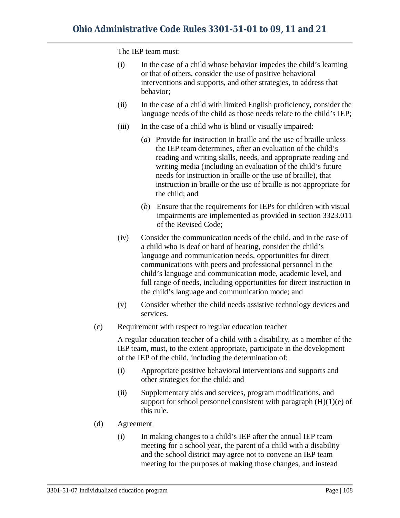#### The IEP team must:

- (i) In the case of a child whose behavior impedes the child's learning or that of others, consider the use of positive behavioral interventions and supports, and other strategies, to address that behavior;
- (ii) In the case of a child with limited English proficiency, consider the language needs of the child as those needs relate to the child's IEP;
- (iii) In the case of a child who is blind or visually impaired:
	- (*a*) Provide for instruction in braille and the use of braille unless the IEP team determines, after an evaluation of the child's reading and writing skills, needs, and appropriate reading and writing media (including an evaluation of the child's future needs for instruction in braille or the use of braille), that instruction in braille or the use of braille is not appropriate for the child; and
	- (*b*) Ensure that the requirements for IEPs for children with visual impairments are implemented as provided in section 3323.011 of the Revised Code;
- (iv) Consider the communication needs of the child, and in the case of a child who is deaf or hard of hearing, consider the child's language and communication needs, opportunities for direct communications with peers and professional personnel in the child's language and communication mode, academic level, and full range of needs, including opportunities for direct instruction in the child's language and communication mode; and
- (v) Consider whether the child needs assistive technology devices and services.
- (c) Requirement with respect to regular education teacher

A regular education teacher of a child with a disability, as a member of the IEP team, must, to the extent appropriate, participate in the development of the IEP of the child, including the determination of:

- (i) Appropriate positive behavioral interventions and supports and other strategies for the child; and
- (ii) Supplementary aids and services, program modifications, and support for school personnel consistent with paragraph  $(H)(1)(e)$  of this rule.
- (d) Agreement
	- (i) In making changes to a child's IEP after the annual IEP team meeting for a school year, the parent of a child with a disability and the school district may agree not to convene an IEP team meeting for the purposes of making those changes, and instead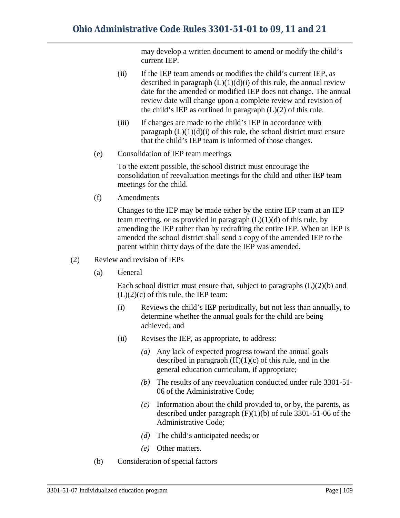may develop a written document to amend or modify the child's current IEP.

- (ii) If the IEP team amends or modifies the child's current IEP, as described in paragraph  $(L)(1)(d)(i)$  of this rule, the annual review date for the amended or modified IEP does not change. The annual review date will change upon a complete review and revision of the child's IEP as outlined in paragraph  $(L)(2)$  of this rule.
- (iii) If changes are made to the child's IEP in accordance with paragraph  $(L)(1)(d)(i)$  of this rule, the school district must ensure that the child's IEP team is informed of those changes.
- (e) Consolidation of IEP team meetings

To the extent possible, the school district must encourage the consolidation of reevaluation meetings for the child and other IEP team meetings for the child.

(f) Amendments

Changes to the IEP may be made either by the entire IEP team at an IEP team meeting, or as provided in paragraph  $(L)(1)(d)$  of this rule, by amending the IEP rather than by redrafting the entire IEP. When an IEP is amended the school district shall send a copy of the amended IEP to the parent within thirty days of the date the IEP was amended.

- (2) Review and revision of IEPs
	- (a) General

Each school district must ensure that, subject to paragraphs  $(L)(2)(b)$  and  $(L)(2)(c)$  of this rule, the IEP team:

- (i) Reviews the child's IEP periodically, but not less than annually, to determine whether the annual goals for the child are being achieved; and
- (ii) Revises the IEP, as appropriate, to address:
	- *(a)* Any lack of expected progress toward the annual goals described in paragraph  $(H)(1)(c)$  of this rule, and in the general education curriculum, if appropriate;
	- *(b)* The results of any reevaluation conducted under rule 3301-51- 06 of the Administrative Code;
	- *(c)* Information about the child provided to, or by, the parents, as described under paragraph  $(F)(1)(b)$  of rule 3301-51-06 of the Administrative Code;
	- *(d)* The child's anticipated needs; or
	- *(e)* Other matters.
- (b) Consideration of special factors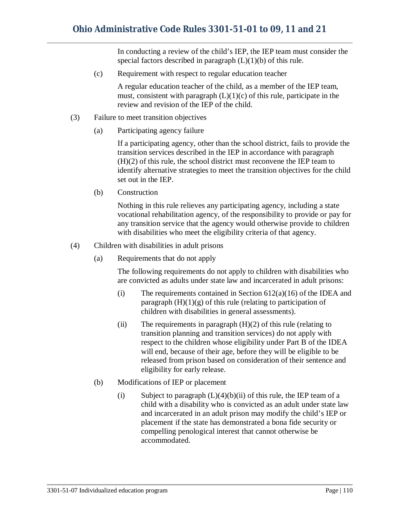In conducting a review of the child's IEP, the IEP team must consider the special factors described in paragraph  $(L)(1)(b)$  of this rule.

(c) Requirement with respect to regular education teacher

A regular education teacher of the child, as a member of the IEP team, must, consistent with paragraph  $(L)(1)(c)$  of this rule, participate in the review and revision of the IEP of the child.

- (3) Failure to meet transition objectives
	- (a) Participating agency failure

If a participating agency, other than the school district, fails to provide the transition services described in the IEP in accordance with paragraph (H)(2) of this rule, the school district must reconvene the IEP team to identify alternative strategies to meet the transition objectives for the child set out in the IEP.

(b) Construction

Nothing in this rule relieves any participating agency, including a state vocational rehabilitation agency, of the responsibility to provide or pay for any transition service that the agency would otherwise provide to children with disabilities who meet the eligibility criteria of that agency.

- (4) Children with disabilities in adult prisons
	- (a) Requirements that do not apply

The following requirements do not apply to children with disabilities who are convicted as adults under state law and incarcerated in adult prisons:

- (i) The requirements contained in Section  $612(a)(16)$  of the IDEA and paragraph  $(H)(1)(g)$  of this rule (relating to participation of children with disabilities in general assessments).
- (ii) The requirements in paragraph  $(H)(2)$  of this rule (relating to transition planning and transition services) do not apply with respect to the children whose eligibility under Part B of the IDEA will end, because of their age, before they will be eligible to be released from prison based on consideration of their sentence and eligibility for early release.
- (b) Modifications of IEP or placement
	- (i) Subject to paragraph  $(L)(4)(b)(ii)$  of this rule, the IEP team of a child with a disability who is convicted as an adult under state law and incarcerated in an adult prison may modify the child's IEP or placement if the state has demonstrated a bona fide security or compelling penological interest that cannot otherwise be accommodated.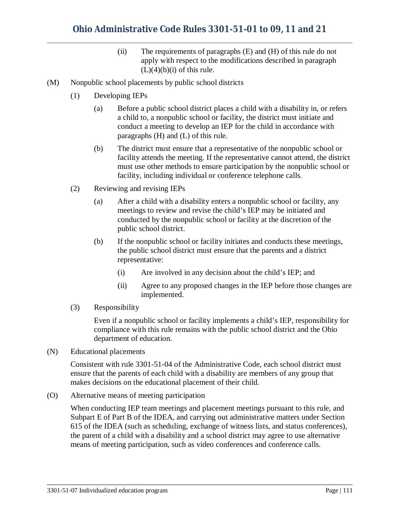- (ii) The requirements of paragraphs (E) and (H) of this rule do not apply with respect to the modifications described in paragraph  $(L)(4)(b)(i)$  of this rule.
- (M) Nonpublic school placements by public school districts
	- (1) Developing IEPs
		- (a) Before a public school district places a child with a disability in, or refers a child to, a nonpublic school or facility, the district must initiate and conduct a meeting to develop an IEP for the child in accordance with paragraphs (H) and (L) of this rule.
		- (b) The district must ensure that a representative of the nonpublic school or facility attends the meeting. If the representative cannot attend, the district must use other methods to ensure participation by the nonpublic school or facility, including individual or conference telephone calls.
	- (2) Reviewing and revising IEPs
		- (a) After a child with a disability enters a nonpublic school or facility, any meetings to review and revise the child's IEP may be initiated and conducted by the nonpublic school or facility at the discretion of the public school district.
		- (b) If the nonpublic school or facility initiates and conducts these meetings, the public school district must ensure that the parents and a district representative:
			- (i) Are involved in any decision about the child's IEP; and
			- (ii) Agree to any proposed changes in the IEP before those changes are implemented.
	- (3) Responsibility

Even if a nonpublic school or facility implements a child's IEP, responsibility for compliance with this rule remains with the public school district and the Ohio department of education.

(N) Educational placements

Consistent with rule 3301-51-04 of the Administrative Code, each school district must ensure that the parents of each child with a disability are members of any group that makes decisions on the educational placement of their child.

(O) Alternative means of meeting participation

When conducting IEP team meetings and placement meetings pursuant to this rule, and Subpart E of Part B of the IDEA, and carrying out administrative matters under Section 615 of the IDEA (such as scheduling, exchange of witness lists, and status conferences), the parent of a child with a disability and a school district may agree to use alternative means of meeting participation, such as video conferences and conference calls.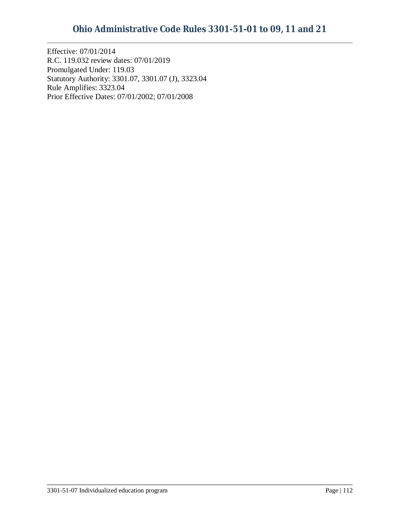Effective: 07/01/2014 R.C. 119.032 review dates: 07/01/2019 Promulgated Under: 119.03 Statutory Authority: 3301.07, 3301.07 (J), 3323.04 Rule Amplifies: 3323.04 Prior Effective Dates: 07/01/2002; 07/01/2008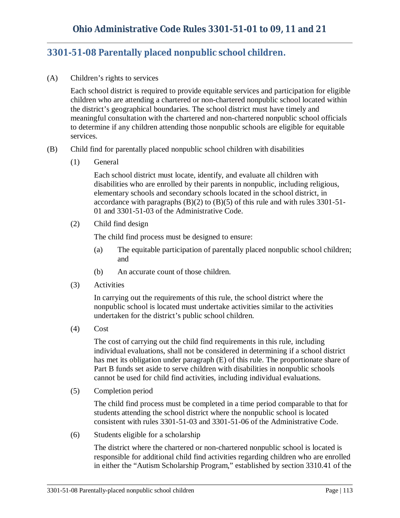### **3301-51-08 Parentally placed nonpublic school children.**

(A) Children's rights to services

Each school district is required to provide equitable services and participation for eligible children who are attending a chartered or non-chartered nonpublic school located within the district's geographical boundaries. The school district must have timely and meaningful consultation with the chartered and non-chartered nonpublic school officials to determine if any children attending those nonpublic schools are eligible for equitable services.

- (B) Child find for parentally placed nonpublic school children with disabilities
	- (1) General

Each school district must locate, identify, and evaluate all children with disabilities who are enrolled by their parents in nonpublic, including religious, elementary schools and secondary schools located in the school district, in accordance with paragraphs  $(B)(2)$  to  $(B)(5)$  of this rule and with rules 3301-51-01 and 3301-51-03 of the Administrative Code.

(2) Child find design

The child find process must be designed to ensure:

- (a) The equitable participation of parentally placed nonpublic school children; and
- (b) An accurate count of those children.
- (3) Activities

In carrying out the requirements of this rule, the school district where the nonpublic school is located must undertake activities similar to the activities undertaken for the district's public school children.

(4) Cost

The cost of carrying out the child find requirements in this rule, including individual evaluations, shall not be considered in determining if a school district has met its obligation under paragraph (E) of this rule. The proportionate share of Part B funds set aside to serve children with disabilities in nonpublic schools cannot be used for child find activities, including individual evaluations.

(5) Completion period

The child find process must be completed in a time period comparable to that for students attending the school district where the nonpublic school is located consistent with rules 3301-51-03 and 3301-51-06 of the Administrative Code.

(6) Students eligible for a scholarship

The district where the chartered or non-chartered nonpublic school is located is responsible for additional child find activities regarding children who are enrolled in either the "Autism Scholarship Program," established by section 3310.41 of the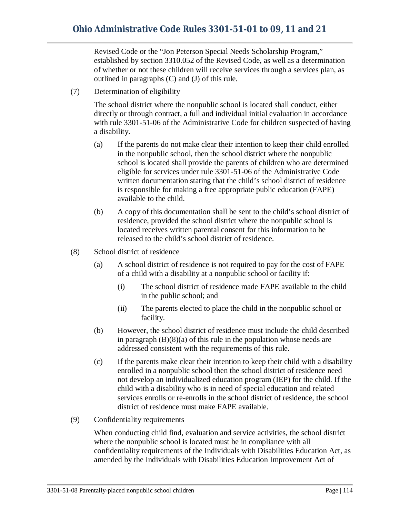Revised Code or the "Jon Peterson Special Needs Scholarship Program," established by section 3310.052 of the Revised Code, as well as a determination of whether or not these children will receive services through a services plan, as outlined in paragraphs (C) and (J) of this rule.

(7) Determination of eligibility

The school district where the nonpublic school is located shall conduct, either directly or through contract, a full and individual initial evaluation in accordance with rule 3301-51-06 of the Administrative Code for children suspected of having a disability.

- (a) If the parents do not make clear their intention to keep their child enrolled in the nonpublic school, then the school district where the nonpublic school is located shall provide the parents of children who are determined eligible for services under rule 3301-51-06 of the Administrative Code written documentation stating that the child's school district of residence is responsible for making a free appropriate public education (FAPE) available to the child.
- (b) A copy of this documentation shall be sent to the child's school district of residence, provided the school district where the nonpublic school is located receives written parental consent for this information to be released to the child's school district of residence.
- (8) School district of residence
	- (a) A school district of residence is not required to pay for the cost of FAPE of a child with a disability at a nonpublic school or facility if:
		- (i) The school district of residence made FAPE available to the child in the public school; and
		- (ii) The parents elected to place the child in the nonpublic school or facility.
	- (b) However, the school district of residence must include the child described in paragraph  $(B)(8)(a)$  of this rule in the population whose needs are addressed consistent with the requirements of this rule.
	- (c) If the parents make clear their intention to keep their child with a disability enrolled in a nonpublic school then the school district of residence need not develop an individualized education program (IEP) for the child. If the child with a disability who is in need of special education and related services enrolls or re-enrolls in the school district of residence, the school district of residence must make FAPE available.
- (9) Confidentiality requirements

When conducting child find, evaluation and service activities, the school district where the nonpublic school is located must be in compliance with all confidentiality requirements of the Individuals with Disabilities Education Act, as amended by the Individuals with Disabilities Education Improvement Act of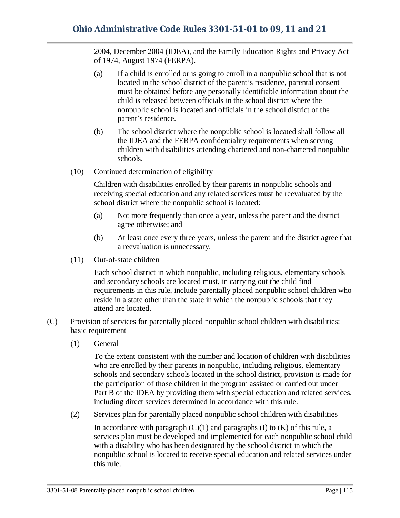2004, December 2004 (IDEA), and the Family Education Rights and Privacy Act of 1974, August 1974 (FERPA).

- (a) If a child is enrolled or is going to enroll in a nonpublic school that is not located in the school district of the parent's residence, parental consent must be obtained before any personally identifiable information about the child is released between officials in the school district where the nonpublic school is located and officials in the school district of the parent's residence.
- (b) The school district where the nonpublic school is located shall follow all the IDEA and the FERPA confidentiality requirements when serving children with disabilities attending chartered and non-chartered nonpublic schools.
- (10) Continued determination of eligibility

Children with disabilities enrolled by their parents in nonpublic schools and receiving special education and any related services must be reevaluated by the school district where the nonpublic school is located:

- (a) Not more frequently than once a year, unless the parent and the district agree otherwise; and
- (b) At least once every three years, unless the parent and the district agree that a reevaluation is unnecessary.
- (11) Out-of-state children

Each school district in which nonpublic, including religious, elementary schools and secondary schools are located must, in carrying out the child find requirements in this rule, include parentally placed nonpublic school children who reside in a state other than the state in which the nonpublic schools that they attend are located.

- (C) Provision of services for parentally placed nonpublic school children with disabilities: basic requirement
	- (1) General

To the extent consistent with the number and location of children with disabilities who are enrolled by their parents in nonpublic, including religious, elementary schools and secondary schools located in the school district, provision is made for the participation of those children in the program assisted or carried out under Part B of the IDEA by providing them with special education and related services, including direct services determined in accordance with this rule.

(2) Services plan for parentally placed nonpublic school children with disabilities

In accordance with paragraph  $(C)(1)$  and paragraphs (I) to  $(K)$  of this rule, a services plan must be developed and implemented for each nonpublic school child with a disability who has been designated by the school district in which the nonpublic school is located to receive special education and related services under this rule.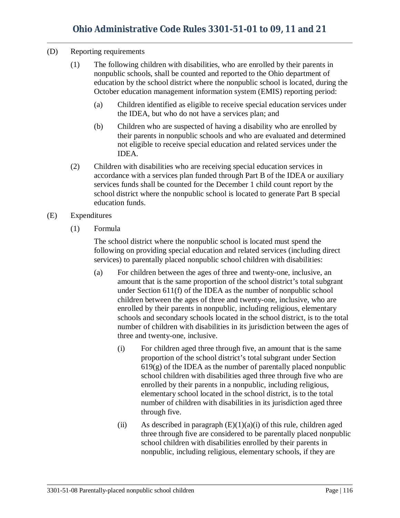### (D) Reporting requirements

- (1) The following children with disabilities, who are enrolled by their parents in nonpublic schools, shall be counted and reported to the Ohio department of education by the school district where the nonpublic school is located, during the October education management information system (EMIS) reporting period:
	- (a) Children identified as eligible to receive special education services under the IDEA, but who do not have a services plan; and
	- (b) Children who are suspected of having a disability who are enrolled by their parents in nonpublic schools and who are evaluated and determined not eligible to receive special education and related services under the IDEA.
- (2) Children with disabilities who are receiving special education services in accordance with a services plan funded through Part B of the IDEA or auxiliary services funds shall be counted for the December 1 child count report by the school district where the nonpublic school is located to generate Part B special education funds.
- (E) Expenditures
	- (1) Formula

The school district where the nonpublic school is located must spend the following on providing special education and related services (including direct services) to parentally placed nonpublic school children with disabilities:

- (a) For children between the ages of three and twenty-one, inclusive, an amount that is the same proportion of the school district's total subgrant under Section 611(f) of the IDEA as the number of nonpublic school children between the ages of three and twenty-one, inclusive, who are enrolled by their parents in nonpublic, including religious, elementary schools and secondary schools located in the school district, is to the total number of children with disabilities in its jurisdiction between the ages of three and twenty-one, inclusive.
	- (i) For children aged three through five, an amount that is the same proportion of the school district's total subgrant under Section  $619(g)$  of the IDEA as the number of parentally placed nonpublic school children with disabilities aged three through five who are enrolled by their parents in a nonpublic, including religious, elementary school located in the school district, is to the total number of children with disabilities in its jurisdiction aged three through five.
	- (ii) As described in paragraph  $(E)(1)(a)(i)$  of this rule, children aged three through five are considered to be parentally placed nonpublic school children with disabilities enrolled by their parents in nonpublic, including religious, elementary schools, if they are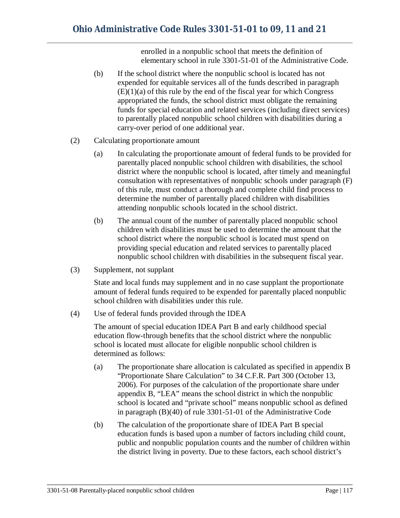enrolled in a nonpublic school that meets the definition of elementary school in rule 3301-51-01 of the Administrative Code.

- (b) If the school district where the nonpublic school is located has not expended for equitable services all of the funds described in paragraph  $(E)(1)(a)$  of this rule by the end of the fiscal year for which Congress appropriated the funds, the school district must obligate the remaining funds for special education and related services (including direct services) to parentally placed nonpublic school children with disabilities during a carry-over period of one additional year.
- (2) Calculating proportionate amount
	- (a) In calculating the proportionate amount of federal funds to be provided for parentally placed nonpublic school children with disabilities, the school district where the nonpublic school is located, after timely and meaningful consultation with representatives of nonpublic schools under paragraph (F) of this rule, must conduct a thorough and complete child find process to determine the number of parentally placed children with disabilities attending nonpublic schools located in the school district.
	- (b) The annual count of the number of parentally placed nonpublic school children with disabilities must be used to determine the amount that the school district where the nonpublic school is located must spend on providing special education and related services to parentally placed nonpublic school children with disabilities in the subsequent fiscal year.
- (3) Supplement, not supplant

State and local funds may supplement and in no case supplant the proportionate amount of federal funds required to be expended for parentally placed nonpublic school children with disabilities under this rule.

(4) Use of federal funds provided through the IDEA

The amount of special education IDEA Part B and early childhood special education flow-through benefits that the school district where the nonpublic school is located must allocate for eligible nonpublic school children is determined as follows:

- (a) The proportionate share allocation is calculated as specified in appendix B "Proportionate Share Calculation" to 34 C.F.R. Part 300 (October 13, 2006). For purposes of the calculation of the proportionate share under appendix B, "LEA" means the school district in which the nonpublic school is located and "private school" means nonpublic school as defined in paragraph (B)(40) of rule 3301-51-01 of the Administrative Code
- (b) The calculation of the proportionate share of IDEA Part B special education funds is based upon a number of factors including child count, public and nonpublic population counts and the number of children within the district living in poverty. Due to these factors, each school district's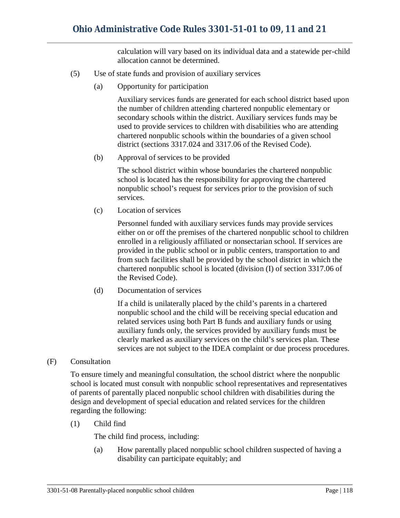calculation will vary based on its individual data and a statewide per-child allocation cannot be determined.

- (5) Use of state funds and provision of auxiliary services
	- (a) Opportunity for participation

Auxiliary services funds are generated for each school district based upon the number of children attending chartered nonpublic elementary or secondary schools within the district. Auxiliary services funds may be used to provide services to children with disabilities who are attending chartered nonpublic schools within the boundaries of a given school district (sections 3317.024 and 3317.06 of the Revised Code).

(b) Approval of services to be provided

The school district within whose boundaries the chartered nonpublic school is located has the responsibility for approving the chartered nonpublic school's request for services prior to the provision of such services.

(c) Location of services

Personnel funded with auxiliary services funds may provide services either on or off the premises of the chartered nonpublic school to children enrolled in a religiously affiliated or nonsectarian school. If services are provided in the public school or in public centers, transportation to and from such facilities shall be provided by the school district in which the chartered nonpublic school is located (division (I) of section 3317.06 of the Revised Code).

(d) Documentation of services

If a child is unilaterally placed by the child's parents in a chartered nonpublic school and the child will be receiving special education and related services using both Part B funds and auxiliary funds or using auxiliary funds only, the services provided by auxiliary funds must be clearly marked as auxiliary services on the child's services plan. These services are not subject to the IDEA complaint or due process procedures.

(F) Consultation

To ensure timely and meaningful consultation, the school district where the nonpublic school is located must consult with nonpublic school representatives and representatives of parents of parentally placed nonpublic school children with disabilities during the design and development of special education and related services for the children regarding the following:

(1) Child find

The child find process, including:

(a) How parentally placed nonpublic school children suspected of having a disability can participate equitably; and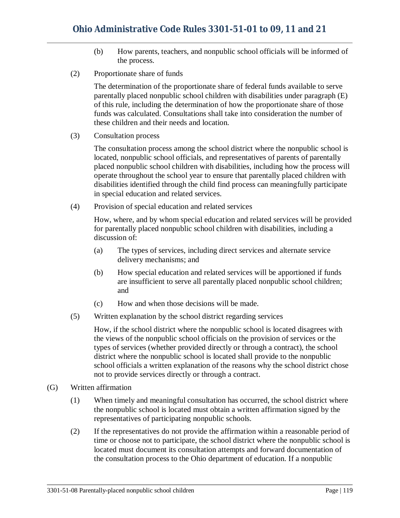- (b) How parents, teachers, and nonpublic school officials will be informed of the process.
- (2) Proportionate share of funds

The determination of the proportionate share of federal funds available to serve parentally placed nonpublic school children with disabilities under paragraph (E) of this rule, including the determination of how the proportionate share of those funds was calculated. Consultations shall take into consideration the number of these children and their needs and location.

(3) Consultation process

The consultation process among the school district where the nonpublic school is located, nonpublic school officials, and representatives of parents of parentally placed nonpublic school children with disabilities, including how the process will operate throughout the school year to ensure that parentally placed children with disabilities identified through the child find process can meaningfully participate in special education and related services.

(4) Provision of special education and related services

How, where, and by whom special education and related services will be provided for parentally placed nonpublic school children with disabilities, including a discussion of:

- (a) The types of services, including direct services and alternate service delivery mechanisms; and
- (b) How special education and related services will be apportioned if funds are insufficient to serve all parentally placed nonpublic school children; and
- (c) How and when those decisions will be made.
- (5) Written explanation by the school district regarding services

How, if the school district where the nonpublic school is located disagrees with the views of the nonpublic school officials on the provision of services or the types of services (whether provided directly or through a contract), the school district where the nonpublic school is located shall provide to the nonpublic school officials a written explanation of the reasons why the school district chose not to provide services directly or through a contract.

- (G) Written affirmation
	- (1) When timely and meaningful consultation has occurred, the school district where the nonpublic school is located must obtain a written affirmation signed by the representatives of participating nonpublic schools.
	- (2) If the representatives do not provide the affirmation within a reasonable period of time or choose not to participate, the school district where the nonpublic school is located must document its consultation attempts and forward documentation of the consultation process to the Ohio department of education. If a nonpublic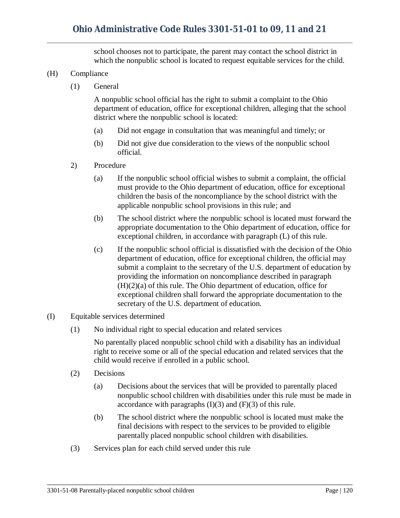school chooses not to participate, the parent may contact the school district in which the nonpublic school is located to request equitable services for the child.

#### (H) Compliance

(1) General

A nonpublic school official has the right to submit a complaint to the Ohio department of education, office for exceptional children, alleging that the school district where the nonpublic school is located:

- (a) Did not engage in consultation that was meaningful and timely; or
- (b) Did not give due consideration to the views of the nonpublic school official.
- 2) Procedure
	- (a) If the nonpublic school official wishes to submit a complaint, the official must provide to the Ohio department of education, office for exceptional children the basis of the noncompliance by the school district with the applicable nonpublic school provisions in this rule; and
	- (b) The school district where the nonpublic school is located must forward the appropriate documentation to the Ohio department of education, office for exceptional children, in accordance with paragraph (L) of this rule.
	- (c) If the nonpublic school official is dissatisfied with the decision of the Ohio department of education, office for exceptional children, the official may submit a complaint to the secretary of the U.S. department of education by providing the information on noncompliance described in paragraph (H)(2)(a) of this rule. The Ohio department of education, office for exceptional children shall forward the appropriate documentation to the secretary of the U.S. department of education.
- (I) Equitable services determined
	- (1) No individual right to special education and related services

No parentally placed nonpublic school child with a disability has an individual right to receive some or all of the special education and related services that the child would receive if enrolled in a public school.

- (2) Decisions
	- (a) Decisions about the services that will be provided to parentally placed nonpublic school children with disabilities under this rule must be made in accordance with paragraphs  $(I)(3)$  and  $(F)(3)$  of this rule.
	- (b) The school district where the nonpublic school is located must make the final decisions with respect to the services to be provided to eligible parentally placed nonpublic school children with disabilities.
- (3) Services plan for each child served under this rule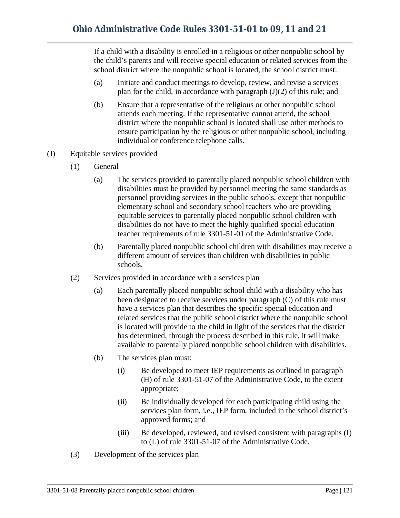If a child with a disability is enrolled in a religious or other nonpublic school by the child's parents and will receive special education or related services from the school district where the nonpublic school is located, the school district must:

- (a) Initiate and conduct meetings to develop, review, and revise a services plan for the child, in accordance with paragraph  $(J)(2)$  of this rule; and
- (b) Ensure that a representative of the religious or other nonpublic school attends each meeting. If the representative cannot attend, the school district where the nonpublic school is located shall use other methods to ensure participation by the religious or other nonpublic school, including individual or conference telephone calls.
- (J) Equitable services provided
	- (1) General
		- (a) The services provided to parentally placed nonpublic school children with disabilities must be provided by personnel meeting the same standards as personnel providing services in the public schools, except that nonpublic elementary school and secondary school teachers who are providing equitable services to parentally placed nonpublic school children with disabilities do not have to meet the highly qualified special education teacher requirements of rule 3301-51-01 of the Administrative Code.
		- (b) Parentally placed nonpublic school children with disabilities may receive a different amount of services than children with disabilities in public schools.
	- (2) Services provided in accordance with a services plan
		- (a) Each parentally placed nonpublic school child with a disability who has been designated to receive services under paragraph (C) of this rule must have a services plan that describes the specific special education and related services that the public school district where the nonpublic school is located will provide to the child in light of the services that the district has determined, through the process described in this rule, it will make available to parentally placed nonpublic school children with disabilities.
		- (b) The services plan must:
			- (i) Be developed to meet IEP requirements as outlined in paragraph (H) of rule 3301-51-07 of the Administrative Code, to the extent appropriate;
			- (ii) Be individually developed for each participating child using the services plan form, i.e., IEP form, included in the school district's approved forms; and
			- (iii) Be developed, reviewed, and revised consistent with paragraphs (I) to (L) of rule 3301-51-07 of the Administrative Code.
	- (3) Development of the services plan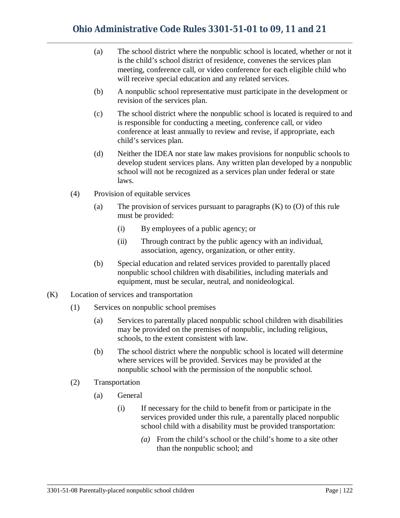- (a) The school district where the nonpublic school is located, whether or not it is the child's school district of residence, convenes the services plan meeting, conference call, or video conference for each eligible child who will receive special education and any related services.
- (b) A nonpublic school representative must participate in the development or revision of the services plan.
- (c) The school district where the nonpublic school is located is required to and is responsible for conducting a meeting, conference call, or video conference at least annually to review and revise, if appropriate, each child's services plan.
- (d) Neither the IDEA nor state law makes provisions for nonpublic schools to develop student services plans. Any written plan developed by a nonpublic school will not be recognized as a services plan under federal or state laws.
- (4) Provision of equitable services
	- (a) The provision of services pursuant to paragraphs (K) to (O) of this rule must be provided:
		- (i) By employees of a public agency; or
		- (ii) Through contract by the public agency with an individual, association, agency, organization, or other entity.
	- (b) Special education and related services provided to parentally placed nonpublic school children with disabilities, including materials and equipment, must be secular, neutral, and nonideological.
- (K) Location of services and transportation
	- (1) Services on nonpublic school premises
		- (a) Services to parentally placed nonpublic school children with disabilities may be provided on the premises of nonpublic, including religious, schools, to the extent consistent with law.
		- (b) The school district where the nonpublic school is located will determine where services will be provided. Services may be provided at the nonpublic school with the permission of the nonpublic school.
	- (2) Transportation
		- (a) General
			- (i) If necessary for the child to benefit from or participate in the services provided under this rule, a parentally placed nonpublic school child with a disability must be provided transportation:
				- *(a)* From the child's school or the child's home to a site other than the nonpublic school; and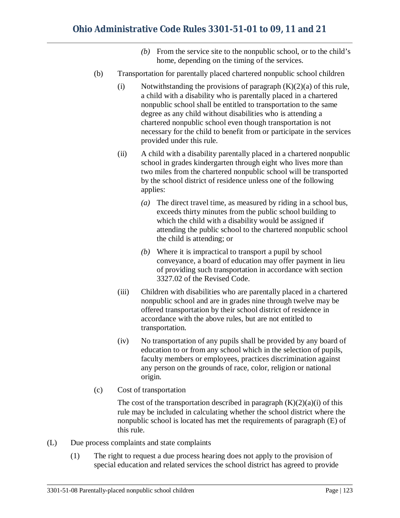- *(b)* From the service site to the nonpublic school, or to the child's home, depending on the timing of the services.
- (b) Transportation for parentally placed chartered nonpublic school children
	- (i) Notwithstanding the provisions of paragraph  $(K)(2)(a)$  of this rule, a child with a disability who is parentally placed in a chartered nonpublic school shall be entitled to transportation to the same degree as any child without disabilities who is attending a chartered nonpublic school even though transportation is not necessary for the child to benefit from or participate in the services provided under this rule.
	- (ii) A child with a disability parentally placed in a chartered nonpublic school in grades kindergarten through eight who lives more than two miles from the chartered nonpublic school will be transported by the school district of residence unless one of the following applies:
		- *(a)* The direct travel time, as measured by riding in a school bus, exceeds thirty minutes from the public school building to which the child with a disability would be assigned if attending the public school to the chartered nonpublic school the child is attending; or
		- *(b)* Where it is impractical to transport a pupil by school conveyance, a board of education may offer payment in lieu of providing such transportation in accordance with section 3327.02 of the Revised Code.
	- (iii) Children with disabilities who are parentally placed in a chartered nonpublic school and are in grades nine through twelve may be offered transportation by their school district of residence in accordance with the above rules, but are not entitled to transportation.
	- (iv) No transportation of any pupils shall be provided by any board of education to or from any school which in the selection of pupils, faculty members or employees, practices discrimination against any person on the grounds of race, color, religion or national origin.
- (c) Cost of transportation

The cost of the transportation described in paragraph  $(K)(2)(a)(i)$  of this rule may be included in calculating whether the school district where the nonpublic school is located has met the requirements of paragraph (E) of this rule.

- (L) Due process complaints and state complaints
	- (1) The right to request a due process hearing does not apply to the provision of special education and related services the school district has agreed to provide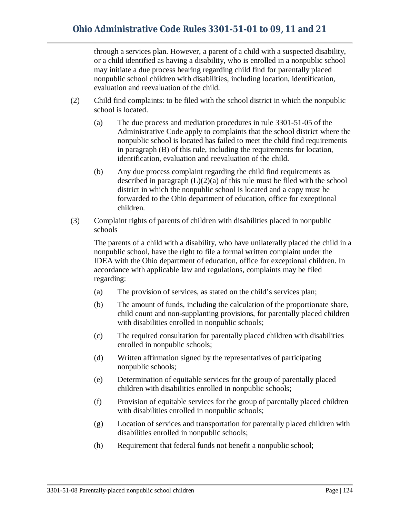through a services plan. However, a parent of a child with a suspected disability, or a child identified as having a disability, who is enrolled in a nonpublic school may initiate a due process hearing regarding child find for parentally placed nonpublic school children with disabilities, including location, identification, evaluation and reevaluation of the child.

- (2) Child find complaints: to be filed with the school district in which the nonpublic school is located.
	- (a) The due process and mediation procedures in rule 3301-51-05 of the Administrative Code apply to complaints that the school district where the nonpublic school is located has failed to meet the child find requirements in paragraph (B) of this rule, including the requirements for location, identification, evaluation and reevaluation of the child.
	- (b) Any due process complaint regarding the child find requirements as described in paragraph  $(L)(2)(a)$  of this rule must be filed with the school district in which the nonpublic school is located and a copy must be forwarded to the Ohio department of education, office for exceptional children.
- (3) Complaint rights of parents of children with disabilities placed in nonpublic schools

The parents of a child with a disability, who have unilaterally placed the child in a nonpublic school, have the right to file a formal written complaint under the IDEA with the Ohio department of education, office for exceptional children. In accordance with applicable law and regulations, complaints may be filed regarding:

- (a) The provision of services, as stated on the child's services plan;
- (b) The amount of funds, including the calculation of the proportionate share, child count and non-supplanting provisions, for parentally placed children with disabilities enrolled in nonpublic schools;
- (c) The required consultation for parentally placed children with disabilities enrolled in nonpublic schools;
- (d) Written affirmation signed by the representatives of participating nonpublic schools;
- (e) Determination of equitable services for the group of parentally placed children with disabilities enrolled in nonpublic schools;
- (f) Provision of equitable services for the group of parentally placed children with disabilities enrolled in nonpublic schools;
- (g) Location of services and transportation for parentally placed children with disabilities enrolled in nonpublic schools;
- (h) Requirement that federal funds not benefit a nonpublic school;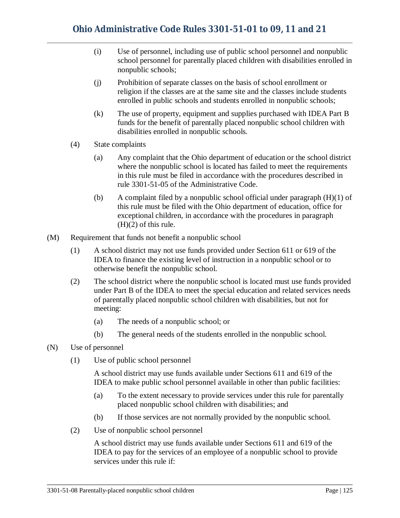- (i) Use of personnel, including use of public school personnel and nonpublic school personnel for parentally placed children with disabilities enrolled in nonpublic schools;
- (j) Prohibition of separate classes on the basis of school enrollment or religion if the classes are at the same site and the classes include students enrolled in public schools and students enrolled in nonpublic schools;
- (k) The use of property, equipment and supplies purchased with IDEA Part B funds for the benefit of parentally placed nonpublic school children with disabilities enrolled in nonpublic schools.
- (4) State complaints
	- (a) Any complaint that the Ohio department of education or the school district where the nonpublic school is located has failed to meet the requirements in this rule must be filed in accordance with the procedures described in rule 3301-51-05 of the Administrative Code.
	- (b) A complaint filed by a nonpublic school official under paragraph  $(H)(1)$  of this rule must be filed with the Ohio department of education, office for exceptional children, in accordance with the procedures in paragraph  $(H)(2)$  of this rule.
- (M) Requirement that funds not benefit a nonpublic school
	- (1) A school district may not use funds provided under Section 611 or 619 of the IDEA to finance the existing level of instruction in a nonpublic school or to otherwise benefit the nonpublic school.
	- (2) The school district where the nonpublic school is located must use funds provided under Part B of the IDEA to meet the special education and related services needs of parentally placed nonpublic school children with disabilities, but not for meeting:
		- (a) The needs of a nonpublic school; or
		- (b) The general needs of the students enrolled in the nonpublic school.

### (N) Use of personnel

(1) Use of public school personnel

A school district may use funds available under Sections 611 and 619 of the IDEA to make public school personnel available in other than public facilities:

- (a) To the extent necessary to provide services under this rule for parentally placed nonpublic school children with disabilities; and
- (b) If those services are not normally provided by the nonpublic school.
- (2) Use of nonpublic school personnel

A school district may use funds available under Sections 611 and 619 of the IDEA to pay for the services of an employee of a nonpublic school to provide services under this rule if: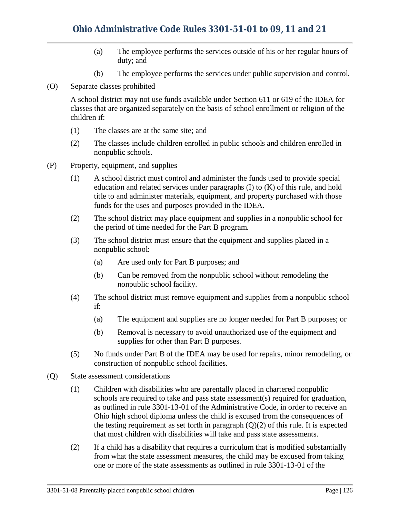- (a) The employee performs the services outside of his or her regular hours of duty; and
- (b) The employee performs the services under public supervision and control.
- (O) Separate classes prohibited

A school district may not use funds available under Section 611 or 619 of the IDEA for classes that are organized separately on the basis of school enrollment or religion of the children if:

- (1) The classes are at the same site; and
- (2) The classes include children enrolled in public schools and children enrolled in nonpublic schools.
- (P) Property, equipment, and supplies
	- (1) A school district must control and administer the funds used to provide special education and related services under paragraphs (I) to (K) of this rule, and hold title to and administer materials, equipment, and property purchased with those funds for the uses and purposes provided in the IDEA.
	- (2) The school district may place equipment and supplies in a nonpublic school for the period of time needed for the Part B program.
	- (3) The school district must ensure that the equipment and supplies placed in a nonpublic school:
		- (a) Are used only for Part B purposes; and
		- (b) Can be removed from the nonpublic school without remodeling the nonpublic school facility.
	- (4) The school district must remove equipment and supplies from a nonpublic school if:
		- (a) The equipment and supplies are no longer needed for Part B purposes; or
		- (b) Removal is necessary to avoid unauthorized use of the equipment and supplies for other than Part B purposes.
	- (5) No funds under Part B of the IDEA may be used for repairs, minor remodeling, or construction of nonpublic school facilities.
- (Q) State assessment considerations
	- (1) Children with disabilities who are parentally placed in chartered nonpublic schools are required to take and pass state assessment(s) required for graduation, as outlined in rule 3301-13-01 of the Administrative Code, in order to receive an Ohio high school diploma unless the child is excused from the consequences of the testing requirement as set forth in paragraph  $(Q)(2)$  of this rule. It is expected that most children with disabilities will take and pass state assessments.
	- (2) If a child has a disability that requires a curriculum that is modified substantially from what the state assessment measures, the child may be excused from taking one or more of the state assessments as outlined in rule 3301-13-01 of the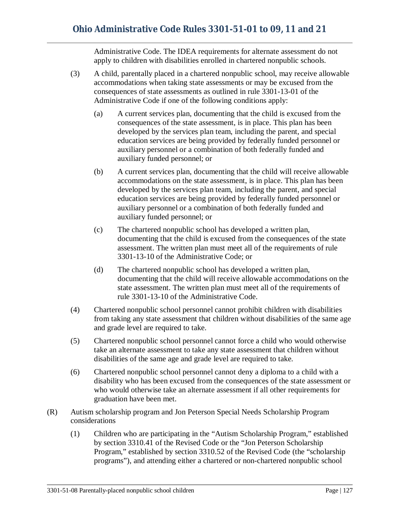Administrative Code. The IDEA requirements for alternate assessment do not apply to children with disabilities enrolled in chartered nonpublic schools.

- (3) A child, parentally placed in a chartered nonpublic school, may receive allowable accommodations when taking state assessments or may be excused from the consequences of state assessments as outlined in rule 3301-13-01 of the Administrative Code if one of the following conditions apply:
	- (a) A current services plan, documenting that the child is excused from the consequences of the state assessment, is in place. This plan has been developed by the services plan team, including the parent, and special education services are being provided by federally funded personnel or auxiliary personnel or a combination of both federally funded and auxiliary funded personnel; or
	- (b) A current services plan, documenting that the child will receive allowable accommodations on the state assessment, is in place. This plan has been developed by the services plan team, including the parent, and special education services are being provided by federally funded personnel or auxiliary personnel or a combination of both federally funded and auxiliary funded personnel; or
	- (c) The chartered nonpublic school has developed a written plan, documenting that the child is excused from the consequences of the state assessment. The written plan must meet all of the requirements of rule 3301-13-10 of the Administrative Code; or
	- (d) The chartered nonpublic school has developed a written plan, documenting that the child will receive allowable accommodations on the state assessment. The written plan must meet all of the requirements of rule 3301-13-10 of the Administrative Code.
- (4) Chartered nonpublic school personnel cannot prohibit children with disabilities from taking any state assessment that children without disabilities of the same age and grade level are required to take.
- (5) Chartered nonpublic school personnel cannot force a child who would otherwise take an alternate assessment to take any state assessment that children without disabilities of the same age and grade level are required to take.
- (6) Chartered nonpublic school personnel cannot deny a diploma to a child with a disability who has been excused from the consequences of the state assessment or who would otherwise take an alternate assessment if all other requirements for graduation have been met.
- (R) Autism scholarship program and Jon Peterson Special Needs Scholarship Program considerations
	- (1) Children who are participating in the "Autism Scholarship Program," established by section 3310.41 of the Revised Code or the "Jon Peterson Scholarship Program," established by section 3310.52 of the Revised Code (the "scholarship programs"), and attending either a chartered or non-chartered nonpublic school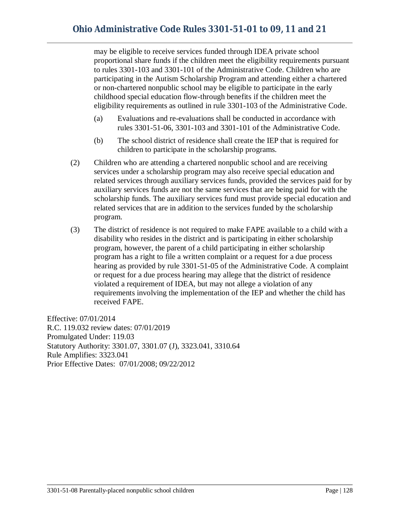may be eligible to receive services funded through IDEA private school proportional share funds if the children meet the eligibility requirements pursuant to rules 3301-103 and 3301-101 of the Administrative Code. Children who are participating in the Autism Scholarship Program and attending either a chartered or non-chartered nonpublic school may be eligible to participate in the early childhood special education flow-through benefits if the children meet the eligibility requirements as outlined in rule 3301-103 of the Administrative Code.

- (a) Evaluations and re-evaluations shall be conducted in accordance with rules 3301-51-06, 3301-103 and 3301-101 of the Administrative Code.
- (b) The school district of residence shall create the IEP that is required for children to participate in the scholarship programs.
- (2) Children who are attending a chartered nonpublic school and are receiving services under a scholarship program may also receive special education and related services through auxiliary services funds, provided the services paid for by auxiliary services funds are not the same services that are being paid for with the scholarship funds. The auxiliary services fund must provide special education and related services that are in addition to the services funded by the scholarship program.
- (3) The district of residence is not required to make FAPE available to a child with a disability who resides in the district and is participating in either scholarship program, however, the parent of a child participating in either scholarship program has a right to file a written complaint or a request for a due process hearing as provided by rule 3301-51-05 of the Administrative Code. A complaint or request for a due process hearing may allege that the district of residence violated a requirement of IDEA, but may not allege a violation of any requirements involving the implementation of the IEP and whether the child has received FAPE.

Effective: 07/01/2014 R.C. 119.032 review dates: 07/01/2019 Promulgated Under: 119.03 Statutory Authority: 3301.07, 3301.07 (J), 3323.041, 3310.64 Rule Amplifies: 3323.041 Prior Effective Dates: 07/01/2008; 09/22/2012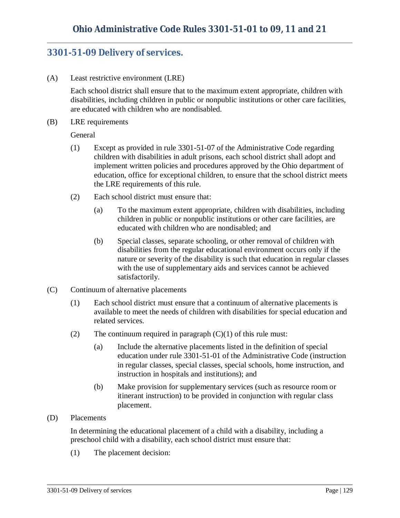### **3301-51-09 Delivery of services.**

(A) Least restrictive environment (LRE)

Each school district shall ensure that to the maximum extent appropriate, children with disabilities, including children in public or nonpublic institutions or other care facilities, are educated with children who are nondisabled.

(B) LRE requirements

General

- (1) Except as provided in rule 3301-51-07 of the Administrative Code regarding children with disabilities in adult prisons, each school district shall adopt and implement written policies and procedures approved by the Ohio department of education, office for exceptional children, to ensure that the school district meets the LRE requirements of this rule.
- (2) Each school district must ensure that:
	- (a) To the maximum extent appropriate, children with disabilities, including children in public or nonpublic institutions or other care facilities, are educated with children who are nondisabled; and
	- (b) Special classes, separate schooling, or other removal of children with disabilities from the regular educational environment occurs only if the nature or severity of the disability is such that education in regular classes with the use of supplementary aids and services cannot be achieved satisfactorily.
- (C) Continuum of alternative placements
	- (1) Each school district must ensure that a continuum of alternative placements is available to meet the needs of children with disabilities for special education and related services.
	- (2) The continuum required in paragraph  $(C)(1)$  of this rule must:
		- (a) Include the alternative placements listed in the definition of special education under rule 3301-51-01 of the Administrative Code (instruction in regular classes, special classes, special schools, home instruction, and instruction in hospitals and institutions); and
		- (b) Make provision for supplementary services (such as resource room or itinerant instruction) to be provided in conjunction with regular class placement.
- (D) Placements

In determining the educational placement of a child with a disability, including a preschool child with a disability, each school district must ensure that:

(1) The placement decision: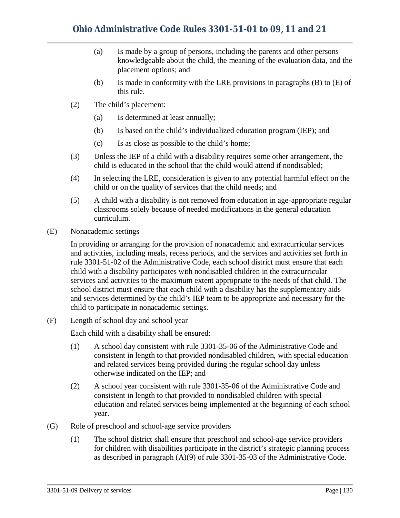- (a) Is made by a group of persons, including the parents and other persons knowledgeable about the child, the meaning of the evaluation data, and the placement options; and
- (b) Is made in conformity with the LRE provisions in paragraphs (B) to (E) of this rule.
- (2) The child's placement:
	- (a) Is determined at least annually;
	- (b) Is based on the child's individualized education program (IEP); and
	- (c) Is as close as possible to the child's home;
- (3) Unless the IEP of a child with a disability requires some other arrangement, the child is educated in the school that the child would attend if nondisabled;
- (4) In selecting the LRE, consideration is given to any potential harmful effect on the child or on the quality of services that the child needs; and
- (5) A child with a disability is not removed from education in age-appropriate regular classrooms solely because of needed modifications in the general education curriculum.
- (E) Nonacademic settings

In providing or arranging for the provision of nonacademic and extracurricular services and activities, including meals, recess periods, and the services and activities set forth in rule 3301-51-02 of the Administrative Code, each school district must ensure that each child with a disability participates with nondisabled children in the extracurricular services and activities to the maximum extent appropriate to the needs of that child. The school district must ensure that each child with a disability has the supplementary aids and services determined by the child's IEP team to be appropriate and necessary for the child to participate in nonacademic settings.

(F) Length of school day and school year

Each child with a disability shall be ensured:

- (1) A school day consistent with rule 3301-35-06 of the Administrative Code and consistent in length to that provided nondisabled children, with special education and related services being provided during the regular school day unless otherwise indicated on the IEP; and
- (2) A school year consistent with rule 3301-35-06 of the Administrative Code and consistent in length to that provided to nondisabled children with special education and related services being implemented at the beginning of each school year.
- (G) Role of preschool and school-age service providers
	- (1) The school district shall ensure that preschool and school-age service providers for children with disabilities participate in the district's strategic planning process as described in paragraph  $(A)(9)$  of rule 3301-35-03 of the Administrative Code.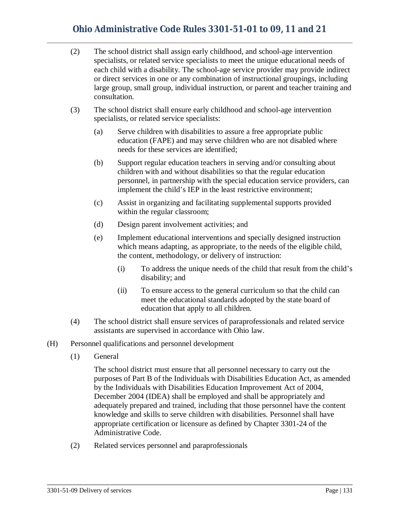- (2) The school district shall assign early childhood, and school-age intervention specialists, or related service specialists to meet the unique educational needs of each child with a disability. The school-age service provider may provide indirect or direct services in one or any combination of instructional groupings, including large group, small group, individual instruction, or parent and teacher training and consultation.
- (3) The school district shall ensure early childhood and school-age intervention specialists, or related service specialists:
	- (a) Serve children with disabilities to assure a free appropriate public education (FAPE) and may serve children who are not disabled where needs for these services are identified;
	- (b) Support regular education teachers in serving and/or consulting about children with and without disabilities so that the regular education personnel, in partnership with the special education service providers, can implement the child's IEP in the least restrictive environment;
	- (c) Assist in organizing and facilitating supplemental supports provided within the regular classroom;
	- (d) Design parent involvement activities; and
	- (e) Implement educational interventions and specially designed instruction which means adapting, as appropriate, to the needs of the eligible child, the content, methodology, or delivery of instruction:
		- (i) To address the unique needs of the child that result from the child's disability; and
		- (ii) To ensure access to the general curriculum so that the child can meet the educational standards adopted by the state board of education that apply to all children.
- (4) The school district shall ensure services of paraprofessionals and related service assistants are supervised in accordance with Ohio law.
- (H) Personnel qualifications and personnel development
	- (1) General

The school district must ensure that all personnel necessary to carry out the purposes of Part B of the Individuals with Disabilities Education Act, as amended by the Individuals with Disabilities Education Improvement Act of 2004, December 2004 (IDEA) shall be employed and shall be appropriately and adequately prepared and trained, including that those personnel have the content knowledge and skills to serve children with disabilities. Personnel shall have appropriate certification or licensure as defined by Chapter 3301-24 of the Administrative Code.

(2) Related services personnel and paraprofessionals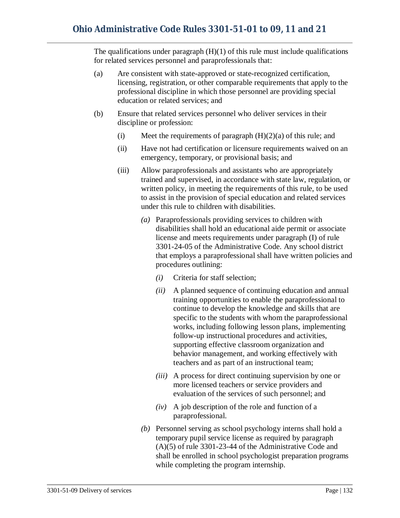The qualifications under paragraph  $(H)(1)$  of this rule must include qualifications for related services personnel and paraprofessionals that:

- (a) Are consistent with state-approved or state-recognized certification, licensing, registration, or other comparable requirements that apply to the professional discipline in which those personnel are providing special education or related services; and
- (b) Ensure that related services personnel who deliver services in their discipline or profession:
	- (i) Meet the requirements of paragraph  $(H)(2)(a)$  of this rule; and
	- (ii) Have not had certification or licensure requirements waived on an emergency, temporary, or provisional basis; and
	- (iii) Allow paraprofessionals and assistants who are appropriately trained and supervised, in accordance with state law, regulation, or written policy, in meeting the requirements of this rule, to be used to assist in the provision of special education and related services under this rule to children with disabilities.
		- *(a)* Paraprofessionals providing services to children with disabilities shall hold an educational aide permit or associate license and meets requirements under paragraph (I) of rule 3301-24-05 of the Administrative Code. Any school district that employs a paraprofessional shall have written policies and procedures outlining:
			- *(i)* Criteria for staff selection;
			- *(ii)* A planned sequence of continuing education and annual training opportunities to enable the paraprofessional to continue to develop the knowledge and skills that are specific to the students with whom the paraprofessional works, including following lesson plans, implementing follow-up instructional procedures and activities, supporting effective classroom organization and behavior management, and working effectively with teachers and as part of an instructional team;
			- *(iii)* A process for direct continuing supervision by one or more licensed teachers or service providers and evaluation of the services of such personnel; and
			- *(iv)* A job description of the role and function of a paraprofessional.
		- *(b)* Personnel serving as school psychology interns shall hold a temporary pupil service license as required by paragraph (A)(5) of rule 3301-23-44 of the Administrative Code and shall be enrolled in school psychologist preparation programs while completing the program internship.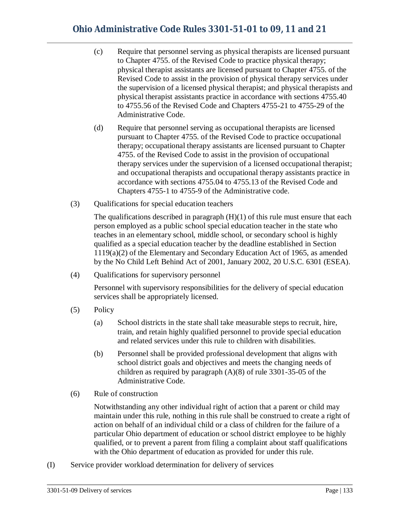- (c) Require that personnel serving as physical therapists are licensed pursuant to Chapter 4755. of the Revised Code to practice physical therapy; physical therapist assistants are licensed pursuant to Chapter 4755. of the Revised Code to assist in the provision of physical therapy services under the supervision of a licensed physical therapist; and physical therapists and physical therapist assistants practice in accordance with sections 4755.40 to 4755.56 of the Revised Code and Chapters 4755-21 to 4755-29 of the Administrative Code.
- (d) Require that personnel serving as occupational therapists are licensed pursuant to Chapter 4755. of the Revised Code to practice occupational therapy; occupational therapy assistants are licensed pursuant to Chapter 4755. of the Revised Code to assist in the provision of occupational therapy services under the supervision of a licensed occupational therapist; and occupational therapists and occupational therapy assistants practice in accordance with sections 4755.04 to 4755.13 of the Revised Code and Chapters 4755-1 to 4755-9 of the Administrative code.
- (3) Qualifications for special education teachers

The qualifications described in paragraph  $(H)(1)$  of this rule must ensure that each person employed as a public school special education teacher in the state who teaches in an elementary school, middle school, or secondary school is highly qualified as a special education teacher by the deadline established in Section 1119(a)(2) of the Elementary and Secondary Education Act of 1965, as amended by the No Child Left Behind Act of 2001, January 2002, 20 U.S.C. 6301 (ESEA).

(4) Qualifications for supervisory personnel

Personnel with supervisory responsibilities for the delivery of special education services shall be appropriately licensed.

- (5) Policy
	- (a) School districts in the state shall take measurable steps to recruit, hire, train, and retain highly qualified personnel to provide special education and related services under this rule to children with disabilities.
	- (b) Personnel shall be provided professional development that aligns with school district goals and objectives and meets the changing needs of children as required by paragraph (A)(8) of rule 3301-35-05 of the Administrative Code.
- (6) Rule of construction

Notwithstanding any other individual right of action that a parent or child may maintain under this rule, nothing in this rule shall be construed to create a right of action on behalf of an individual child or a class of children for the failure of a particular Ohio department of education or school district employee to be highly qualified, or to prevent a parent from filing a complaint about staff qualifications with the Ohio department of education as provided for under this rule.

(I) Service provider workload determination for delivery of services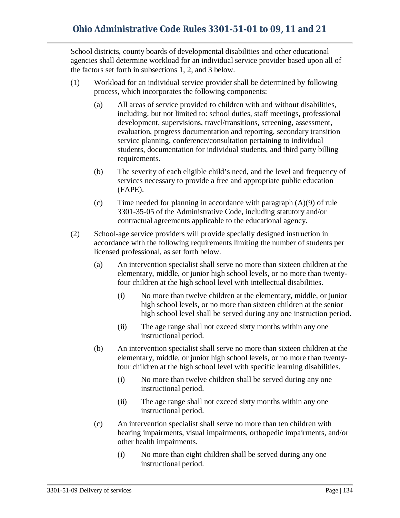School districts, county boards of developmental disabilities and other educational agencies shall determine workload for an individual service provider based upon all of the factors set forth in subsections 1, 2, and 3 below.

- (1) Workload for an individual service provider shall be determined by following process, which incorporates the following components:
	- (a) All areas of service provided to children with and without disabilities, including, but not limited to: school duties, staff meetings, professional development, supervisions, travel/transitions, screening, assessment, evaluation, progress documentation and reporting, secondary transition service planning, conference/consultation pertaining to individual students, documentation for individual students, and third party billing requirements.
	- (b) The severity of each eligible child's need, and the level and frequency of services necessary to provide a free and appropriate public education (FAPE).
	- (c) Time needed for planning in accordance with paragraph (A)(9) of rule 3301-35-05 of the Administrative Code, including statutory and/or contractual agreements applicable to the educational agency.
- (2) School-age service providers will provide specially designed instruction in accordance with the following requirements limiting the number of students per licensed professional, as set forth below.
	- (a) An intervention specialist shall serve no more than sixteen children at the elementary, middle, or junior high school levels, or no more than twentyfour children at the high school level with intellectual disabilities.
		- (i) No more than twelve children at the elementary, middle, or junior high school levels, or no more than sixteen children at the senior high school level shall be served during any one instruction period.
		- (ii) The age range shall not exceed sixty months within any one instructional period.
	- (b) An intervention specialist shall serve no more than sixteen children at the elementary, middle, or junior high school levels, or no more than twentyfour children at the high school level with specific learning disabilities.
		- (i) No more than twelve children shall be served during any one instructional period.
		- (ii) The age range shall not exceed sixty months within any one instructional period.
	- (c) An intervention specialist shall serve no more than ten children with hearing impairments, visual impairments, orthopedic impairments, and/or other health impairments.
		- (i) No more than eight children shall be served during any one instructional period.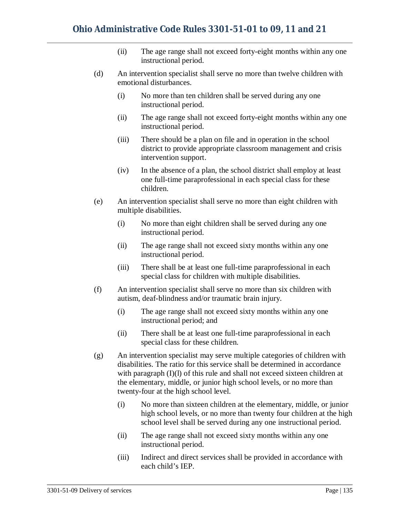- (ii) The age range shall not exceed forty-eight months within any one instructional period.
- (d) An intervention specialist shall serve no more than twelve children with emotional disturbances.
	- (i) No more than ten children shall be served during any one instructional period.
	- (ii) The age range shall not exceed forty-eight months within any one instructional period.
	- (iii) There should be a plan on file and in operation in the school district to provide appropriate classroom management and crisis intervention support.
	- (iv) In the absence of a plan, the school district shall employ at least one full-time paraprofessional in each special class for these children.
- (e) An intervention specialist shall serve no more than eight children with multiple disabilities.
	- (i) No more than eight children shall be served during any one instructional period.
	- (ii) The age range shall not exceed sixty months within any one instructional period.
	- (iii) There shall be at least one full-time paraprofessional in each special class for children with multiple disabilities.
- (f) An intervention specialist shall serve no more than six children with autism, deaf-blindness and/or traumatic brain injury.
	- (i) The age range shall not exceed sixty months within any one instructional period; and
	- (ii) There shall be at least one full-time paraprofessional in each special class for these children.
- (g) An intervention specialist may serve multiple categories of children with disabilities. The ratio for this service shall be determined in accordance with paragraph (I)(I) of this rule and shall not exceed sixteen children at the elementary, middle, or junior high school levels, or no more than twenty-four at the high school level.
	- (i) No more than sixteen children at the elementary, middle, or junior high school levels, or no more than twenty four children at the high school level shall be served during any one instructional period.
	- (ii) The age range shall not exceed sixty months within any one instructional period.
	- (iii) Indirect and direct services shall be provided in accordance with each child's IEP.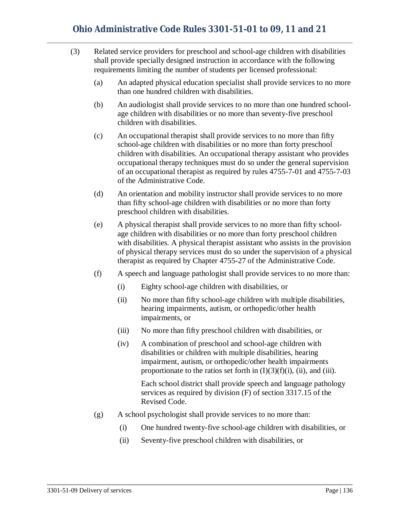- (3) Related service providers for preschool and school-age children with disabilities shall provide specially designed instruction in accordance with the following requirements limiting the number of students per licensed professional:
	- (a) An adapted physical education specialist shall provide services to no more than one hundred children with disabilities.
	- (b) An audiologist shall provide services to no more than one hundred schoolage children with disabilities or no more than seventy-five preschool children with disabilities.
	- (c) An occupational therapist shall provide services to no more than fifty school-age children with disabilities or no more than forty preschool children with disabilities. An occupational therapy assistant who provides occupational therapy techniques must do so under the general supervision of an occupational therapist as required by rules 4755-7-01 and 4755-7-03 of the Administrative Code.
	- (d) An orientation and mobility instructor shall provide services to no more than fifty school-age children with disabilities or no more than forty preschool children with disabilities.
	- (e) A physical therapist shall provide services to no more than fifty schoolage children with disabilities or no more than forty preschool children with disabilities. A physical therapist assistant who assists in the provision of physical therapy services must do so under the supervision of a physical therapist as required by Chapter 4755-27 of the Administrative Code.
	- (f) A speech and language pathologist shall provide services to no more than:
		- (i) Eighty school-age children with disabilities, or
		- (ii) No more than fifty school-age children with multiple disabilities, hearing impairments, autism, or orthopedic/other health impairments, or
		- (iii) No more than fifty preschool children with disabilities, or
		- (iv) A combination of preschool and school-age children with disabilities or children with multiple disabilities, hearing impairment, autism, or orthopedic/other health impairments proportionate to the ratios set forth in  $(I)(3)(f)(i)$ ,  $(ii)$ , and  $(iii)$ .

Each school district shall provide speech and language pathology services as required by division (F) of section 3317.15 of the Revised Code.

- (g) A school psychologist shall provide services to no more than:
	- (i) One hundred twenty-five school-age children with disabilities, or
	- (ii) Seventy-five preschool children with disabilities, or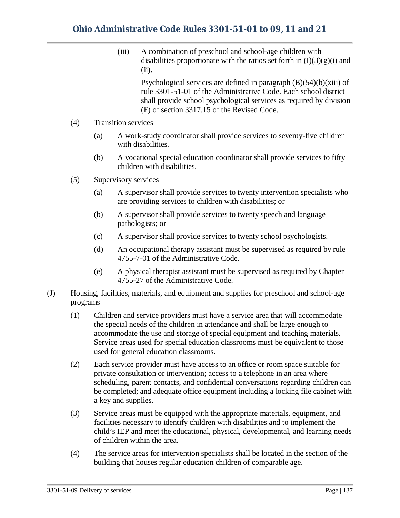(iii) A combination of preschool and school-age children with disabilities proportionate with the ratios set forth in  $(I)(3)(g)(i)$  and (ii).

> Psychological services are defined in paragraph  $(B)(54)(b)(xiii)$  of rule 3301-51-01 of the Administrative Code. Each school district shall provide school psychological services as required by division (F) of section 3317.15 of the Revised Code.

- (4) Transition services
	- (a) A work-study coordinator shall provide services to seventy-five children with disabilities.
	- (b) A vocational special education coordinator shall provide services to fifty children with disabilities.
- (5) Supervisory services
	- (a) A supervisor shall provide services to twenty intervention specialists who are providing services to children with disabilities; or
	- (b) A supervisor shall provide services to twenty speech and language pathologists; or
	- (c) A supervisor shall provide services to twenty school psychologists.
	- (d) An occupational therapy assistant must be supervised as required by rule 4755-7-01 of the Administrative Code.
	- (e) A physical therapist assistant must be supervised as required by Chapter 4755-27 of the Administrative Code.
- (J) Housing, facilities, materials, and equipment and supplies for preschool and school-age programs
	- (1) Children and service providers must have a service area that will accommodate the special needs of the children in attendance and shall be large enough to accommodate the use and storage of special equipment and teaching materials. Service areas used for special education classrooms must be equivalent to those used for general education classrooms.
	- (2) Each service provider must have access to an office or room space suitable for private consultation or intervention; access to a telephone in an area where scheduling, parent contacts, and confidential conversations regarding children can be completed; and adequate office equipment including a locking file cabinet with a key and supplies.
	- (3) Service areas must be equipped with the appropriate materials, equipment, and facilities necessary to identify children with disabilities and to implement the child's IEP and meet the educational, physical, developmental, and learning needs of children within the area.
	- (4) The service areas for intervention specialists shall be located in the section of the building that houses regular education children of comparable age.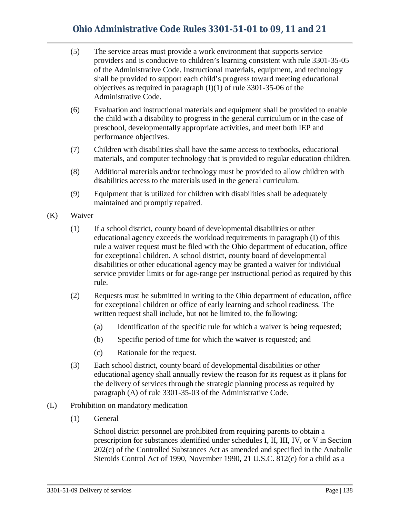- (5) The service areas must provide a work environment that supports service providers and is conducive to children's learning consistent with rule 3301-35-05 of the Administrative Code. Instructional materials, equipment, and technology shall be provided to support each child's progress toward meeting educational objectives as required in paragraph  $(I)(1)$  of rule 3301-35-06 of the Administrative Code.
- (6) Evaluation and instructional materials and equipment shall be provided to enable the child with a disability to progress in the general curriculum or in the case of preschool, developmentally appropriate activities, and meet both IEP and performance objectives.
- (7) Children with disabilities shall have the same access to textbooks, educational materials, and computer technology that is provided to regular education children.
- (8) Additional materials and/or technology must be provided to allow children with disabilities access to the materials used in the general curriculum.
- (9) Equipment that is utilized for children with disabilities shall be adequately maintained and promptly repaired.
- (K) Waiver
	- (1) If a school district, county board of developmental disabilities or other educational agency exceeds the workload requirements in paragraph (I) of this rule a waiver request must be filed with the Ohio department of education, office for exceptional children. A school district, county board of developmental disabilities or other educational agency may be granted a waiver for individual service provider limits or for age-range per instructional period as required by this rule.
	- (2) Requests must be submitted in writing to the Ohio department of education, office for exceptional children or office of early learning and school readiness. The written request shall include, but not be limited to, the following:
		- (a) Identification of the specific rule for which a waiver is being requested;
		- (b) Specific period of time for which the waiver is requested; and
		- (c) Rationale for the request.
	- (3) Each school district, county board of developmental disabilities or other educational agency shall annually review the reason for its request as it plans for the delivery of services through the strategic planning process as required by paragraph (A) of rule 3301-35-03 of the Administrative Code.
- (L) Prohibition on mandatory medication
	- (1) General

School district personnel are prohibited from requiring parents to obtain a prescription for substances identified under schedules I, II, III, IV, or V in Section 202(c) of the Controlled Substances Act as amended and specified in the Anabolic Steroids Control Act of 1990, November 1990, 21 U.S.C. 812(c) for a child as a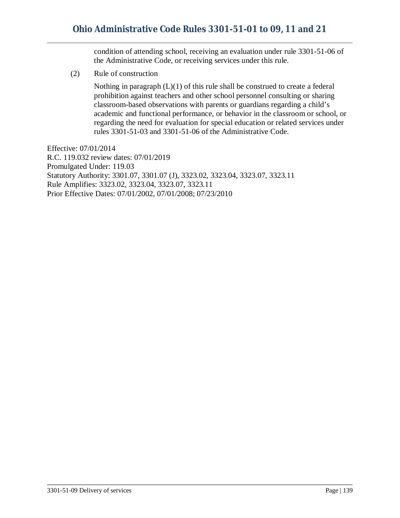condition of attending school, receiving an evaluation under rule 3301-51-06 of the Administrative Code, or receiving services under this rule.

(2) Rule of construction

Nothing in paragraph (L)(1) of this rule shall be construed to create a federal prohibition against teachers and other school personnel consulting or sharing classroom-based observations with parents or guardians regarding a child's academic and functional performance, or behavior in the classroom or school, or regarding the need for evaluation for special education or related services under rules 3301-51-03 and 3301-51-06 of the Administrative Code.

Effective: 07/01/2014 R.C. 119.032 review dates: 07/01/2019 Promulgated Under: 119.03 Statutory Authority: 3301.07, 3301.07 (J), 3323.02, 3323.04, 3323.07, 3323.11 Rule Amplifies: 3323.02, 3323.04, 3323.07, 3323.11 Prior Effective Dates: 07/01/2002, 07/01/2008; 07/23/2010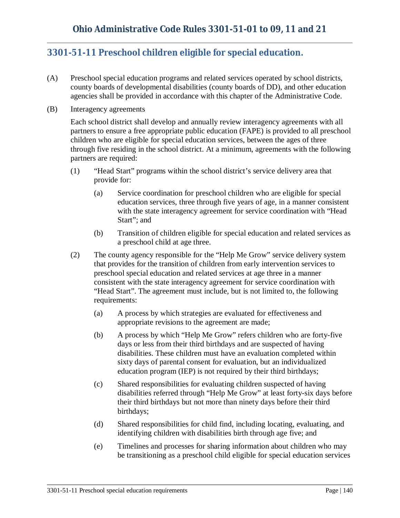### **3301-51-11 Preschool children eligible for special education.**

- (A) Preschool special education programs and related services operated by school districts, county boards of developmental disabilities (county boards of DD), and other education agencies shall be provided in accordance with this chapter of the Administrative Code.
- (B) Interagency agreements

Each school district shall develop and annually review interagency agreements with all partners to ensure a free appropriate public education (FAPE) is provided to all preschool children who are eligible for special education services, between the ages of three through five residing in the school district. At a minimum, agreements with the following partners are required:

- (1) "Head Start" programs within the school district's service delivery area that provide for:
	- (a) Service coordination for preschool children who are eligible for special education services, three through five years of age, in a manner consistent with the state interagency agreement for service coordination with "Head Start"; and
	- (b) Transition of children eligible for special education and related services as a preschool child at age three.
- (2) The county agency responsible for the "Help Me Grow" service delivery system that provides for the transition of children from early intervention services to preschool special education and related services at age three in a manner consistent with the state interagency agreement for service coordination with "Head Start". The agreement must include, but is not limited to, the following requirements:
	- (a) A process by which strategies are evaluated for effectiveness and appropriate revisions to the agreement are made;
	- (b) A process by which "Help Me Grow" refers children who are forty-five days or less from their third birthdays and are suspected of having disabilities. These children must have an evaluation completed within sixty days of parental consent for evaluation, but an individualized education program (IEP) is not required by their third birthdays;
	- (c) Shared responsibilities for evaluating children suspected of having disabilities referred through "Help Me Grow" at least forty-six days before their third birthdays but not more than ninety days before their third birthdays;
	- (d) Shared responsibilities for child find, including locating, evaluating, and identifying children with disabilities birth through age five; and
	- (e) Timelines and processes for sharing information about children who may be transitioning as a preschool child eligible for special education services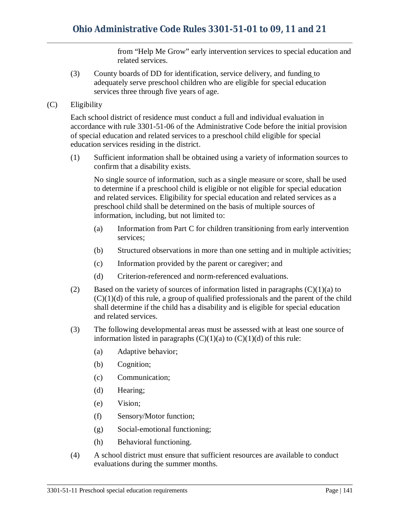from "Help Me Grow" early intervention services to special education and related services.

(3) County boards of DD for identification, service delivery, and funding to adequately serve preschool children who are eligible for special education services three through five years of age.

#### (C) Eligibility

Each school district of residence must conduct a full and individual evaluation in accordance with rule 3301-51-06 of the Administrative Code before the initial provision of special education and related services to a preschool child eligible for special education services residing in the district.

(1) Sufficient information shall be obtained using a variety of information sources to confirm that a disability exists.

No single source of information, such as a single measure or score, shall be used to determine if a preschool child is eligible or not eligible for special education and related services. Eligibility for special education and related services as a preschool child shall be determined on the basis of multiple sources of information, including, but not limited to:

- (a) Information from Part C for children transitioning from early intervention services;
- (b) Structured observations in more than one setting and in multiple activities;
- (c) Information provided by the parent or caregiver; and
- (d) Criterion-referenced and norm-referenced evaluations.
- (2) Based on the variety of sources of information listed in paragraphs  $(C)(1)(a)$  to  $(C)(1)(d)$  of this rule, a group of qualified professionals and the parent of the child shall determine if the child has a disability and is eligible for special education and related services.
- (3) The following developmental areas must be assessed with at least one source of information listed in paragraphs  $(C)(1)(a)$  to  $(C)(1)(d)$  of this rule:
	- (a) Adaptive behavior;
	- (b) Cognition;
	- (c) Communication;
	- (d) Hearing;
	- (e) Vision;
	- (f) Sensory/Motor function;
	- (g) Social-emotional functioning;
	- (h) Behavioral functioning.
- (4) A school district must ensure that sufficient resources are available to conduct evaluations during the summer months.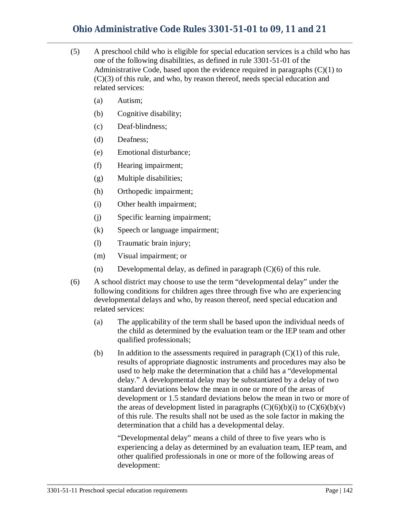- (5) A preschool child who is eligible for special education services is a child who has one of the following disabilities, as defined in rule 3301-51-01 of the Administrative Code, based upon the evidence required in paragraphs  $(C)(1)$  to (C)(3) of this rule, and who, by reason thereof, needs special education and related services:
	- (a) Autism;
	- (b) Cognitive disability;
	- (c) Deaf-blindness;
	- (d) Deafness;
	- (e) Emotional disturbance;
	- (f) Hearing impairment;
	- (g) Multiple disabilities;
	- (h) Orthopedic impairment;
	- (i) Other health impairment;
	- (j) Specific learning impairment;
	- (k) Speech or language impairment;
	- (l) Traumatic brain injury;
	- (m) Visual impairment; or
	- (n) Developmental delay, as defined in paragraph (C)(6) of this rule.
- (6) A school district may choose to use the term "developmental delay" under the following conditions for children ages three through five who are experiencing developmental delays and who, by reason thereof, need special education and related services:
	- (a) The applicability of the term shall be based upon the individual needs of the child as determined by the evaluation team or the IEP team and other qualified professionals;
	- (b) In addition to the assessments required in paragraph  $(C)(1)$  of this rule, results of appropriate diagnostic instruments and procedures may also be used to help make the determination that a child has a "developmental delay." A developmental delay may be substantiated by a delay of two standard deviations below the mean in one or more of the areas of development or 1.5 standard deviations below the mean in two or more of the areas of development listed in paragraphs  $(C)(6)(b)(i)$  to  $(C)(6)(b)(v)$ of this rule. The results shall not be used as the sole factor in making the determination that a child has a developmental delay.

"Developmental delay" means a child of three to five years who is experiencing a delay as determined by an evaluation team, IEP team, and other qualified professionals in one or more of the following areas of development: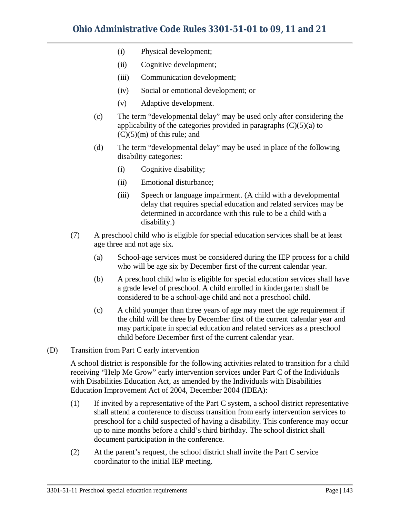- (i) Physical development;
- (ii) Cognitive development;
- (iii) Communication development;
- (iv) Social or emotional development; or
- (v) Adaptive development.
- (c) The term "developmental delay" may be used only after considering the applicability of the categories provided in paragraphs  $(C)(5)(a)$  to  $(C)(5)(m)$  of this rule; and
- (d) The term "developmental delay" may be used in place of the following disability categories:
	- (i) Cognitive disability;
	- (ii) Emotional disturbance;
	- (iii) Speech or language impairment. (A child with a developmental delay that requires special education and related services may be determined in accordance with this rule to be a child with a disability.)
- (7) A preschool child who is eligible for special education services shall be at least age three and not age six.
	- (a) School-age services must be considered during the IEP process for a child who will be age six by December first of the current calendar year.
	- (b) A preschool child who is eligible for special education services shall have a grade level of preschool. A child enrolled in kindergarten shall be considered to be a school-age child and not a preschool child.
	- (c) A child younger than three years of age may meet the age requirement if the child will be three by December first of the current calendar year and may participate in special education and related services as a preschool child before December first of the current calendar year.
- (D) Transition from Part C early intervention

A school district is responsible for the following activities related to transition for a child receiving "Help Me Grow" early intervention services under Part C of the Individuals with Disabilities Education Act, as amended by the Individuals with Disabilities Education Improvement Act of 2004, December 2004 (IDEA):

- (1) If invited by a representative of the Part C system, a school district representative shall attend a conference to discuss transition from early intervention services to preschool for a child suspected of having a disability. This conference may occur up to nine months before a child's third birthday. The school district shall document participation in the conference.
- (2) At the parent's request, the school district shall invite the Part C service coordinator to the initial IEP meeting.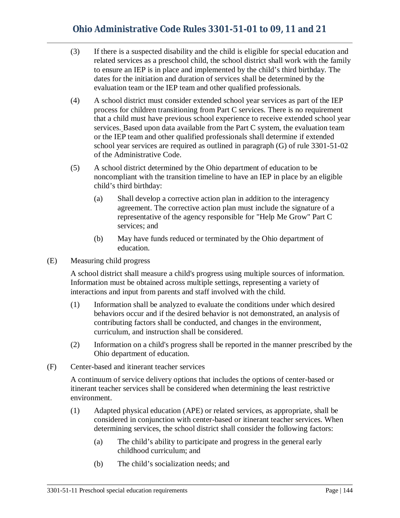- (3) If there is a suspected disability and the child is eligible for special education and related services as a preschool child, the school district shall work with the family to ensure an IEP is in place and implemented by the child's third birthday. The dates for the initiation and duration of services shall be determined by the evaluation team or the IEP team and other qualified professionals.
- (4) A school district must consider extended school year services as part of the IEP process for children transitioning from Part C services. There is no requirement that a child must have previous school experience to receive extended school year services. Based upon data available from the Part C system, the evaluation team or the IEP team and other qualified professionals shall determine if extended school year services are required as outlined in paragraph (G) of rule 3301-51-02 of the Administrative Code.
- (5) A school district determined by the Ohio department of education to be noncompliant with the transition timeline to have an IEP in place by an eligible child's third birthday:
	- (a) Shall develop a corrective action plan in addition to the interagency agreement. The corrective action plan must include the signature of a representative of the agency responsible for "Help Me Grow" Part C services; and
	- (b) May have funds reduced or terminated by the Ohio department of education.
- (E) Measuring child progress

A school district shall measure a child's progress using multiple sources of information. Information must be obtained across multiple settings, representing a variety of interactions and input from parents and staff involved with the child.

- (1) Information shall be analyzed to evaluate the conditions under which desired behaviors occur and if the desired behavior is not demonstrated, an analysis of contributing factors shall be conducted, and changes in the environment, curriculum, and instruction shall be considered.
- (2) Information on a child's progress shall be reported in the manner prescribed by the Ohio department of education.
- (F) Center-based and itinerant teacher services

A continuum of service delivery options that includes the options of center-based or itinerant teacher services shall be considered when determining the least restrictive environment.

- (1) Adapted physical education (APE) or related services, as appropriate, shall be considered in conjunction with center-based or itinerant teacher services. When determining services, the school district shall consider the following factors:
	- (a) The child's ability to participate and progress in the general early childhood curriculum; and
	- (b) The child's socialization needs; and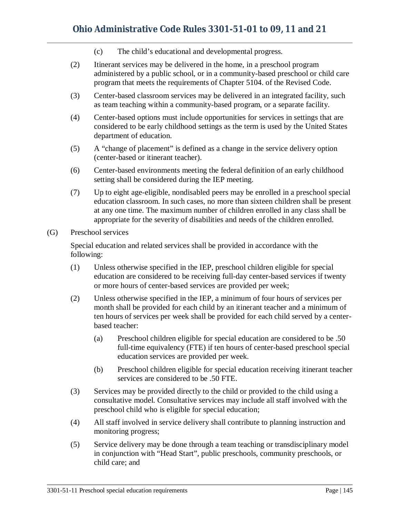- (c) The child's educational and developmental progress.
- (2) Itinerant services may be delivered in the home, in a preschool program administered by a public school, or in a community-based preschool or child care program that meets the requirements of Chapter 5104. of the Revised Code.
- (3) Center-based classroom services may be delivered in an integrated facility, such as team teaching within a community-based program, or a separate facility.
- (4) Center-based options must include opportunities for services in settings that are considered to be early childhood settings as the term is used by the United States department of education.
- (5) A "change of placement" is defined as a change in the service delivery option (center-based or itinerant teacher).
- (6) Center-based environments meeting the federal definition of an early childhood setting shall be considered during the IEP meeting.
- (7) Up to eight age-eligible, nondisabled peers may be enrolled in a preschool special education classroom. In such cases, no more than sixteen children shall be present at any one time. The maximum number of children enrolled in any class shall be appropriate for the severity of disabilities and needs of the children enrolled.
- (G) Preschool services

Special education and related services shall be provided in accordance with the following:

- (1) Unless otherwise specified in the IEP, preschool children eligible for special education are considered to be receiving full-day center-based services if twenty or more hours of center-based services are provided per week;
- (2) Unless otherwise specified in the IEP, a minimum of four hours of services per month shall be provided for each child by an itinerant teacher and a minimum of ten hours of services per week shall be provided for each child served by a centerbased teacher:
	- (a) Preschool children eligible for special education are considered to be .50 full-time equivalency (FTE) if ten hours of center-based preschool special education services are provided per week.
	- (b) Preschool children eligible for special education receiving itinerant teacher services are considered to be .50 FTE.
- (3) Services may be provided directly to the child or provided to the child using a consultative model. Consultative services may include all staff involved with the preschool child who is eligible for special education;
- (4) All staff involved in service delivery shall contribute to planning instruction and monitoring progress;
- (5) Service delivery may be done through a team teaching or transdisciplinary model in conjunction with "Head Start", public preschools, community preschools, or child care; and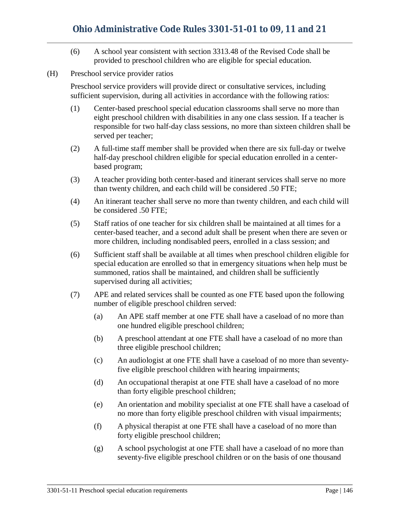- (6) A school year consistent with section 3313.48 of the Revised Code shall be provided to preschool children who are eligible for special education.
- (H) Preschool service provider ratios

Preschool service providers will provide direct or consultative services, including sufficient supervision, during all activities in accordance with the following ratios:

- (1) Center-based preschool special education classrooms shall serve no more than eight preschool children with disabilities in any one class session. If a teacher is responsible for two half-day class sessions, no more than sixteen children shall be served per teacher;
- (2) A full-time staff member shall be provided when there are six full-day or twelve half-day preschool children eligible for special education enrolled in a centerbased program;
- (3) A teacher providing both center-based and itinerant services shall serve no more than twenty children, and each child will be considered .50 FTE;
- (4) An itinerant teacher shall serve no more than twenty children, and each child will be considered .50 FTE;
- (5) Staff ratios of one teacher for six children shall be maintained at all times for a center-based teacher, and a second adult shall be present when there are seven or more children, including nondisabled peers, enrolled in a class session; and
- (6) Sufficient staff shall be available at all times when preschool children eligible for special education are enrolled so that in emergency situations when help must be summoned, ratios shall be maintained, and children shall be sufficiently supervised during all activities;
- (7) APE and related services shall be counted as one FTE based upon the following number of eligible preschool children served:
	- (a) An APE staff member at one FTE shall have a caseload of no more than one hundred eligible preschool children;
	- (b) A preschool attendant at one FTE shall have a caseload of no more than three eligible preschool children;
	- (c) An audiologist at one FTE shall have a caseload of no more than seventyfive eligible preschool children with hearing impairments;
	- (d) An occupational therapist at one FTE shall have a caseload of no more than forty eligible preschool children;
	- (e) An orientation and mobility specialist at one FTE shall have a caseload of no more than forty eligible preschool children with visual impairments;
	- (f) A physical therapist at one FTE shall have a caseload of no more than forty eligible preschool children;
	- (g) A school psychologist at one FTE shall have a caseload of no more than seventy-five eligible preschool children or on the basis of one thousand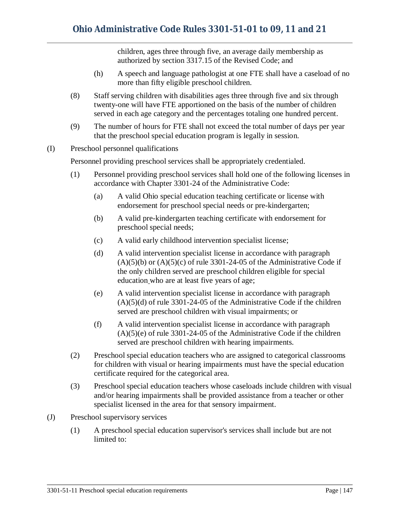children, ages three through five, an average daily membership as authorized by section 3317.15 of the Revised Code; and

- (h) A speech and language pathologist at one FTE shall have a caseload of no more than fifty eligible preschool children.
- (8) Staff serving children with disabilities ages three through five and six through twenty-one will have FTE apportioned on the basis of the number of children served in each age category and the percentages totaling one hundred percent.
- (9) The number of hours for FTE shall not exceed the total number of days per year that the preschool special education program is legally in session.

## (I) Preschool personnel qualifications

Personnel providing preschool services shall be appropriately credentialed.

- (1) Personnel providing preschool services shall hold one of the following licenses in accordance with Chapter 3301-24 of the Administrative Code:
	- (a) A valid Ohio special education teaching certificate or license with endorsement for preschool special needs or pre-kindergarten;
	- (b) A valid pre-kindergarten teaching certificate with endorsement for preschool special needs;
	- (c) A valid early childhood intervention specialist license;
	- (d) A valid intervention specialist license in accordance with paragraph  $(A)(5)(b)$  or  $(A)(5)(c)$  of rule 3301-24-05 of the Administrative Code if the only children served are preschool children eligible for special education who are at least five years of age;
	- (e) A valid intervention specialist license in accordance with paragraph  $(A)(5)(d)$  of rule 3301-24-05 of the Administrative Code if the children served are preschool children with visual impairments; or
	- (f) A valid intervention specialist license in accordance with paragraph  $(A)(5)(e)$  of rule 3301-24-05 of the Administrative Code if the children served are preschool children with hearing impairments.
- (2) Preschool special education teachers who are assigned to categorical classrooms for children with visual or hearing impairments must have the special education certificate required for the categorical area.
- (3) Preschool special education teachers whose caseloads include children with visual and/or hearing impairments shall be provided assistance from a teacher or other specialist licensed in the area for that sensory impairment.
- (J) Preschool supervisory services
	- (1) A preschool special education supervisor's services shall include but are not limited to: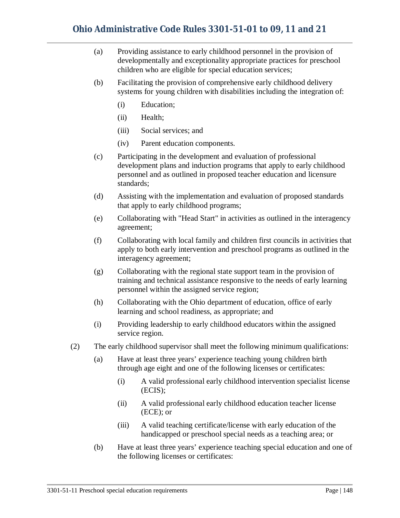## **Ohio Administrative Code Rules 3301-51-01 to 09, 11 and 21**

- (a) Providing assistance to early childhood personnel in the provision of developmentally and exceptionality appropriate practices for preschool children who are eligible for special education services;
- (b) Facilitating the provision of comprehensive early childhood delivery systems for young children with disabilities including the integration of:
	- (i) Education;
	- (ii) Health;
	- (iii) Social services; and
	- (iv) Parent education components.
- (c) Participating in the development and evaluation of professional development plans and induction programs that apply to early childhood personnel and as outlined in proposed teacher education and licensure standards;
- (d) Assisting with the implementation and evaluation of proposed standards that apply to early childhood programs;
- (e) Collaborating with "Head Start" in activities as outlined in the interagency agreement;
- (f) Collaborating with local family and children first councils in activities that apply to both early intervention and preschool programs as outlined in the interagency agreement;
- (g) Collaborating with the regional state support team in the provision of training and technical assistance responsive to the needs of early learning personnel within the assigned service region;
- (h) Collaborating with the Ohio department of education, office of early learning and school readiness, as appropriate; and
- (i) Providing leadership to early childhood educators within the assigned service region.
- (2) The early childhood supervisor shall meet the following minimum qualifications:
	- (a) Have at least three years' experience teaching young children birth through age eight and one of the following licenses or certificates:
		- (i) A valid professional early childhood intervention specialist license (ECIS);
		- (ii) A valid professional early childhood education teacher license (ECE); or
		- (iii) A valid teaching certificate/license with early education of the handicapped or preschool special needs as a teaching area; or
	- (b) Have at least three years' experience teaching special education and one of the following licenses or certificates: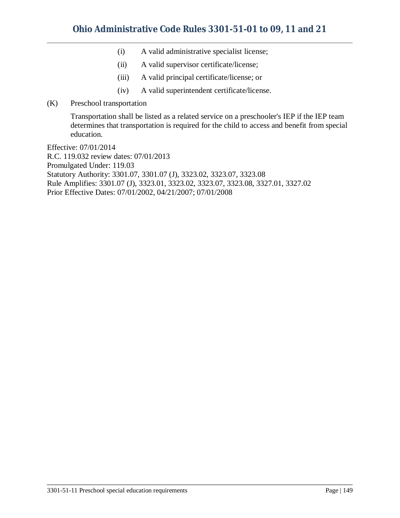- (i) A valid administrative specialist license;
- (ii) A valid supervisor certificate/license;
- (iii) A valid principal certificate/license; or
- (iv) A valid superintendent certificate/license.
- (K) Preschool transportation

Transportation shall be listed as a related service on a preschooler's IEP if the IEP team determines that transportation is required for the child to access and benefit from special education.

Effective: 07/01/2014 R.C. 119.032 review dates: 07/01/2013 Promulgated Under: 119.03 Statutory Authority: 3301.07, 3301.07 (J), 3323.02, 3323.07, 3323.08 Rule Amplifies: 3301.07 (J), 3323.01, 3323.02, 3323.07, 3323.08, 3327.01, 3327.02 Prior Effective Dates: 07/01/2002, 04/21/2007; 07/01/2008